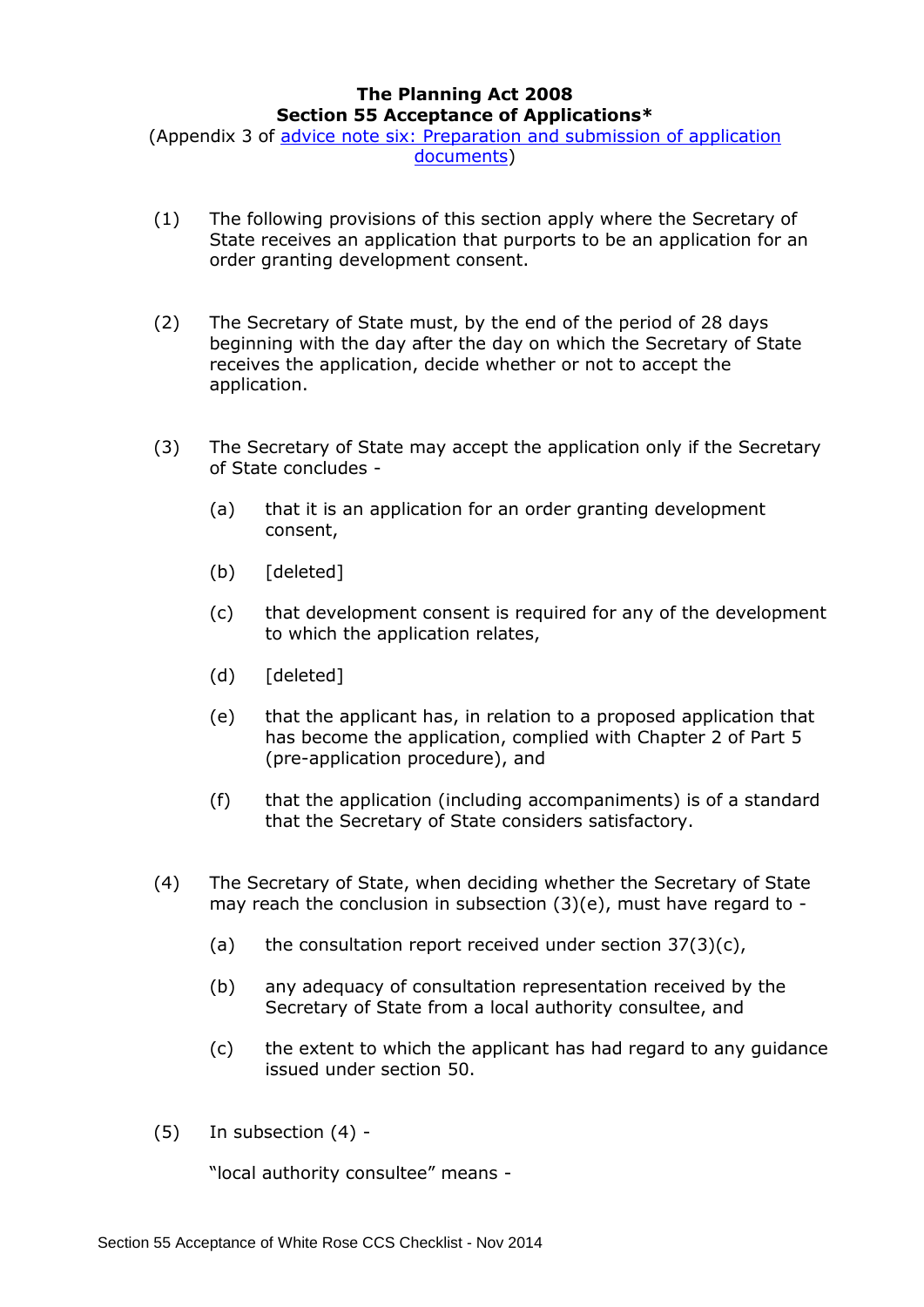## **The Planning Act 2008 Section 55 Acceptance of Applications\***

(Appendix 3 of [advice note six: Preparation and submission of application](http://infrastructure.planningportal.gov.uk/legislation-and-advice/advice-notes/)  [documents\)](http://infrastructure.planningportal.gov.uk/legislation-and-advice/advice-notes/)

- (1) The following provisions of this section apply where the Secretary of State receives an application that purports to be an application for an order granting development consent.
- (2) The Secretary of State must, by the end of the period of 28 days beginning with the day after the day on which the Secretary of State receives the application, decide whether or not to accept the application.
- (3) The Secretary of State may accept the application only if the Secretary of State concludes -
	- (a) that it is an application for an order granting development consent,
	- (b) [deleted]
	- (c) that development consent is required for any of the development to which the application relates,
	- (d) [deleted]
	- (e) that the applicant has, in relation to a proposed application that has become the application, complied with Chapter 2 of Part 5 (pre-application procedure), and
	- (f) that the application (including accompaniments) is of a standard that the Secretary of State considers satisfactory.
- (4) The Secretary of State, when deciding whether the Secretary of State may reach the conclusion in subsection (3)(e), must have regard to -
	- (a) the consultation report received under section  $37(3)(c)$ ,
	- (b) any adequacy of consultation representation received by the Secretary of State from a local authority consultee, and
	- (c) the extent to which the applicant has had regard to any guidance issued under section 50.
- (5) In subsection (4) -

"local authority consultee" means -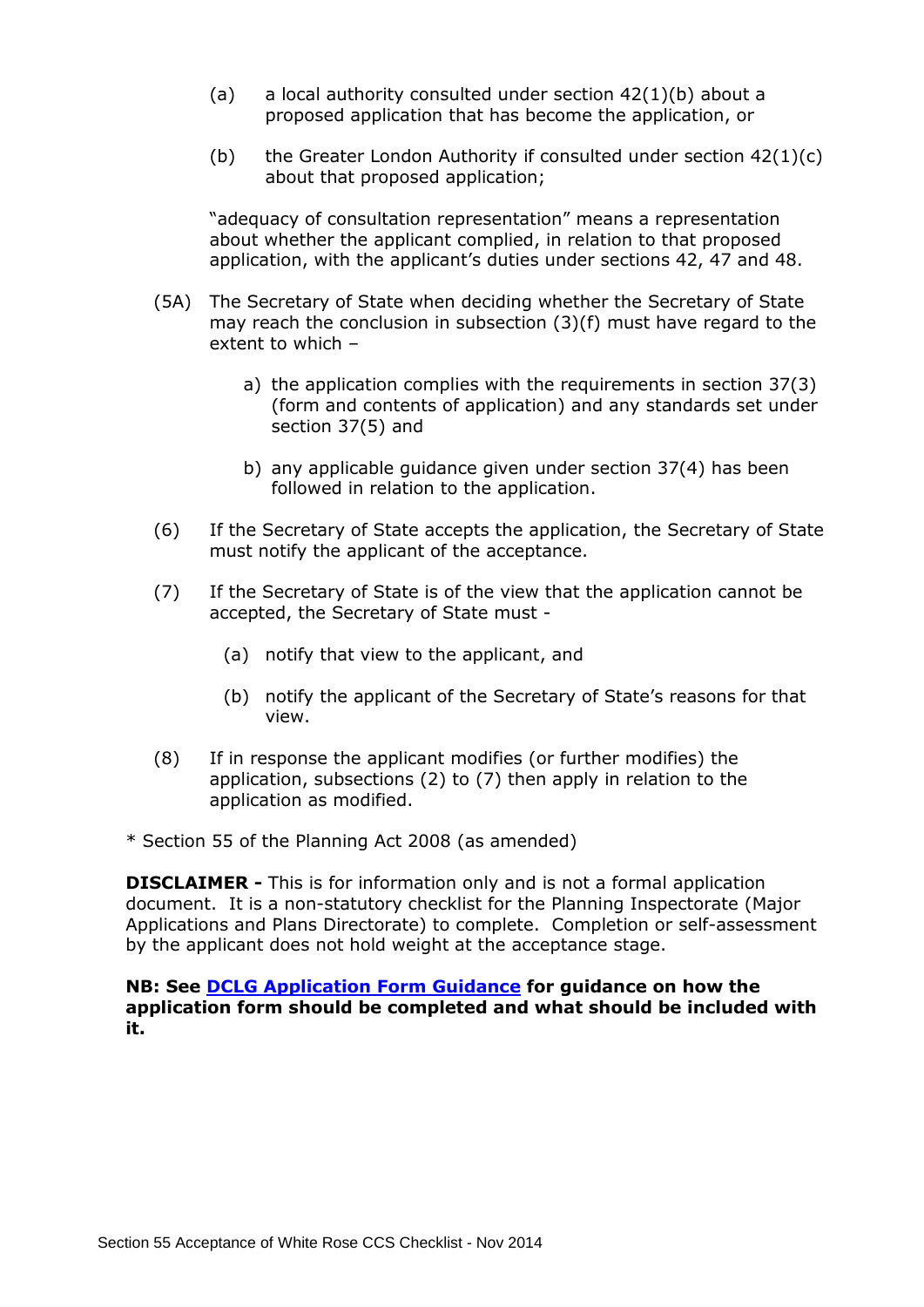- (a) a local authority consulted under section  $42(1)(b)$  about a proposed application that has become the application, or
- (b) the Greater London Authority if consulted under section  $42(1)(c)$ about that proposed application;

"adequacy of consultation representation" means a representation about whether the applicant complied, in relation to that proposed application, with the applicant's duties under sections 42, 47 and 48.

- (5A) The Secretary of State when deciding whether the Secretary of State may reach the conclusion in subsection  $(3)(f)$  must have regard to the extent to which –
	- a) the application complies with the requirements in section 37(3) (form and contents of application) and any standards set under section 37(5) and
	- b) any applicable guidance given under section 37(4) has been followed in relation to the application.
- (6) If the Secretary of State accepts the application, the Secretary of State must notify the applicant of the acceptance.
- (7) If the Secretary of State is of the view that the application cannot be accepted, the Secretary of State must -
	- (a) notify that view to the applicant, and
	- (b) notify the applicant of the Secretary of State's reasons for that view.
- (8) If in response the applicant modifies (or further modifies) the application, subsections (2) to (7) then apply in relation to the application as modified.
- \* Section 55 of the Planning Act 2008 (as amended)

**DISCLAIMER -** This is for information only and is not a formal application document. It is a non-statutory checklist for the Planning Inspectorate (Major Applications and Plans Directorate) to complete. Completion or self-assessment by the applicant does not hold weight at the acceptance stage.

## **NB: See [DCLG Application Form Guidance](http://infrastructure.planningportal.gov.uk/legislation-and-advice/guidance/) for guidance on how the application form should be completed and what should be included with it.**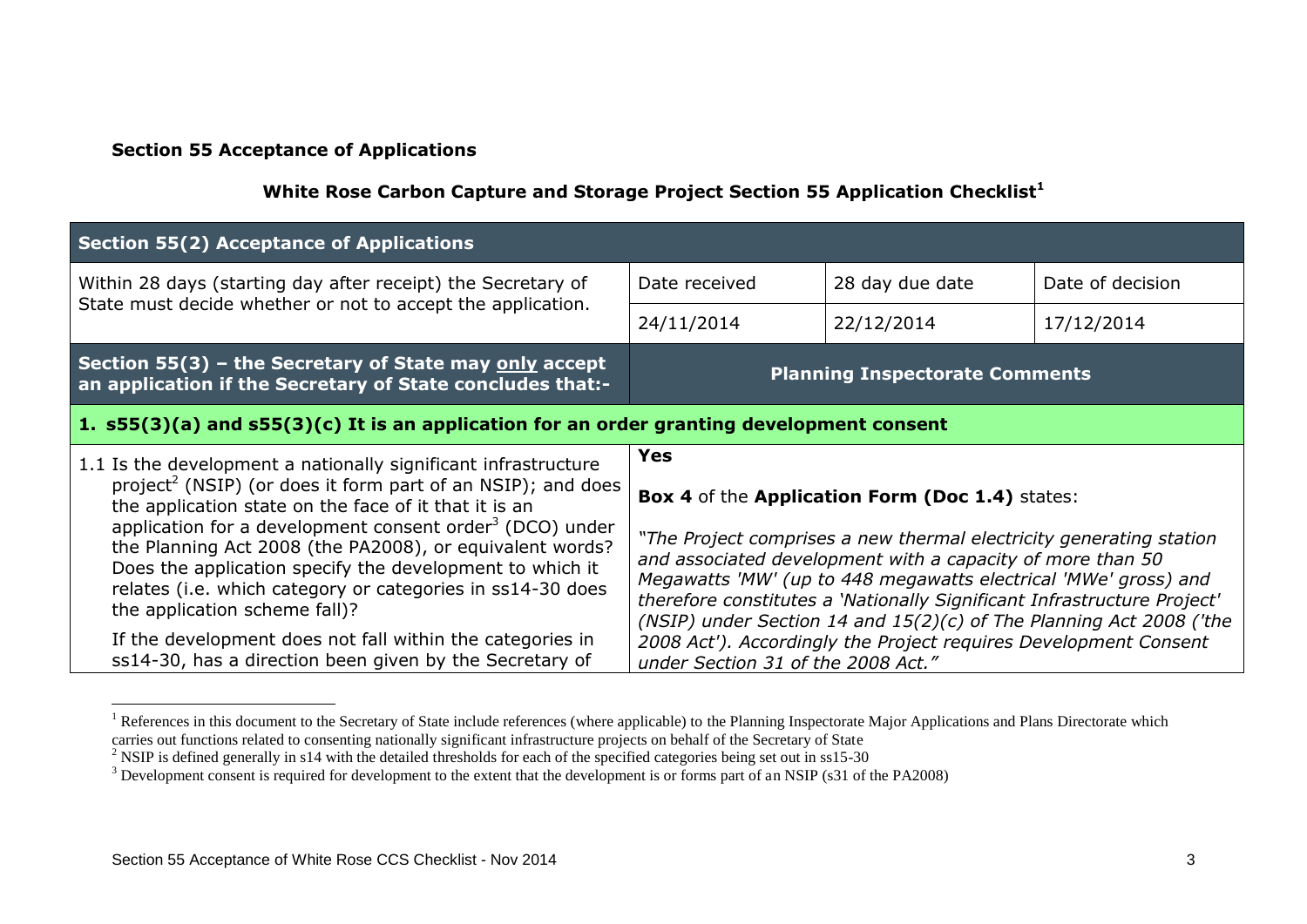## **Section 55 Acceptance of Applications**

## **White Rose Carbon Capture and Storage Project Section 55 Application Checklist<sup>1</sup>**

| Section 55(2) Acceptance of Applications                                                                                                                                                                                                                                                                                                                                                                                                                                                          |                                    |                                                                                                                                                                                                                                                                                                                                                        |                  |
|---------------------------------------------------------------------------------------------------------------------------------------------------------------------------------------------------------------------------------------------------------------------------------------------------------------------------------------------------------------------------------------------------------------------------------------------------------------------------------------------------|------------------------------------|--------------------------------------------------------------------------------------------------------------------------------------------------------------------------------------------------------------------------------------------------------------------------------------------------------------------------------------------------------|------------------|
| Within 28 days (starting day after receipt) the Secretary of                                                                                                                                                                                                                                                                                                                                                                                                                                      | Date received                      | 28 day due date                                                                                                                                                                                                                                                                                                                                        | Date of decision |
| State must decide whether or not to accept the application.                                                                                                                                                                                                                                                                                                                                                                                                                                       | 24/11/2014                         | 22/12/2014                                                                                                                                                                                                                                                                                                                                             | 17/12/2014       |
| Section 55(3) – the Secretary of State may only accept<br>an application if the Secretary of State concludes that:-                                                                                                                                                                                                                                                                                                                                                                               |                                    | <b>Planning Inspectorate Comments</b>                                                                                                                                                                                                                                                                                                                  |                  |
| $\vert$ 1. s55(3)(a) and s55(3)(c) It is an application for an order granting development consent                                                                                                                                                                                                                                                                                                                                                                                                 |                                    |                                                                                                                                                                                                                                                                                                                                                        |                  |
| 1.1 Is the development a nationally significant infrastructure<br>project <sup>2</sup> (NSIP) (or does it form part of an NSIP); and does<br>the application state on the face of it that it is an<br>application for a development consent order <sup>3</sup> (DCO) under<br>the Planning Act 2008 (the PA2008), or equivalent words?<br>Does the application specify the development to which it<br>relates (i.e. which category or categories in ss14-30 does<br>the application scheme fall)? | <b>Yes</b>                         |                                                                                                                                                                                                                                                                                                                                                        |                  |
|                                                                                                                                                                                                                                                                                                                                                                                                                                                                                                   |                                    | Box 4 of the Application Form (Doc 1.4) states:                                                                                                                                                                                                                                                                                                        |                  |
|                                                                                                                                                                                                                                                                                                                                                                                                                                                                                                   |                                    | "The Project comprises a new thermal electricity generating station<br>and associated development with a capacity of more than 50<br>Megawatts 'MW' (up to 448 megawatts electrical 'MWe' gross) and<br>therefore constitutes a 'Nationally Significant Infrastructure Project'<br>(NSIP) under Section 14 and 15(2)(c) of The Planning Act 2008 ('the |                  |
| If the development does not fall within the categories in<br>ss14-30, has a direction been given by the Secretary of                                                                                                                                                                                                                                                                                                                                                                              | under Section 31 of the 2008 Act." | 2008 Act'). Accordingly the Project requires Development Consent                                                                                                                                                                                                                                                                                       |                  |

<sup>&</sup>lt;sup>1</sup> References in this document to the Secretary of State include references (where applicable) to the Planning Inspectorate Major Applications and Plans Directorate which carries out functions related to consenting nationally significant infrastructure projects on behalf of the Secretary of State

<u>.</u>

<sup>&</sup>lt;sup>2</sup> NSIP is defined generally in s14 with the detailed thresholds for each of the specified categories being set out in ss15-30

<sup>&</sup>lt;sup>3</sup> Development consent is required for development to the extent that the development is or forms part of an NSIP (s31 of the PA2008)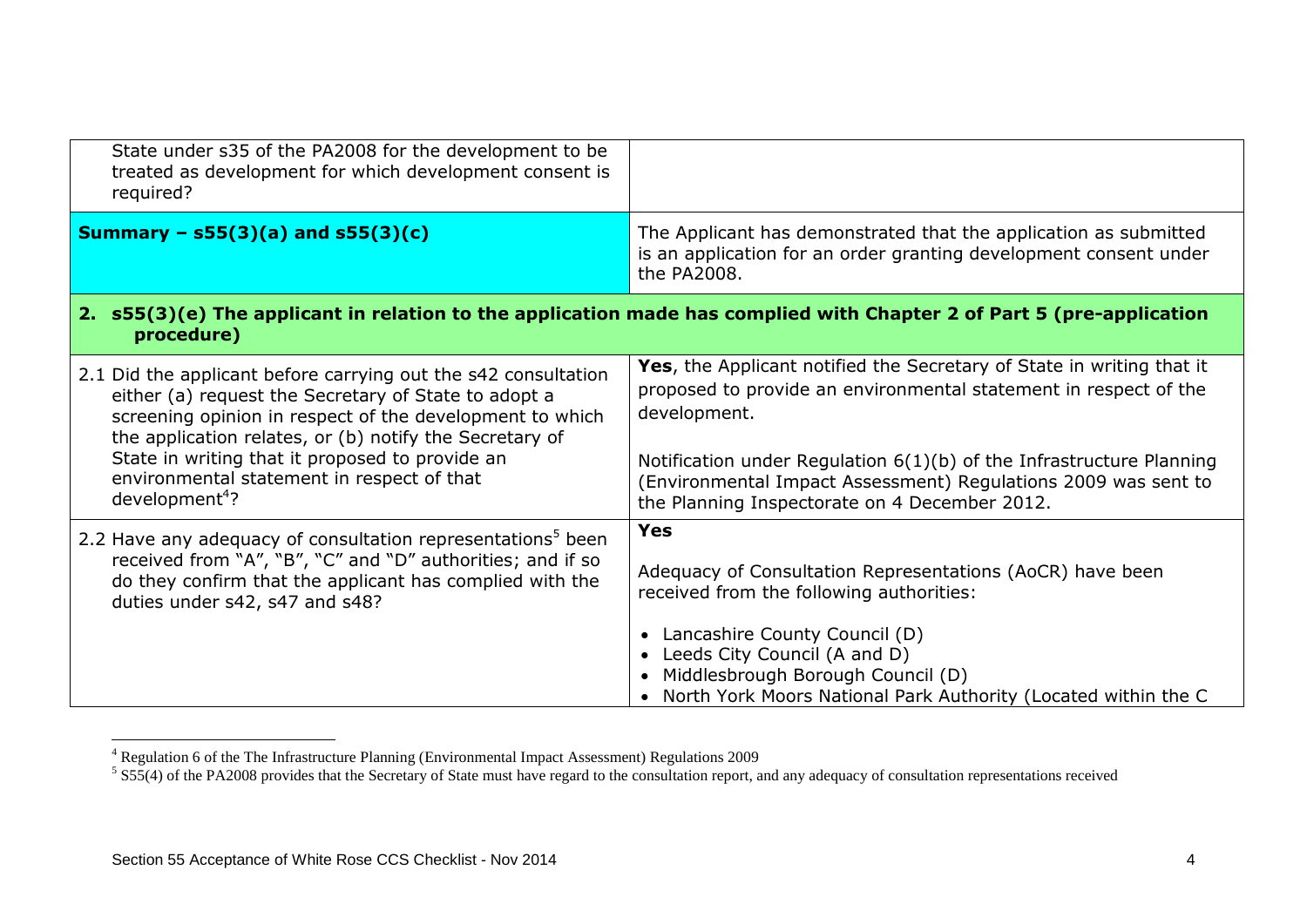| State under s35 of the PA2008 for the development to be<br>treated as development for which development consent is<br>required?                                                                                                                                                                                                                                              |                                                                                                                                                                                                                                                                                                                                                      |
|------------------------------------------------------------------------------------------------------------------------------------------------------------------------------------------------------------------------------------------------------------------------------------------------------------------------------------------------------------------------------|------------------------------------------------------------------------------------------------------------------------------------------------------------------------------------------------------------------------------------------------------------------------------------------------------------------------------------------------------|
| Summary – $s55(3)(a)$ and $s55(3)(c)$                                                                                                                                                                                                                                                                                                                                        | The Applicant has demonstrated that the application as submitted<br>is an application for an order granting development consent under<br>the PA2008.                                                                                                                                                                                                 |
| procedure)                                                                                                                                                                                                                                                                                                                                                                   | 2. s55(3)(e) The applicant in relation to the application made has complied with Chapter 2 of Part 5 (pre-application                                                                                                                                                                                                                                |
| 2.1 Did the applicant before carrying out the s42 consultation<br>either (a) request the Secretary of State to adopt a<br>screening opinion in respect of the development to which<br>the application relates, or (b) notify the Secretary of<br>State in writing that it proposed to provide an<br>environmental statement in respect of that<br>development <sup>4</sup> ? | Yes, the Applicant notified the Secretary of State in writing that it<br>proposed to provide an environmental statement in respect of the<br>development.<br>Notification under Regulation 6(1)(b) of the Infrastructure Planning<br>(Environmental Impact Assessment) Regulations 2009 was sent to<br>the Planning Inspectorate on 4 December 2012. |
| 2.2 Have any adequacy of consultation representations <sup>5</sup> been<br>received from "A", "B", "C" and "D" authorities; and if so<br>do they confirm that the applicant has complied with the<br>duties under s42, s47 and s48?                                                                                                                                          | <b>Yes</b><br>Adequacy of Consultation Representations (AoCR) have been<br>received from the following authorities:<br>• Lancashire County Council (D)<br>Leeds City Council (A and D)<br>Middlesbrough Borough Council (D)<br>North York Moors National Park Authority (Located within the C                                                        |

<sup>&</sup>lt;sup>4</sup> Regulation 6 of the The Infrastructure Planning (Environmental Impact Assessment) Regulations 2009<br><sup>5</sup> S55(4) of the PA2008 provides that the Secretary of State must have regard to the consultation report, and any ade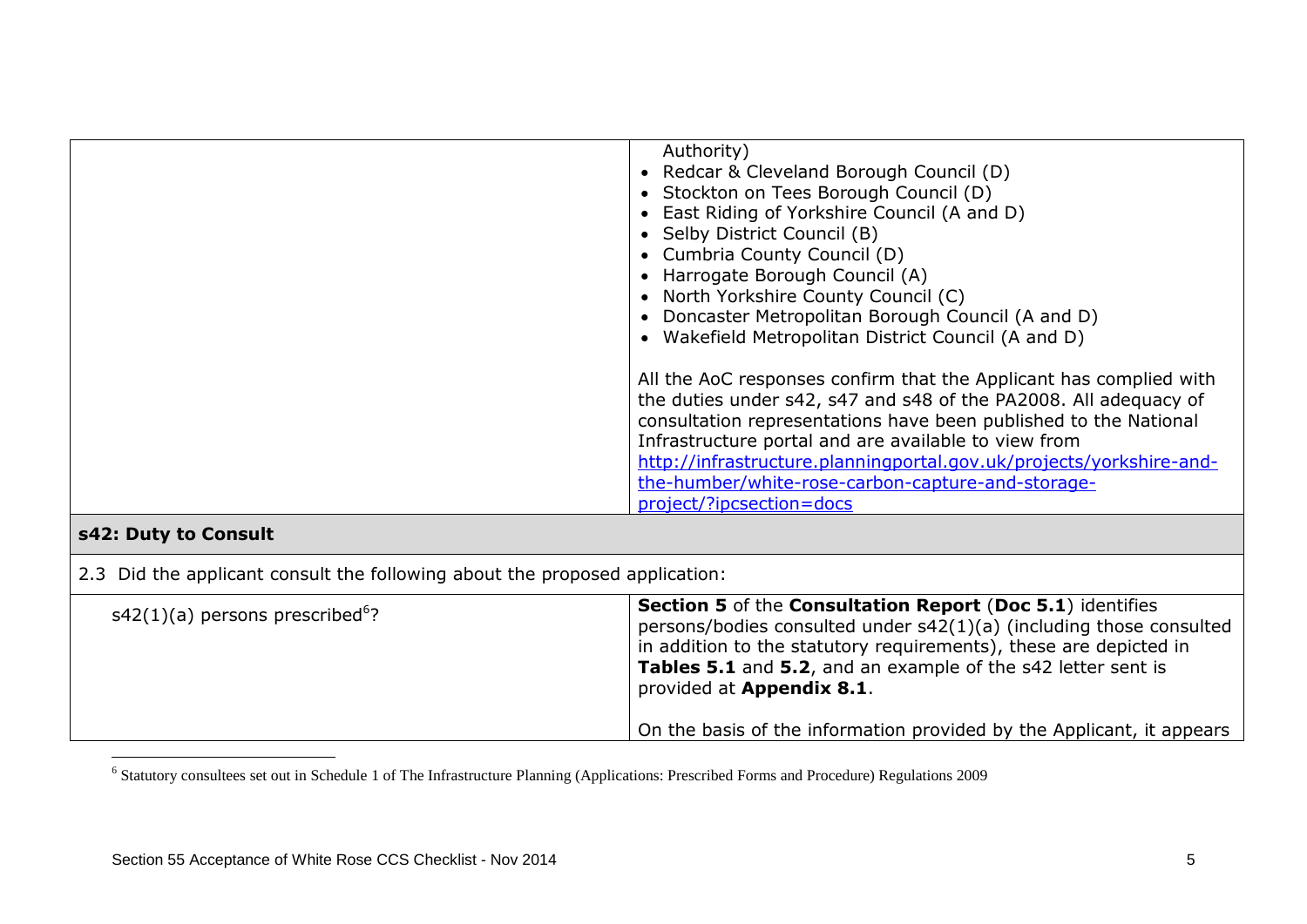|                      | Authority)<br>Redcar & Cleveland Borough Council (D)<br>Stockton on Tees Borough Council (D)<br>East Riding of Yorkshire Council (A and D)<br>Selby District Council (B)<br>Cumbria County Council (D)<br>Harrogate Borough Council (A)<br>North Yorkshire County Council (C)<br>Doncaster Metropolitan Borough Council (A and D)<br>Wakefield Metropolitan District Council (A and D)                                     |
|----------------------|----------------------------------------------------------------------------------------------------------------------------------------------------------------------------------------------------------------------------------------------------------------------------------------------------------------------------------------------------------------------------------------------------------------------------|
|                      | All the AoC responses confirm that the Applicant has complied with<br>the duties under s42, s47 and s48 of the PA2008. All adequacy of<br>consultation representations have been published to the National<br>Infrastructure portal and are available to view from<br>http://infrastructure.planningportal.gov.uk/projects/yorkshire-and-<br>the-humber/white-rose-carbon-capture-and-storage-<br>project/?ipcsection=docs |
| s42: Duty to Consult |                                                                                                                                                                                                                                                                                                                                                                                                                            |

2.3 Did the applicant consult the following about the proposed application:

| $s42(1)(a)$ persons prescribed <sup>6</sup> ? | <b>Section 5</b> of the <b>Consultation Report</b> (Doc 5.1) identifies<br>persons/bodies consulted under s42(1)(a) (including those consulted<br>$\frac{1}{2}$ in addition to the statutory requirements), these are depicted in<br>Tables 5.1 and 5.2, and an example of the s42 letter sent is<br>provided at Appendix 8.1. |
|-----------------------------------------------|--------------------------------------------------------------------------------------------------------------------------------------------------------------------------------------------------------------------------------------------------------------------------------------------------------------------------------|
|                                               | On the basis of the information provided by the Applicant, it appears                                                                                                                                                                                                                                                          |

 6 Statutory consultees set out in Schedule 1 of The Infrastructure Planning (Applications: Prescribed Forms and Procedure) Regulations 2009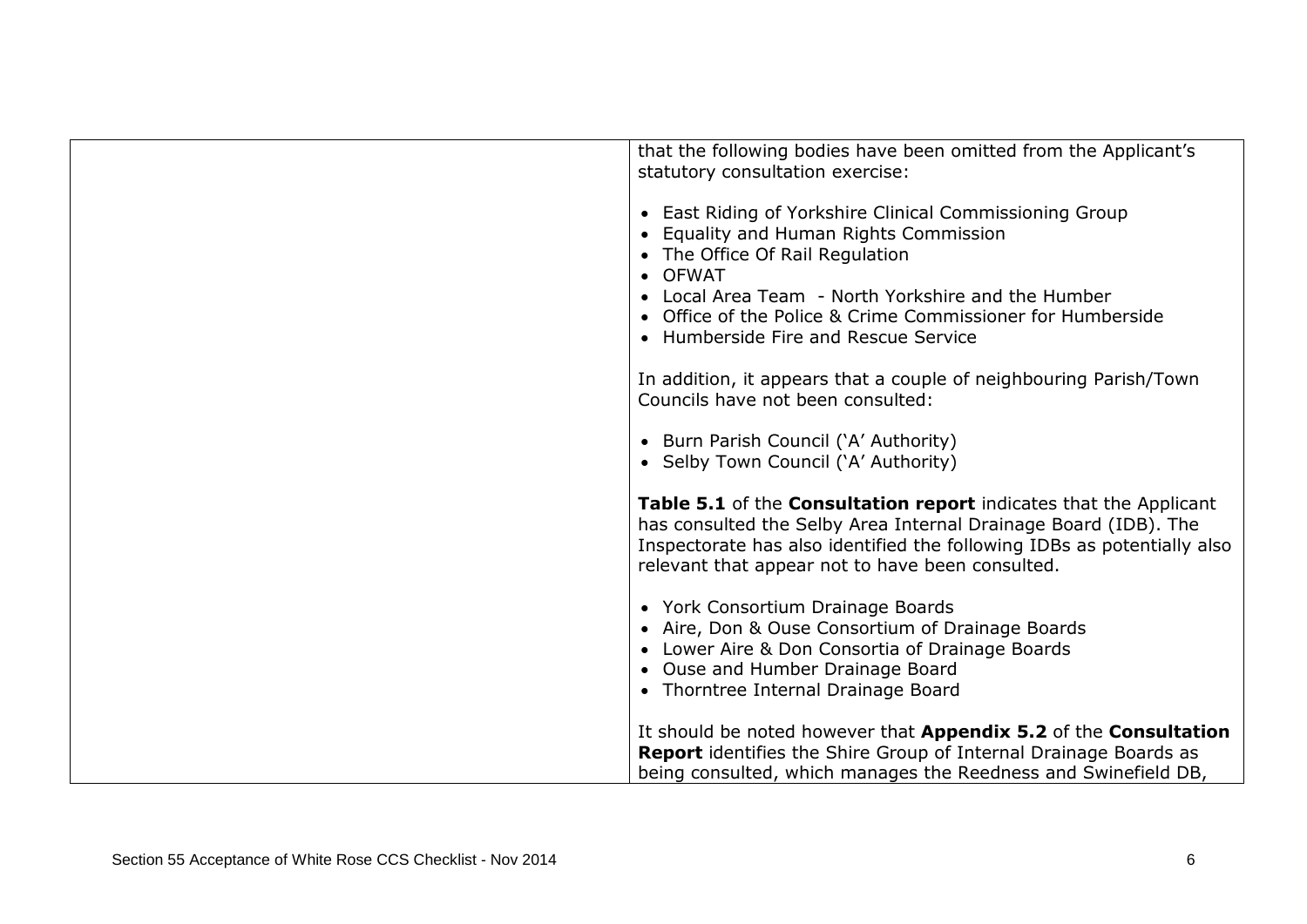| that the following bodies have been omitted from the Applicant's<br>statutory consultation exercise:   |
|--------------------------------------------------------------------------------------------------------|
|                                                                                                        |
| • East Riding of Yorkshire Clinical Commissioning Group                                                |
| • Equality and Human Rights Commission                                                                 |
| The Office Of Rail Regulation<br><b>OFWAT</b>                                                          |
| Local Area Team - North Yorkshire and the Humber                                                       |
| • Office of the Police & Crime Commissioner for Humberside                                             |
| • Humberside Fire and Rescue Service                                                                   |
|                                                                                                        |
| In addition, it appears that a couple of neighbouring Parish/Town<br>Councils have not been consulted: |
|                                                                                                        |
| • Burn Parish Council ('A' Authority)                                                                  |
| • Selby Town Council ('A' Authority)                                                                   |
| Table 5.1 of the Consultation report indicates that the Applicant                                      |
| has consulted the Selby Area Internal Drainage Board (IDB). The                                        |
| Inspectorate has also identified the following IDBs as potentially also                                |
| relevant that appear not to have been consulted.                                                       |
| • York Consortium Drainage Boards                                                                      |
| • Aire, Don & Ouse Consortium of Drainage Boards                                                       |
| • Lower Aire & Don Consortia of Drainage Boards                                                        |
| • Ouse and Humber Drainage Board                                                                       |
| • Thorntree Internal Drainage Board                                                                    |
| It should be noted however that Appendix 5.2 of the Consultation                                       |
| <b>Report</b> identifies the Shire Group of Internal Drainage Boards as                                |
| being consulted, which manages the Reedness and Swinefield DB,                                         |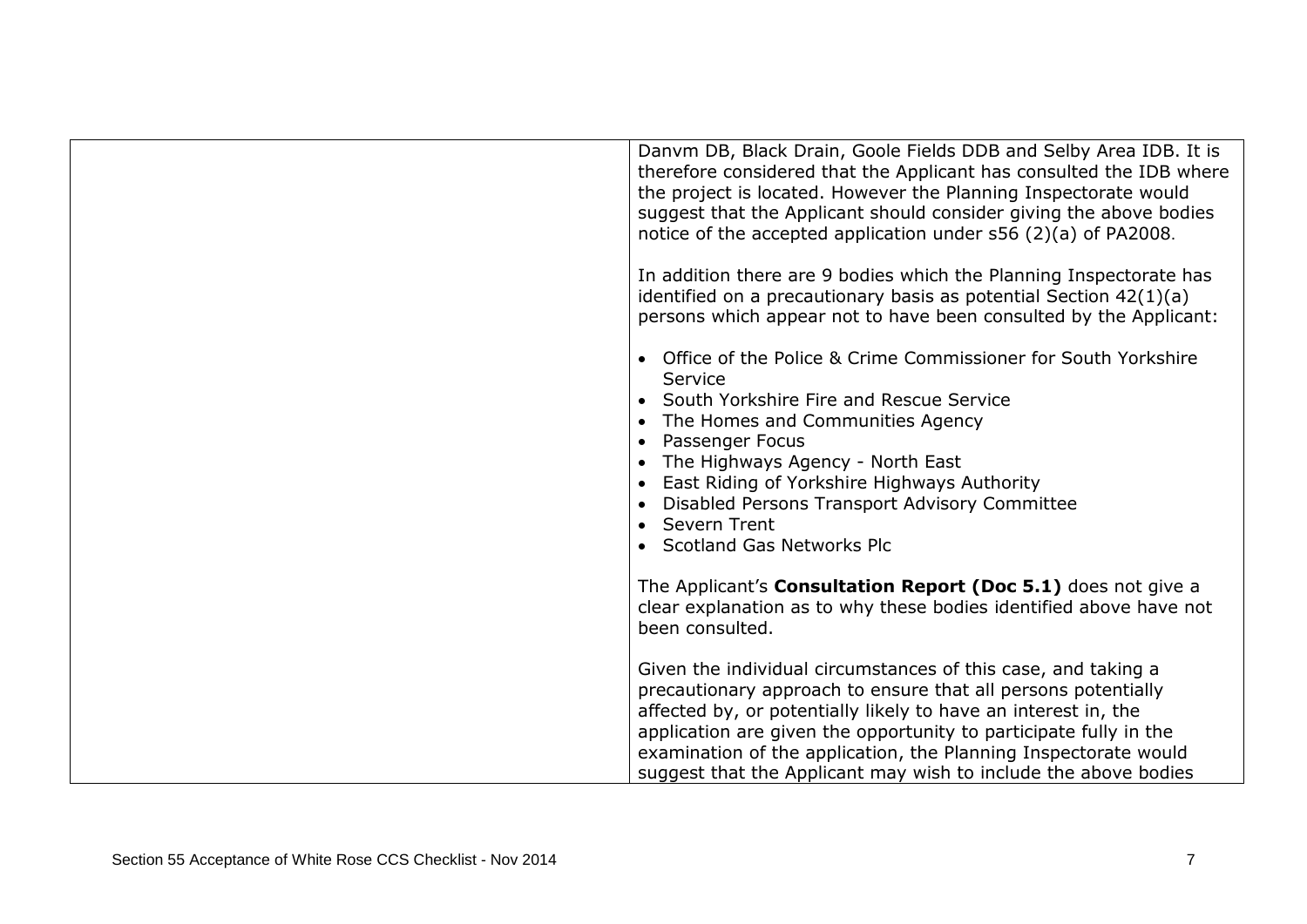| Danym DB, Black Drain, Goole Fields DDB and Selby Area IDB. It is<br>therefore considered that the Applicant has consulted the IDB where<br>the project is located. However the Planning Inspectorate would<br>suggest that the Applicant should consider giving the above bodies<br>notice of the accepted application under s56 (2)(a) of PA2008.                                                         |
|-------------------------------------------------------------------------------------------------------------------------------------------------------------------------------------------------------------------------------------------------------------------------------------------------------------------------------------------------------------------------------------------------------------|
| In addition there are 9 bodies which the Planning Inspectorate has<br>identified on a precautionary basis as potential Section $42(1)(a)$<br>persons which appear not to have been consulted by the Applicant:                                                                                                                                                                                              |
| Office of the Police & Crime Commissioner for South Yorkshire<br>Service<br>• South Yorkshire Fire and Rescue Service<br>The Homes and Communities Agency<br>$\bullet$<br>Passenger Focus<br>$\bullet$<br>The Highways Agency - North East<br>East Riding of Yorkshire Highways Authority<br>Disabled Persons Transport Advisory Committee<br>• Severn Trent<br>• Scotland Gas Networks Plc                 |
| The Applicant's Consultation Report (Doc 5.1) does not give a<br>clear explanation as to why these bodies identified above have not<br>been consulted.                                                                                                                                                                                                                                                      |
| Given the individual circumstances of this case, and taking a<br>precautionary approach to ensure that all persons potentially<br>affected by, or potentially likely to have an interest in, the<br>application are given the opportunity to participate fully in the<br>examination of the application, the Planning Inspectorate would<br>suggest that the Applicant may wish to include the above bodies |

г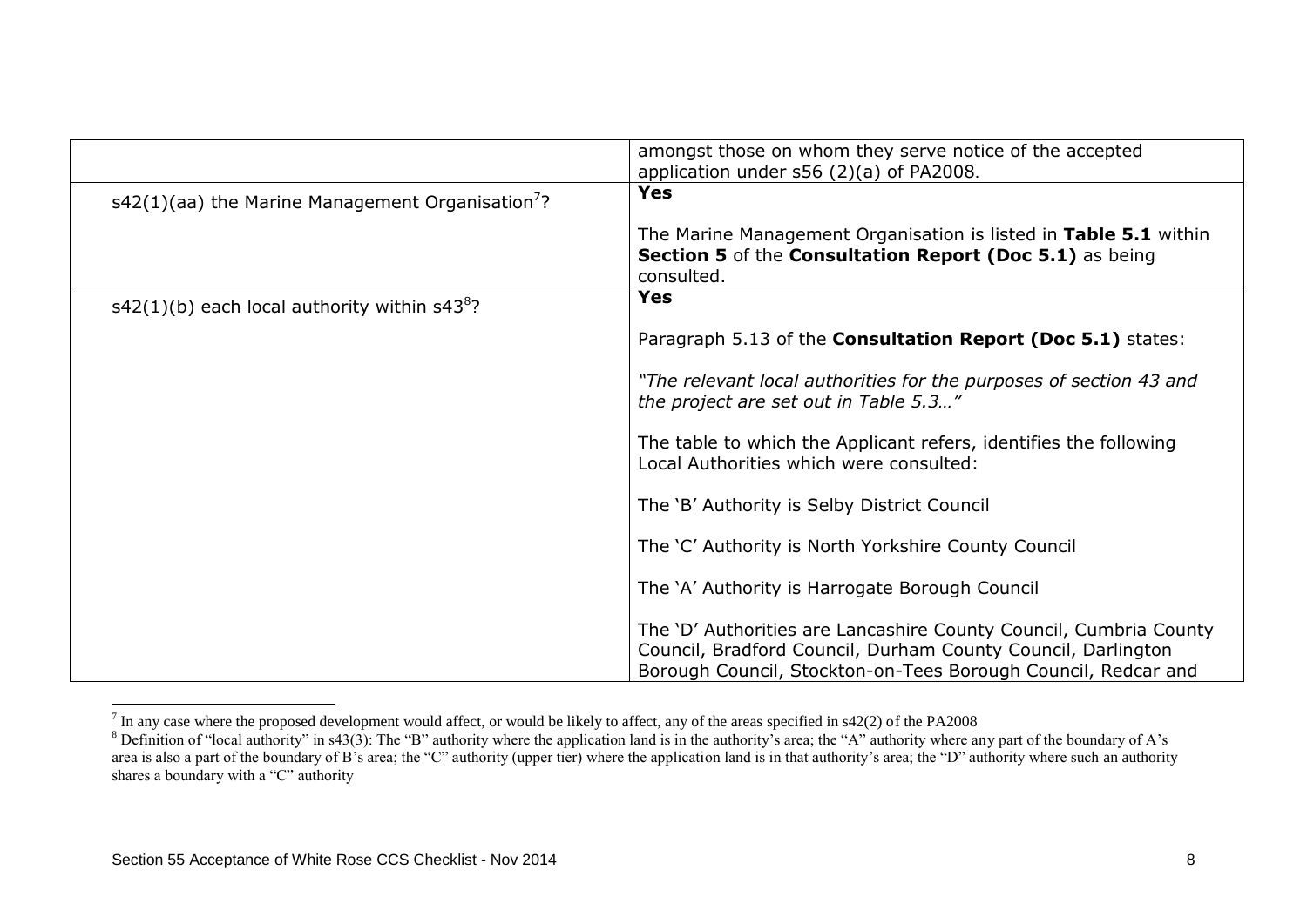|                                                                | amongst those on whom they serve notice of the accepted<br>application under s56 (2)(a) of PA2008.                                                                                                 |
|----------------------------------------------------------------|----------------------------------------------------------------------------------------------------------------------------------------------------------------------------------------------------|
| $s42(1)(aa)$ the Marine Management Organisation <sup>7</sup> ? | Yes                                                                                                                                                                                                |
|                                                                | The Marine Management Organisation is listed in Table 5.1 within<br>Section 5 of the Consultation Report (Doc 5.1) as being<br>consulted.                                                          |
| $s42(1)(b)$ each local authority within $s438$ ?               | <b>Yes</b>                                                                                                                                                                                         |
|                                                                | Paragraph 5.13 of the Consultation Report (Doc 5.1) states:                                                                                                                                        |
|                                                                | "The relevant local authorities for the purposes of section 43 and<br>the project are set out in Table 5.3"                                                                                        |
|                                                                | The table to which the Applicant refers, identifies the following<br>Local Authorities which were consulted:                                                                                       |
|                                                                | The 'B' Authority is Selby District Council                                                                                                                                                        |
|                                                                | The 'C' Authority is North Yorkshire County Council                                                                                                                                                |
|                                                                | The 'A' Authority is Harrogate Borough Council                                                                                                                                                     |
|                                                                | The 'D' Authorities are Lancashire County Council, Cumbria County<br>Council, Bradford Council, Durham County Council, Darlington<br>Borough Council, Stockton-on-Tees Borough Council, Redcar and |

The any case where the proposed development would affect, or would be likely to affect, any of the areas specified in s42(2) of the PA2008

<sup>&</sup>lt;sup>8</sup> Definition of "local authority" in s43(3): The "B" authority where the application land is in the authority's area; the "A" authority where any part of the boundary of A's area is also a part of the boundary of B's area; the "C" authority (upper tier) where the application land is in that authority's area; the "D" authority where such an authority shares a boundary with a "C" authority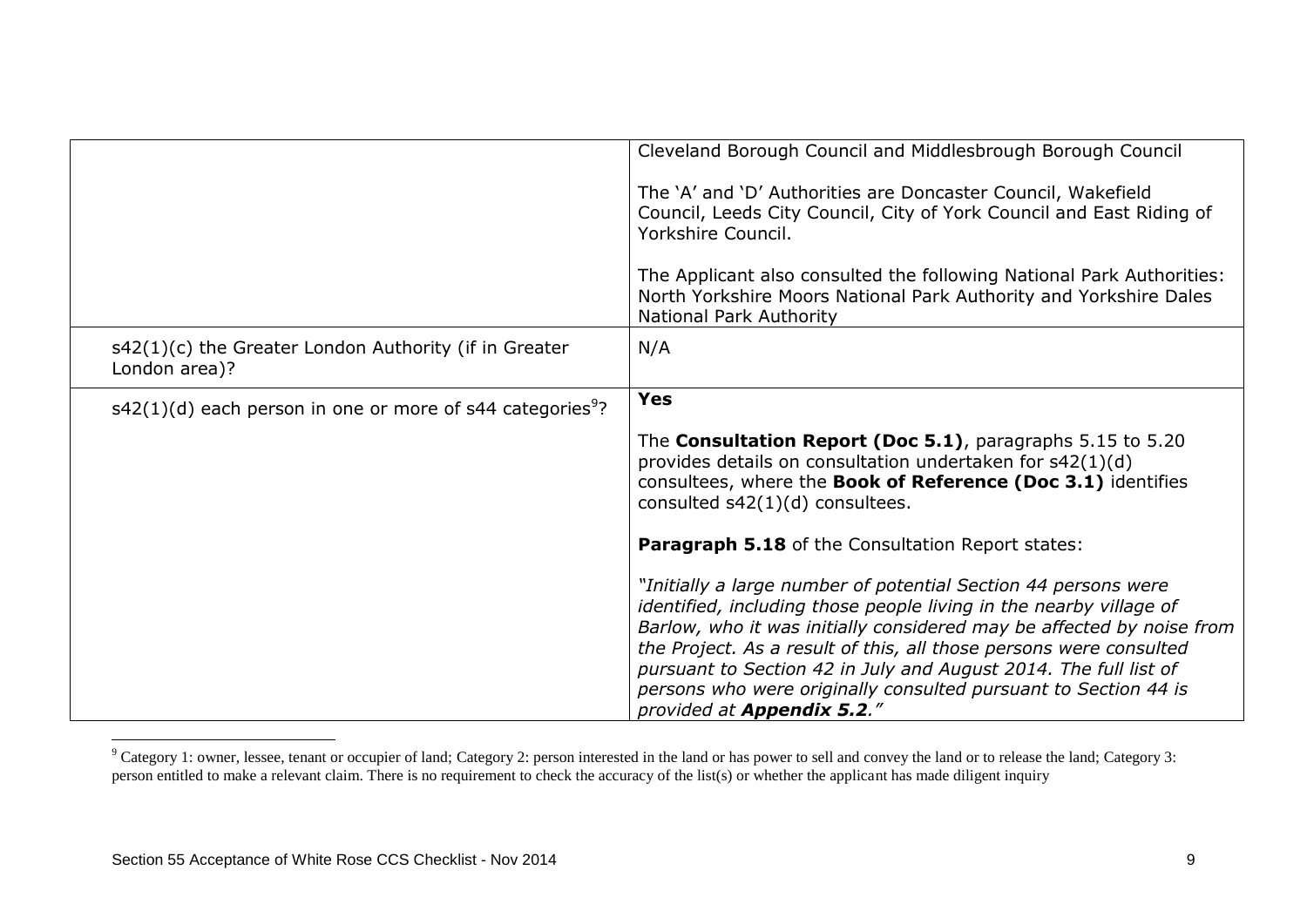|                                                                         | Cleveland Borough Council and Middlesbrough Borough Council                                                                                                                                                                                                                                                                                                                                                                                                      |
|-------------------------------------------------------------------------|------------------------------------------------------------------------------------------------------------------------------------------------------------------------------------------------------------------------------------------------------------------------------------------------------------------------------------------------------------------------------------------------------------------------------------------------------------------|
|                                                                         | The 'A' and 'D' Authorities are Doncaster Council, Wakefield<br>Council, Leeds City Council, City of York Council and East Riding of<br>Yorkshire Council.                                                                                                                                                                                                                                                                                                       |
|                                                                         | The Applicant also consulted the following National Park Authorities:<br>North Yorkshire Moors National Park Authority and Yorkshire Dales<br>National Park Authority                                                                                                                                                                                                                                                                                            |
| s42(1)(c) the Greater London Authority (if in Greater<br>London area)?  | N/A                                                                                                                                                                                                                                                                                                                                                                                                                                                              |
| $s42(1)(d)$ each person in one or more of s44 categories <sup>9</sup> ? | <b>Yes</b>                                                                                                                                                                                                                                                                                                                                                                                                                                                       |
|                                                                         | The Consultation Report (Doc 5.1), paragraphs 5.15 to 5.20<br>provides details on consultation undertaken for s42(1)(d)<br>consultees, where the Book of Reference (Doc 3.1) identifies<br>consulted $s42(1)(d)$ consultees.                                                                                                                                                                                                                                     |
|                                                                         | Paragraph 5.18 of the Consultation Report states:                                                                                                                                                                                                                                                                                                                                                                                                                |
|                                                                         | "Initially a large number of potential Section 44 persons were<br>identified, including those people living in the nearby village of<br>Barlow, who it was initially considered may be affected by noise from<br>the Project. As a result of this, all those persons were consulted<br>pursuant to Section 42 in July and August 2014. The full list of<br>persons who were originally consulted pursuant to Section 44 is<br>provided at <b>Appendix 5.2</b> ." |

 $^9$  Category 1: owner, lessee, tenant or occupier of land; Category 2: person interested in the land or has power to sell and convey the land or to release the land; Category 3: person entitled to make a relevant claim. There is no requirement to check the accuracy of the list(s) or whether the applicant has made diligent inquiry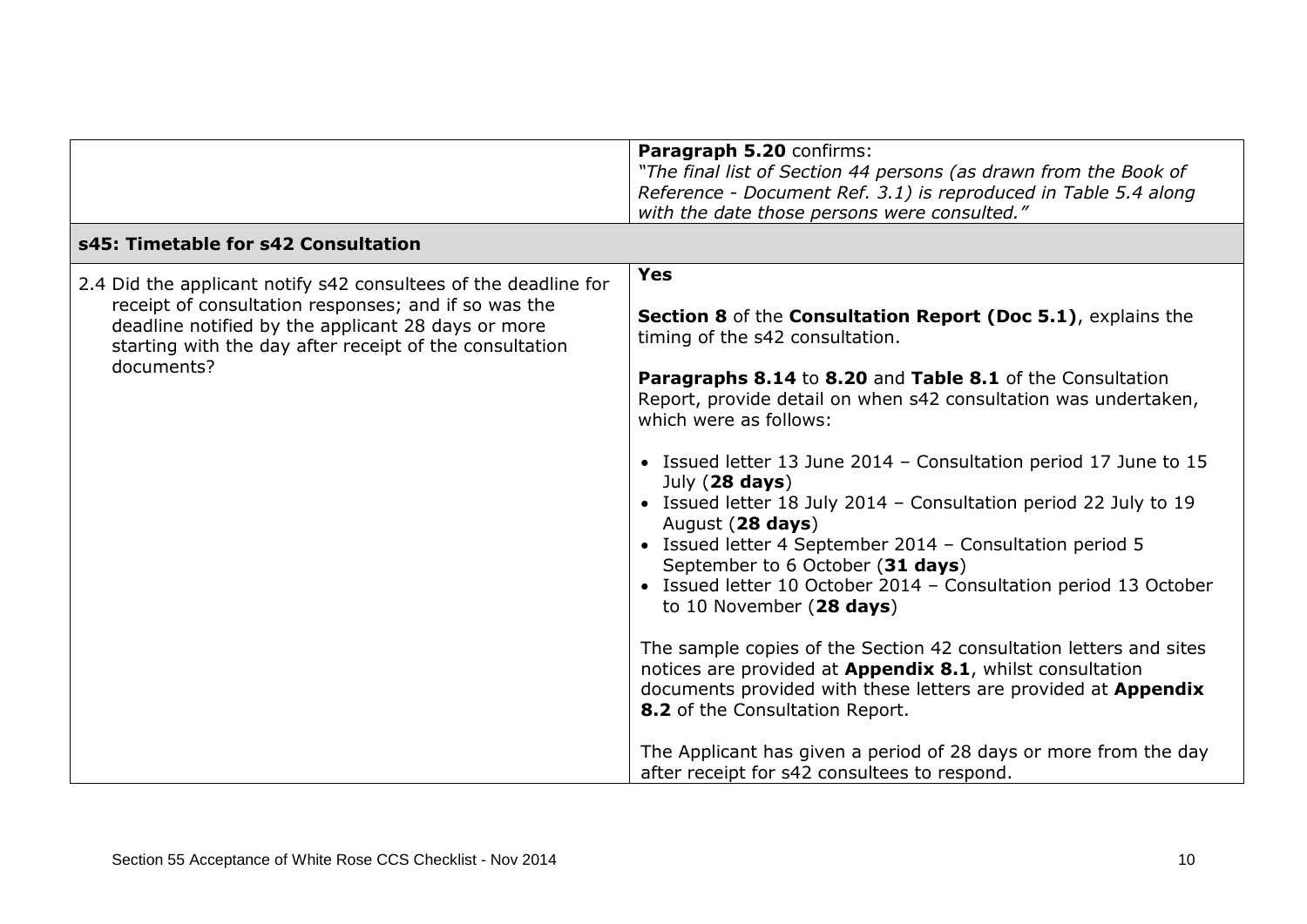|                                                                                                                                                                                                                                                        | Paragraph 5.20 confirms:<br>"The final list of Section 44 persons (as drawn from the Book of<br>Reference - Document Ref. 3.1) is reproduced in Table 5.4 along<br>with the date those persons were consulted."                                                                                                                                                                                                                                                                                                                                                                                                                                                                                                                                                                                                                                                                                                                                                                                                                       |
|--------------------------------------------------------------------------------------------------------------------------------------------------------------------------------------------------------------------------------------------------------|---------------------------------------------------------------------------------------------------------------------------------------------------------------------------------------------------------------------------------------------------------------------------------------------------------------------------------------------------------------------------------------------------------------------------------------------------------------------------------------------------------------------------------------------------------------------------------------------------------------------------------------------------------------------------------------------------------------------------------------------------------------------------------------------------------------------------------------------------------------------------------------------------------------------------------------------------------------------------------------------------------------------------------------|
| s45: Timetable for s42 Consultation                                                                                                                                                                                                                    |                                                                                                                                                                                                                                                                                                                                                                                                                                                                                                                                                                                                                                                                                                                                                                                                                                                                                                                                                                                                                                       |
| 2.4 Did the applicant notify s42 consultees of the deadline for<br>receipt of consultation responses; and if so was the<br>deadline notified by the applicant 28 days or more<br>starting with the day after receipt of the consultation<br>documents? | <b>Yes</b><br>Section 8 of the Consultation Report (Doc 5.1), explains the<br>timing of the s42 consultation.<br>Paragraphs 8.14 to 8.20 and Table 8.1 of the Consultation<br>Report, provide detail on when s42 consultation was undertaken,<br>which were as follows:<br>• Issued letter 13 June 2014 - Consultation period 17 June to 15<br>July $(28 \text{ days})$<br>• Issued letter 18 July 2014 - Consultation period 22 July to 19<br>August (28 days)<br>• Issued letter 4 September 2014 - Consultation period 5<br>September to 6 October (31 days)<br>• Issued letter 10 October 2014 - Consultation period 13 October<br>to 10 November $(28 \text{ days})$<br>The sample copies of the Section 42 consultation letters and sites<br>notices are provided at Appendix 8.1, whilst consultation<br>documents provided with these letters are provided at Appendix<br>8.2 of the Consultation Report.<br>The Applicant has given a period of 28 days or more from the day<br>after receipt for s42 consultees to respond. |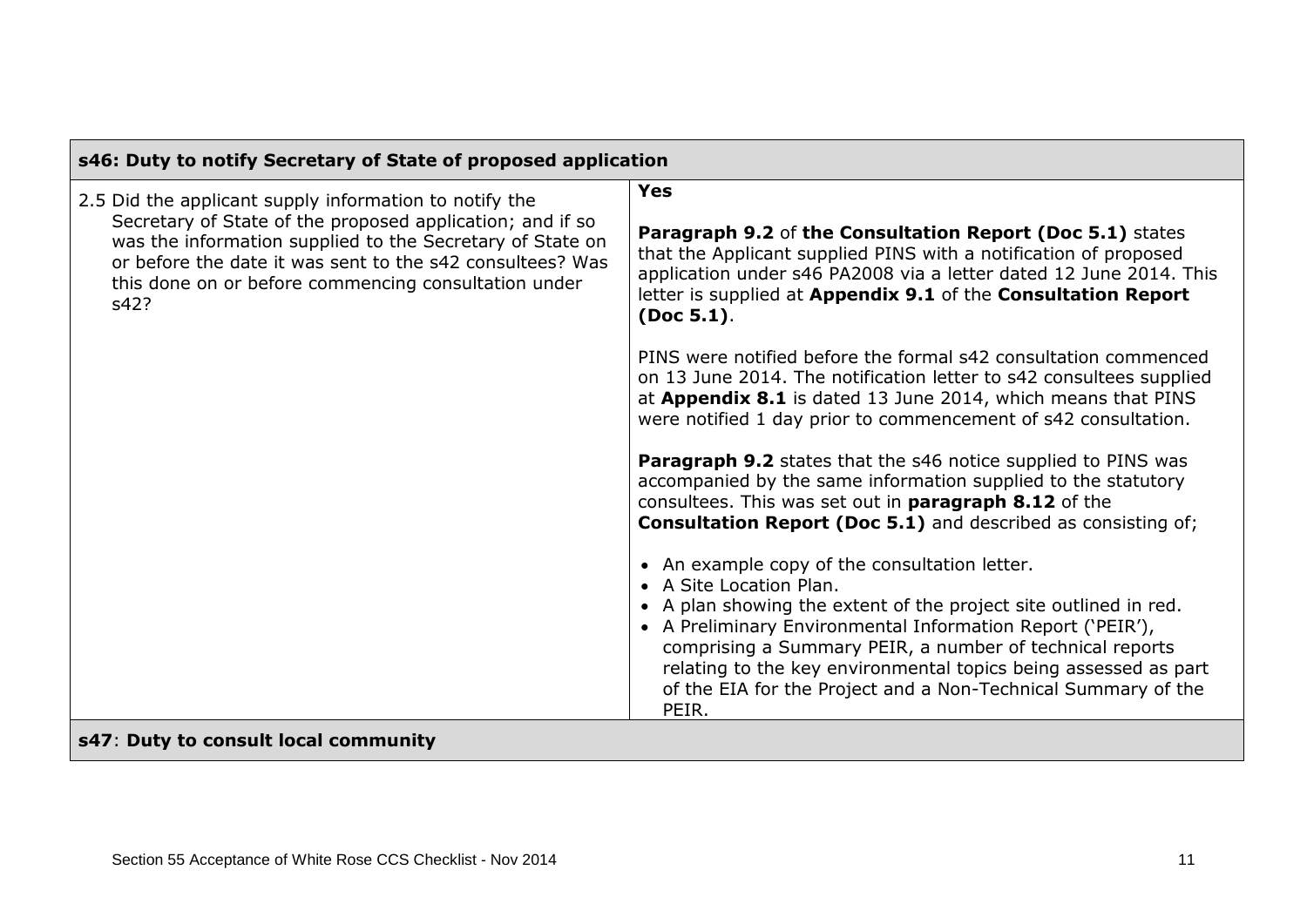| s46: Duty to notify Secretary of State of proposed application                                                                                                                                                                                                                                                |                                                                                                                                                                                                                                                                                                                                                                                                                     |  |
|---------------------------------------------------------------------------------------------------------------------------------------------------------------------------------------------------------------------------------------------------------------------------------------------------------------|---------------------------------------------------------------------------------------------------------------------------------------------------------------------------------------------------------------------------------------------------------------------------------------------------------------------------------------------------------------------------------------------------------------------|--|
| 2.5 Did the applicant supply information to notify the<br>Secretary of State of the proposed application; and if so<br>was the information supplied to the Secretary of State on<br>or before the date it was sent to the s42 consultees? Was<br>this done on or before commencing consultation under<br>s42? | <b>Yes</b>                                                                                                                                                                                                                                                                                                                                                                                                          |  |
|                                                                                                                                                                                                                                                                                                               | Paragraph 9.2 of the Consultation Report (Doc 5.1) states<br>that the Applicant supplied PINS with a notification of proposed<br>application under s46 PA2008 via a letter dated 12 June 2014. This<br>letter is supplied at Appendix 9.1 of the Consultation Report<br>(Doc 5.1).                                                                                                                                  |  |
|                                                                                                                                                                                                                                                                                                               | PINS were notified before the formal s42 consultation commenced<br>on 13 June 2014. The notification letter to s42 consultees supplied<br>at Appendix 8.1 is dated 13 June 2014, which means that PINS<br>were notified 1 day prior to commencement of s42 consultation.                                                                                                                                            |  |
|                                                                                                                                                                                                                                                                                                               | <b>Paragraph 9.2</b> states that the s46 notice supplied to PINS was<br>accompanied by the same information supplied to the statutory<br>consultees. This was set out in paragraph 8.12 of the<br><b>Consultation Report (Doc 5.1)</b> and described as consisting of;                                                                                                                                              |  |
|                                                                                                                                                                                                                                                                                                               | • An example copy of the consultation letter.<br>• A Site Location Plan.<br>• A plan showing the extent of the project site outlined in red.<br>• A Preliminary Environmental Information Report ('PEIR'),<br>comprising a Summary PEIR, a number of technical reports<br>relating to the key environmental topics being assessed as part<br>of the EIA for the Project and a Non-Technical Summary of the<br>PEIR. |  |
| s47: Duty to consult local community                                                                                                                                                                                                                                                                          |                                                                                                                                                                                                                                                                                                                                                                                                                     |  |

г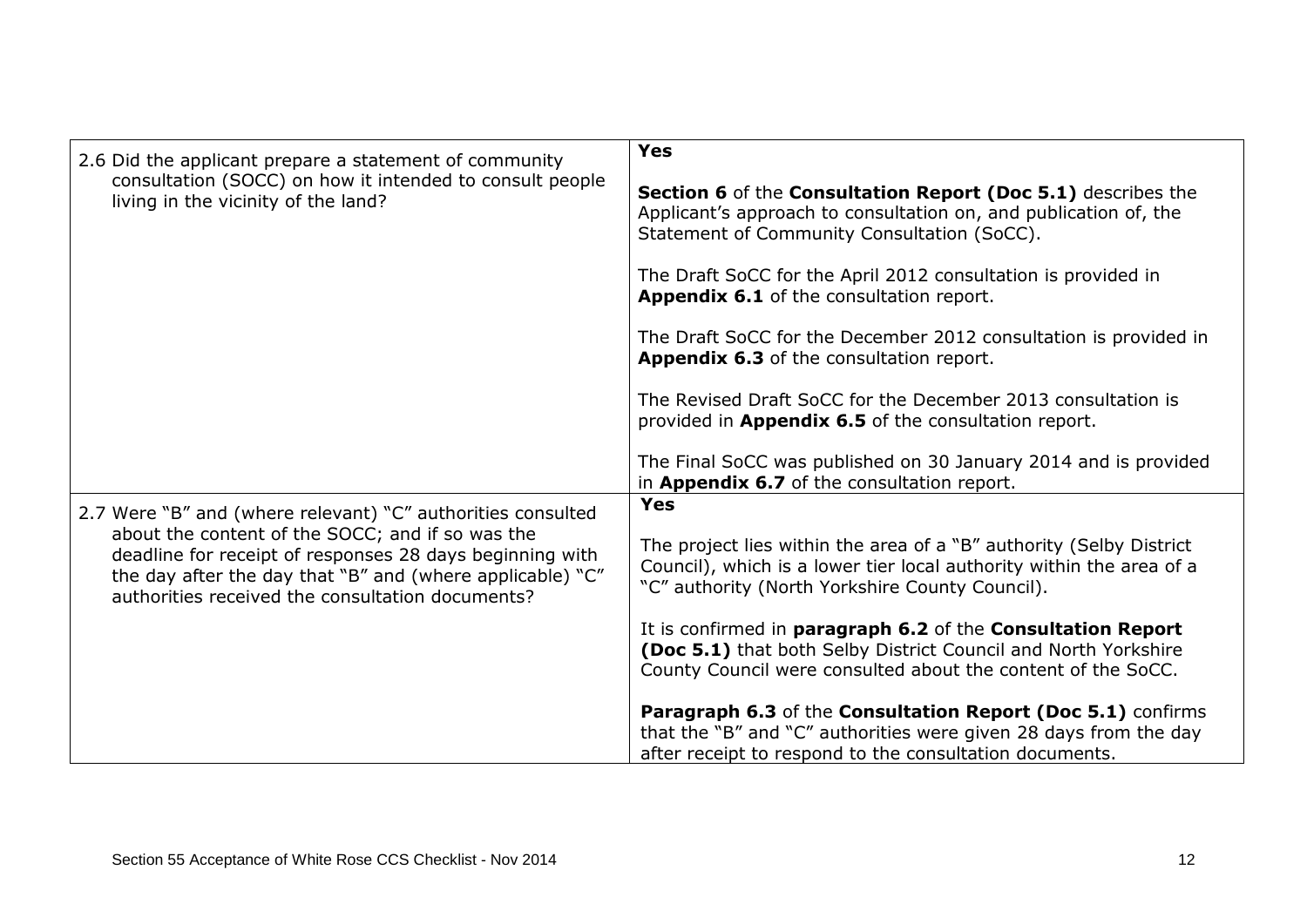| 2.6 Did the applicant prepare a statement of community                                                                                                                                                                        | <b>Yes</b>                                                                                                                                                                                     |
|-------------------------------------------------------------------------------------------------------------------------------------------------------------------------------------------------------------------------------|------------------------------------------------------------------------------------------------------------------------------------------------------------------------------------------------|
| consultation (SOCC) on how it intended to consult people<br>living in the vicinity of the land?                                                                                                                               | Section 6 of the Consultation Report (Doc 5.1) describes the<br>Applicant's approach to consultation on, and publication of, the<br>Statement of Community Consultation (SoCC).                |
|                                                                                                                                                                                                                               | The Draft SoCC for the April 2012 consultation is provided in<br>Appendix 6.1 of the consultation report.                                                                                      |
|                                                                                                                                                                                                                               | The Draft SoCC for the December 2012 consultation is provided in<br>Appendix 6.3 of the consultation report.                                                                                   |
|                                                                                                                                                                                                                               | The Revised Draft SoCC for the December 2013 consultation is<br>provided in Appendix 6.5 of the consultation report.                                                                           |
|                                                                                                                                                                                                                               | The Final SoCC was published on 30 January 2014 and is provided<br>in Appendix 6.7 of the consultation report.                                                                                 |
| 2.7 Were "B" and (where relevant) "C" authorities consulted                                                                                                                                                                   | <b>Yes</b>                                                                                                                                                                                     |
| about the content of the SOCC; and if so was the<br>deadline for receipt of responses 28 days beginning with<br>the day after the day that "B" and (where applicable) "C"<br>authorities received the consultation documents? | The project lies within the area of a "B" authority (Selby District<br>Council), which is a lower tier local authority within the area of a<br>"C" authority (North Yorkshire County Council). |
|                                                                                                                                                                                                                               | It is confirmed in paragraph 6.2 of the Consultation Report<br>(Doc 5.1) that both Selby District Council and North Yorkshire<br>County Council were consulted about the content of the SoCC.  |
|                                                                                                                                                                                                                               | Paragraph 6.3 of the Consultation Report (Doc 5.1) confirms<br>that the "B" and "C" authorities were given 28 days from the day<br>after receipt to respond to the consultation documents.     |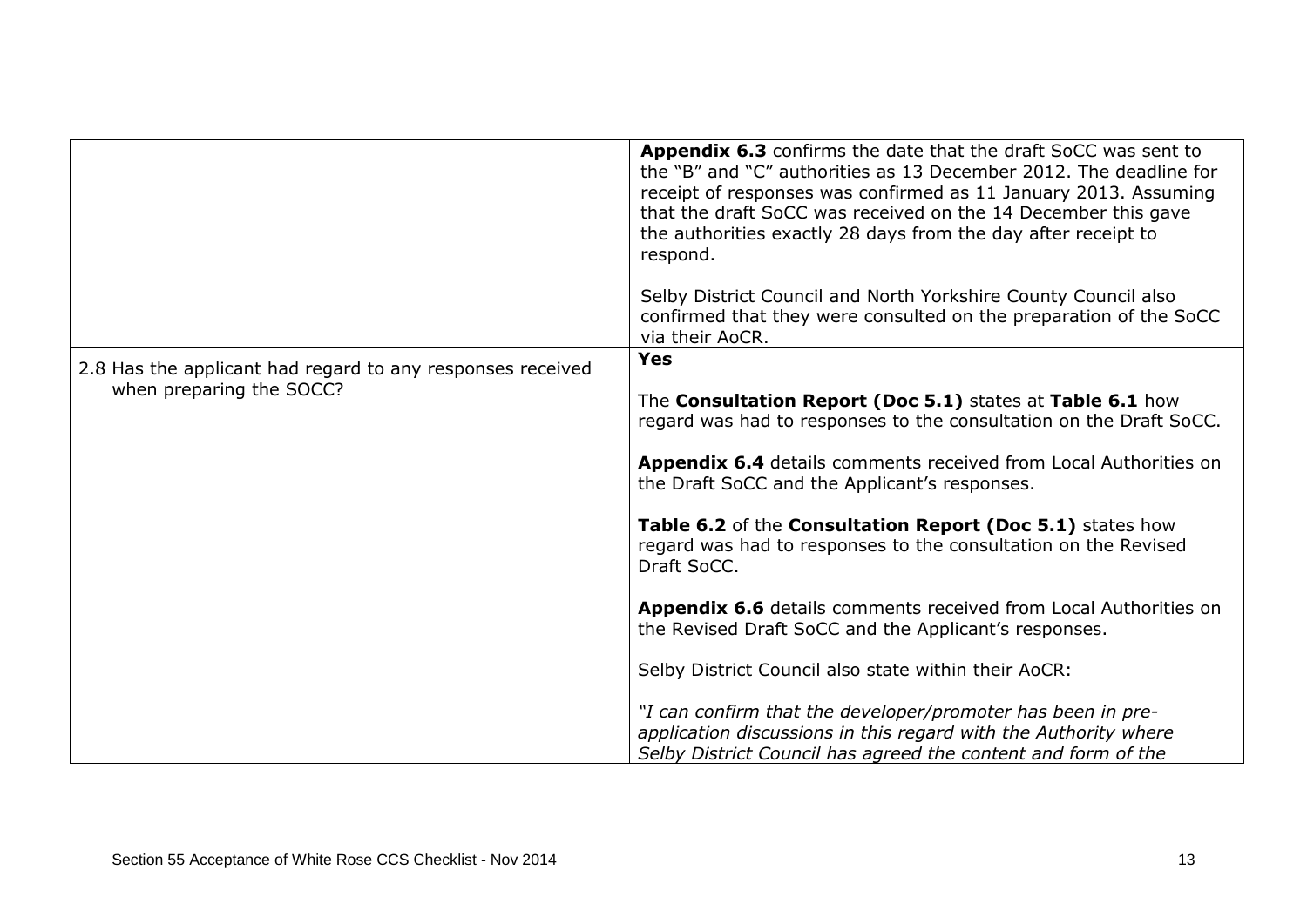|                                                            | Appendix 6.3 confirms the date that the draft SoCC was sent to<br>the "B" and "C" authorities as 13 December 2012. The deadline for<br>receipt of responses was confirmed as 11 January 2013. Assuming<br>that the draft SoCC was received on the 14 December this gave<br>the authorities exactly 28 days from the day after receipt to<br>respond. |
|------------------------------------------------------------|------------------------------------------------------------------------------------------------------------------------------------------------------------------------------------------------------------------------------------------------------------------------------------------------------------------------------------------------------|
|                                                            | Selby District Council and North Yorkshire County Council also<br>confirmed that they were consulted on the preparation of the SoCC<br>via their AoCR.                                                                                                                                                                                               |
| 2.8 Has the applicant had regard to any responses received | <b>Yes</b>                                                                                                                                                                                                                                                                                                                                           |
| when preparing the SOCC?                                   | The Consultation Report (Doc 5.1) states at Table 6.1 how<br>regard was had to responses to the consultation on the Draft SoCC.                                                                                                                                                                                                                      |
|                                                            | <b>Appendix 6.4</b> details comments received from Local Authorities on<br>the Draft SoCC and the Applicant's responses.                                                                                                                                                                                                                             |
|                                                            | Table 6.2 of the Consultation Report (Doc 5.1) states how<br>regard was had to responses to the consultation on the Revised<br>Draft SoCC.                                                                                                                                                                                                           |
|                                                            | <b>Appendix 6.6</b> details comments received from Local Authorities on<br>the Revised Draft SoCC and the Applicant's responses.                                                                                                                                                                                                                     |
|                                                            | Selby District Council also state within their AoCR:                                                                                                                                                                                                                                                                                                 |
|                                                            | "I can confirm that the developer/promoter has been in pre-<br>application discussions in this regard with the Authority where<br>Selby District Council has agreed the content and form of the                                                                                                                                                      |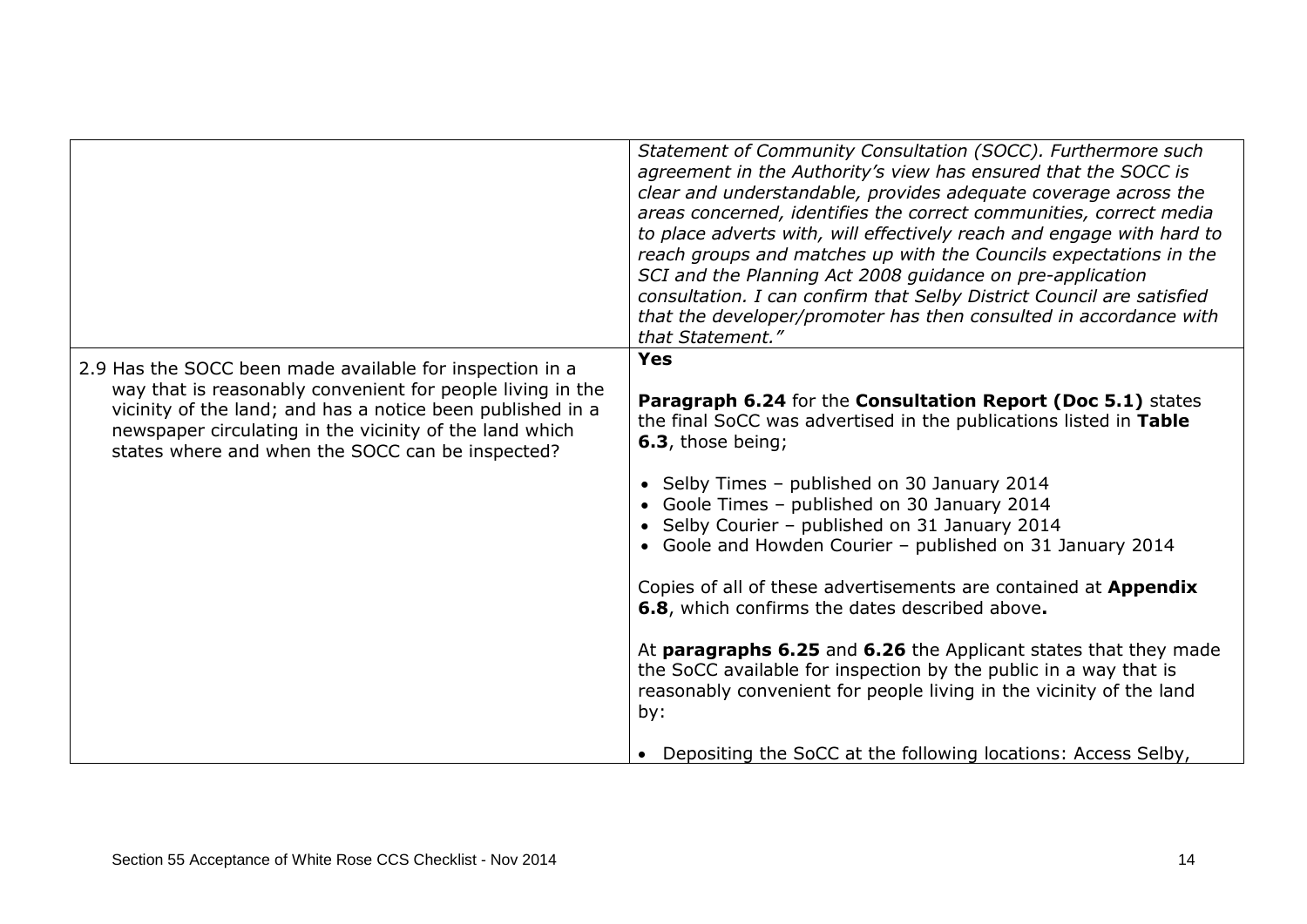|                                                                                                                                                                                                                                         | Statement of Community Consultation (SOCC). Furthermore such<br>agreement in the Authority's view has ensured that the SOCC is<br>clear and understandable, provides adequate coverage across the<br>areas concerned, identifies the correct communities, correct media<br>to place adverts with, will effectively reach and engage with hard to<br>reach groups and matches up with the Councils expectations in the<br>SCI and the Planning Act 2008 guidance on pre-application<br>consultation. I can confirm that Selby District Council are satisfied<br>that the developer/promoter has then consulted in accordance with |
|-----------------------------------------------------------------------------------------------------------------------------------------------------------------------------------------------------------------------------------------|----------------------------------------------------------------------------------------------------------------------------------------------------------------------------------------------------------------------------------------------------------------------------------------------------------------------------------------------------------------------------------------------------------------------------------------------------------------------------------------------------------------------------------------------------------------------------------------------------------------------------------|
|                                                                                                                                                                                                                                         | that Statement."                                                                                                                                                                                                                                                                                                                                                                                                                                                                                                                                                                                                                 |
| 2.9 Has the SOCC been made available for inspection in a                                                                                                                                                                                | <b>Yes</b>                                                                                                                                                                                                                                                                                                                                                                                                                                                                                                                                                                                                                       |
| way that is reasonably convenient for people living in the<br>vicinity of the land; and has a notice been published in a<br>newspaper circulating in the vicinity of the land which<br>states where and when the SOCC can be inspected? | Paragraph 6.24 for the Consultation Report (Doc 5.1) states<br>the final SoCC was advertised in the publications listed in Table<br>6.3, those being;                                                                                                                                                                                                                                                                                                                                                                                                                                                                            |
|                                                                                                                                                                                                                                         | • Selby Times - published on 30 January 2014<br>Goole Times - published on 30 January 2014<br>• Selby Courier - published on 31 January 2014<br>• Goole and Howden Courier - published on 31 January 2014                                                                                                                                                                                                                                                                                                                                                                                                                        |
|                                                                                                                                                                                                                                         | Copies of all of these advertisements are contained at Appendix<br>6.8, which confirms the dates described above.                                                                                                                                                                                                                                                                                                                                                                                                                                                                                                                |
|                                                                                                                                                                                                                                         | At paragraphs 6.25 and 6.26 the Applicant states that they made<br>the SoCC available for inspection by the public in a way that is<br>reasonably convenient for people living in the vicinity of the land<br>by:                                                                                                                                                                                                                                                                                                                                                                                                                |
|                                                                                                                                                                                                                                         | Depositing the SoCC at the following locations: Access Selby,                                                                                                                                                                                                                                                                                                                                                                                                                                                                                                                                                                    |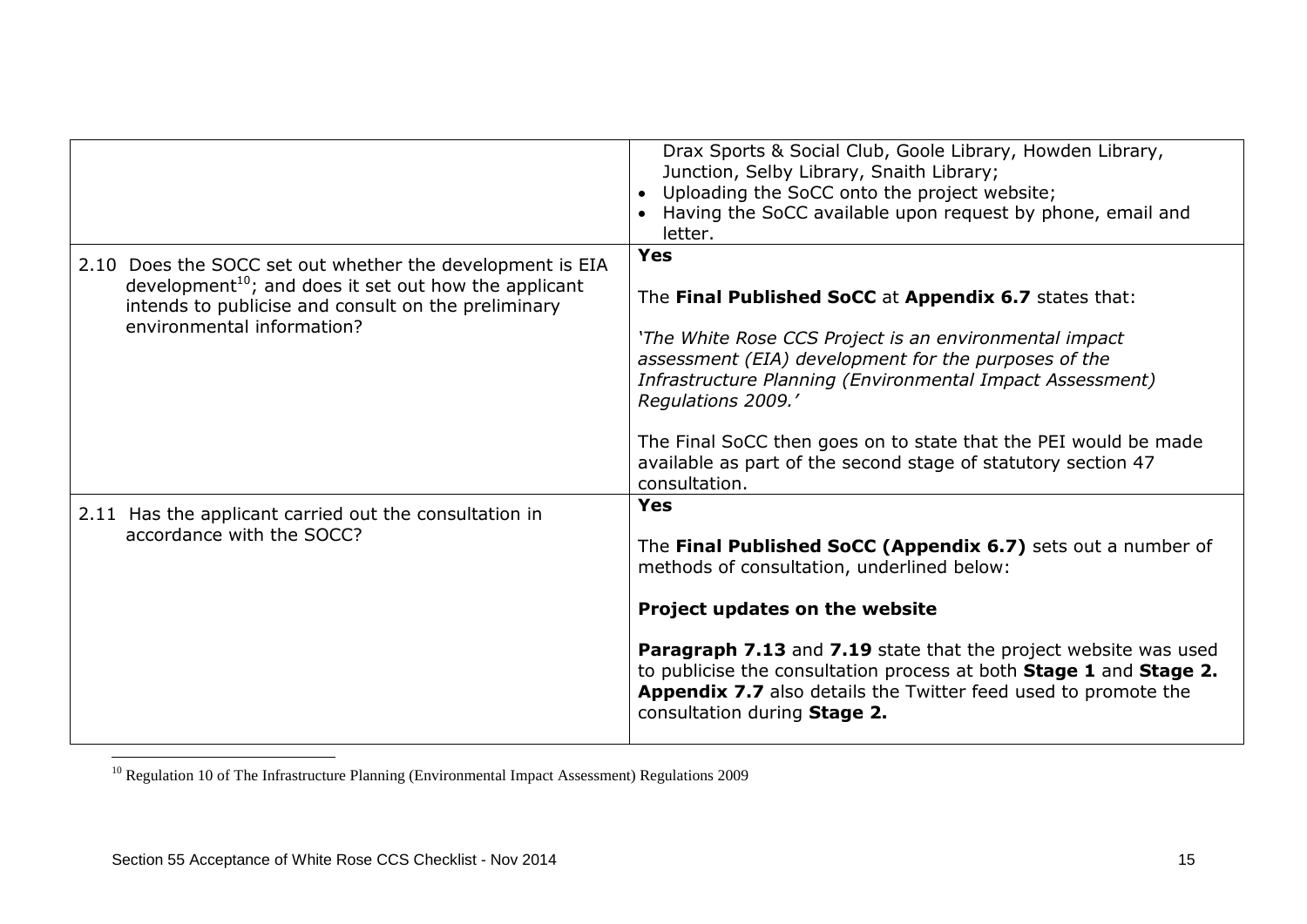|                                                                                                                                                                                                                     | Drax Sports & Social Club, Goole Library, Howden Library,<br>Junction, Selby Library, Snaith Library;<br>Uploading the SoCC onto the project website;<br>Having the SoCC available upon request by phone, email and<br>letter.                                                                                                                                                                                                |
|---------------------------------------------------------------------------------------------------------------------------------------------------------------------------------------------------------------------|-------------------------------------------------------------------------------------------------------------------------------------------------------------------------------------------------------------------------------------------------------------------------------------------------------------------------------------------------------------------------------------------------------------------------------|
| 2.10 Does the SOCC set out whether the development is EIA<br>development <sup>10</sup> ; and does it set out how the applicant<br>intends to publicise and consult on the preliminary<br>environmental information? | <b>Yes</b><br>The Final Published SoCC at Appendix 6.7 states that:<br>'The White Rose CCS Project is an environmental impact<br>assessment (EIA) development for the purposes of the<br>Infrastructure Planning (Environmental Impact Assessment)<br>Regulations 2009.'<br>The Final SoCC then goes on to state that the PEI would be made<br>available as part of the second stage of statutory section 47<br>consultation. |
| 2.11 Has the applicant carried out the consultation in<br>accordance with the SOCC?                                                                                                                                 | <b>Yes</b><br>The Final Published SoCC (Appendix 6.7) sets out a number of<br>methods of consultation, underlined below:<br>Project updates on the website<br><b>Paragraph 7.13</b> and 7.19 state that the project website was used<br>to publicise the consultation process at both Stage 1 and Stage 2.<br><b>Appendix 7.7</b> also details the Twitter feed used to promote the<br>consultation during Stage 2.           |

<sup>10</sup> Regulation 10 of The Infrastructure Planning (Environmental Impact Assessment) Regulations 2009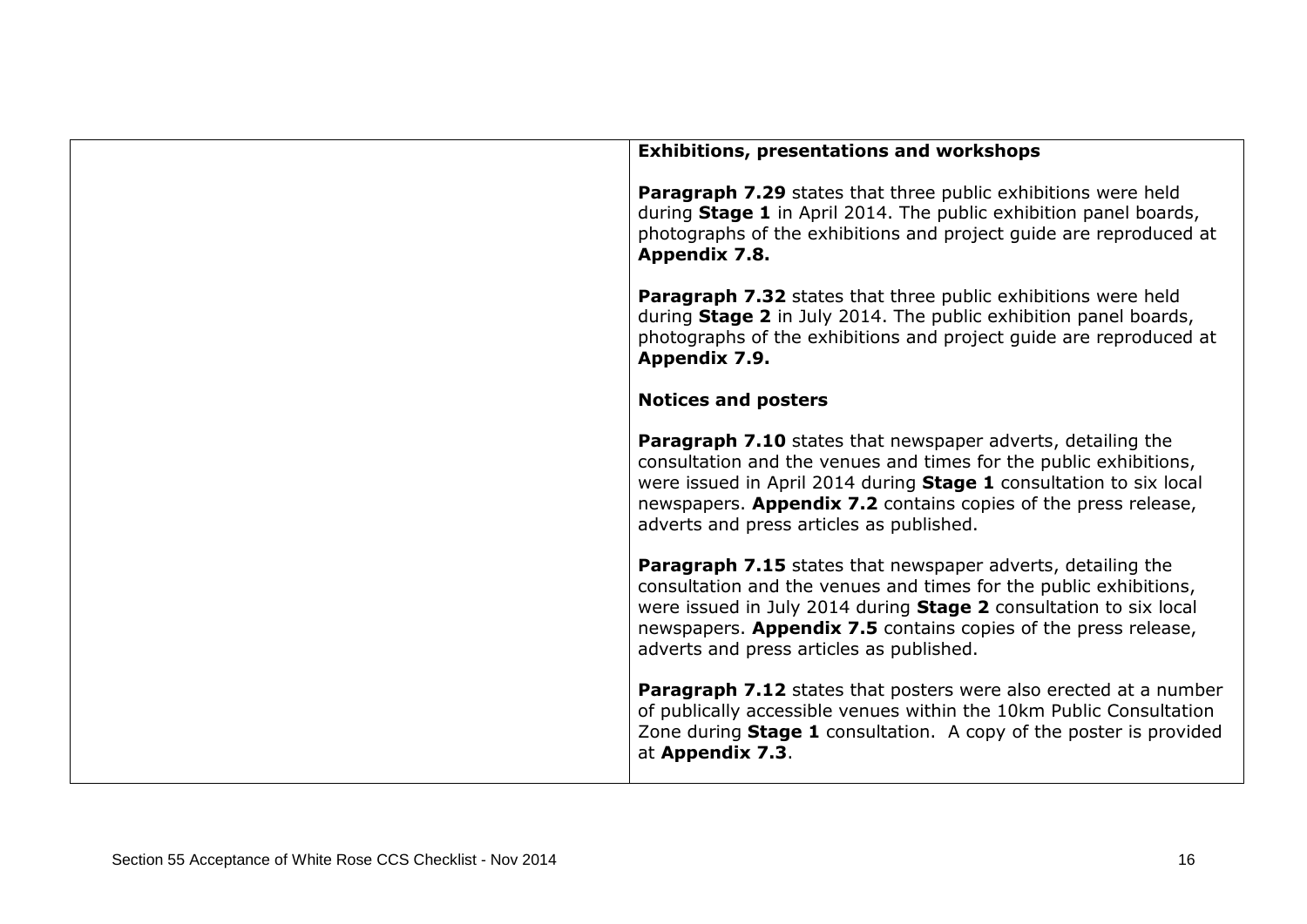| <b>Exhibitions, presentations and workshops</b>                                                                                                                                                                                                                                                                      |
|----------------------------------------------------------------------------------------------------------------------------------------------------------------------------------------------------------------------------------------------------------------------------------------------------------------------|
| Paragraph 7.29 states that three public exhibitions were held<br>during Stage 1 in April 2014. The public exhibition panel boards,<br>photographs of the exhibitions and project guide are reproduced at<br>Appendix 7.8.                                                                                            |
| Paragraph 7.32 states that three public exhibitions were held<br>during Stage 2 in July 2014. The public exhibition panel boards,<br>photographs of the exhibitions and project guide are reproduced at<br>Appendix 7.9.                                                                                             |
| <b>Notices and posters</b>                                                                                                                                                                                                                                                                                           |
| Paragraph 7.10 states that newspaper adverts, detailing the<br>consultation and the venues and times for the public exhibitions,<br>were issued in April 2014 during Stage 1 consultation to six local<br>newspapers. Appendix 7.2 contains copies of the press release,<br>adverts and press articles as published. |
| Paragraph 7.15 states that newspaper adverts, detailing the<br>consultation and the venues and times for the public exhibitions,<br>were issued in July 2014 during Stage 2 consultation to six local<br>newspapers. Appendix 7.5 contains copies of the press release,<br>adverts and press articles as published.  |
| <b>Paragraph 7.12</b> states that posters were also erected at a number<br>of publically accessible venues within the 10km Public Consultation<br>Zone during Stage 1 consultation. A copy of the poster is provided<br>at Appendix 7.3.                                                                             |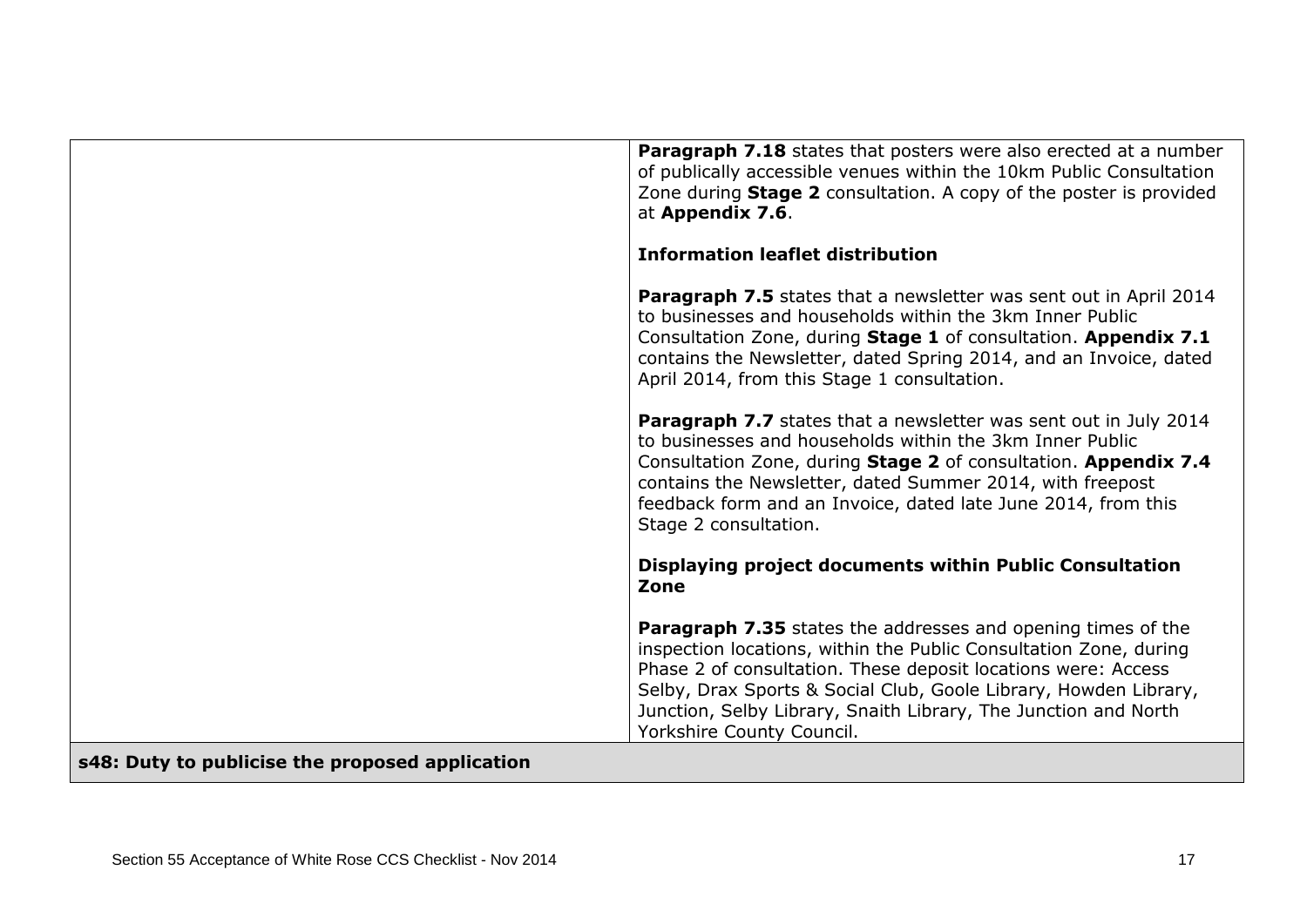|                                                 | <b>Paragraph 7.18</b> states that posters were also erected at a number<br>of publically accessible venues within the 10km Public Consultation<br>Zone during <b>Stage 2</b> consultation. A copy of the poster is provided<br>at Appendix 7.6.                                                                                                                               |
|-------------------------------------------------|-------------------------------------------------------------------------------------------------------------------------------------------------------------------------------------------------------------------------------------------------------------------------------------------------------------------------------------------------------------------------------|
|                                                 | <b>Information leaflet distribution</b>                                                                                                                                                                                                                                                                                                                                       |
|                                                 | <b>Paragraph 7.5</b> states that a newsletter was sent out in April 2014<br>to businesses and households within the 3km Inner Public<br>Consultation Zone, during Stage 1 of consultation. Appendix 7.1<br>contains the Newsletter, dated Spring 2014, and an Invoice, dated<br>April 2014, from this Stage 1 consultation.                                                   |
|                                                 | Paragraph 7.7 states that a newsletter was sent out in July 2014<br>to businesses and households within the 3km Inner Public<br>Consultation Zone, during Stage 2 of consultation. Appendix 7.4<br>contains the Newsletter, dated Summer 2014, with freepost<br>feedback form and an Invoice, dated late June 2014, from this<br>Stage 2 consultation.                        |
|                                                 | Displaying project documents within Public Consultation<br>Zone                                                                                                                                                                                                                                                                                                               |
|                                                 | <b>Paragraph 7.35</b> states the addresses and opening times of the<br>inspection locations, within the Public Consultation Zone, during<br>Phase 2 of consultation. These deposit locations were: Access<br>Selby, Drax Sports & Social Club, Goole Library, Howden Library,<br>Junction, Selby Library, Snaith Library, The Junction and North<br>Yorkshire County Council. |
| s48: Duty to publicise the proposed application |                                                                                                                                                                                                                                                                                                                                                                               |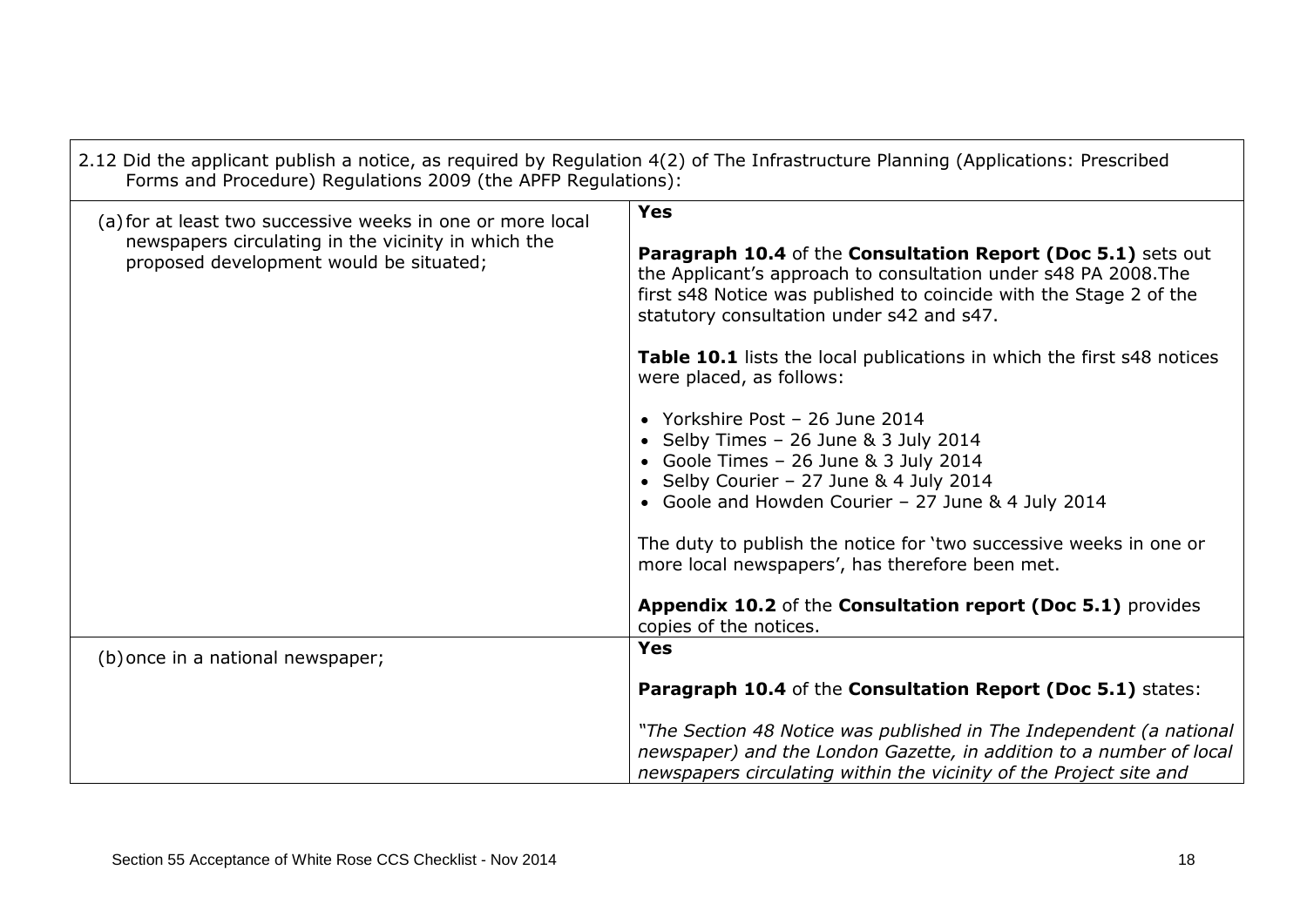| 2.12 Did the applicant publish a notice, as required by Regulation 4(2) of The Infrastructure Planning (Applications: Prescribed<br>Forms and Procedure) Regulations 2009 (the APFP Regulations): |                                                                                                                                                                                                                                                    |
|---------------------------------------------------------------------------------------------------------------------------------------------------------------------------------------------------|----------------------------------------------------------------------------------------------------------------------------------------------------------------------------------------------------------------------------------------------------|
| (a) for at least two successive weeks in one or more local<br>newspapers circulating in the vicinity in which the                                                                                 | <b>Yes</b>                                                                                                                                                                                                                                         |
| proposed development would be situated;                                                                                                                                                           | Paragraph 10.4 of the Consultation Report (Doc 5.1) sets out<br>the Applicant's approach to consultation under s48 PA 2008. The<br>first s48 Notice was published to coincide with the Stage 2 of the<br>statutory consultation under s42 and s47. |
|                                                                                                                                                                                                   | Table 10.1 lists the local publications in which the first s48 notices<br>were placed, as follows:                                                                                                                                                 |
|                                                                                                                                                                                                   | • Yorkshire Post - 26 June 2014<br>• Selby Times - 26 June & 3 July 2014<br>• Goole Times - 26 June & 3 July 2014<br>• Selby Courier - 27 June & 4 July 2014<br>• Goole and Howden Courier - 27 June & 4 July 2014                                 |
|                                                                                                                                                                                                   | The duty to publish the notice for 'two successive weeks in one or<br>more local newspapers', has therefore been met.                                                                                                                              |
|                                                                                                                                                                                                   | Appendix 10.2 of the Consultation report (Doc 5.1) provides<br>copies of the notices.                                                                                                                                                              |
| (b) once in a national newspaper;                                                                                                                                                                 | <b>Yes</b>                                                                                                                                                                                                                                         |
|                                                                                                                                                                                                   | Paragraph 10.4 of the Consultation Report (Doc 5.1) states:                                                                                                                                                                                        |
|                                                                                                                                                                                                   | "The Section 48 Notice was published in The Independent (a national<br>newspaper) and the London Gazette, in addition to a number of local<br>newspapers circulating within the vicinity of the Project site and                                   |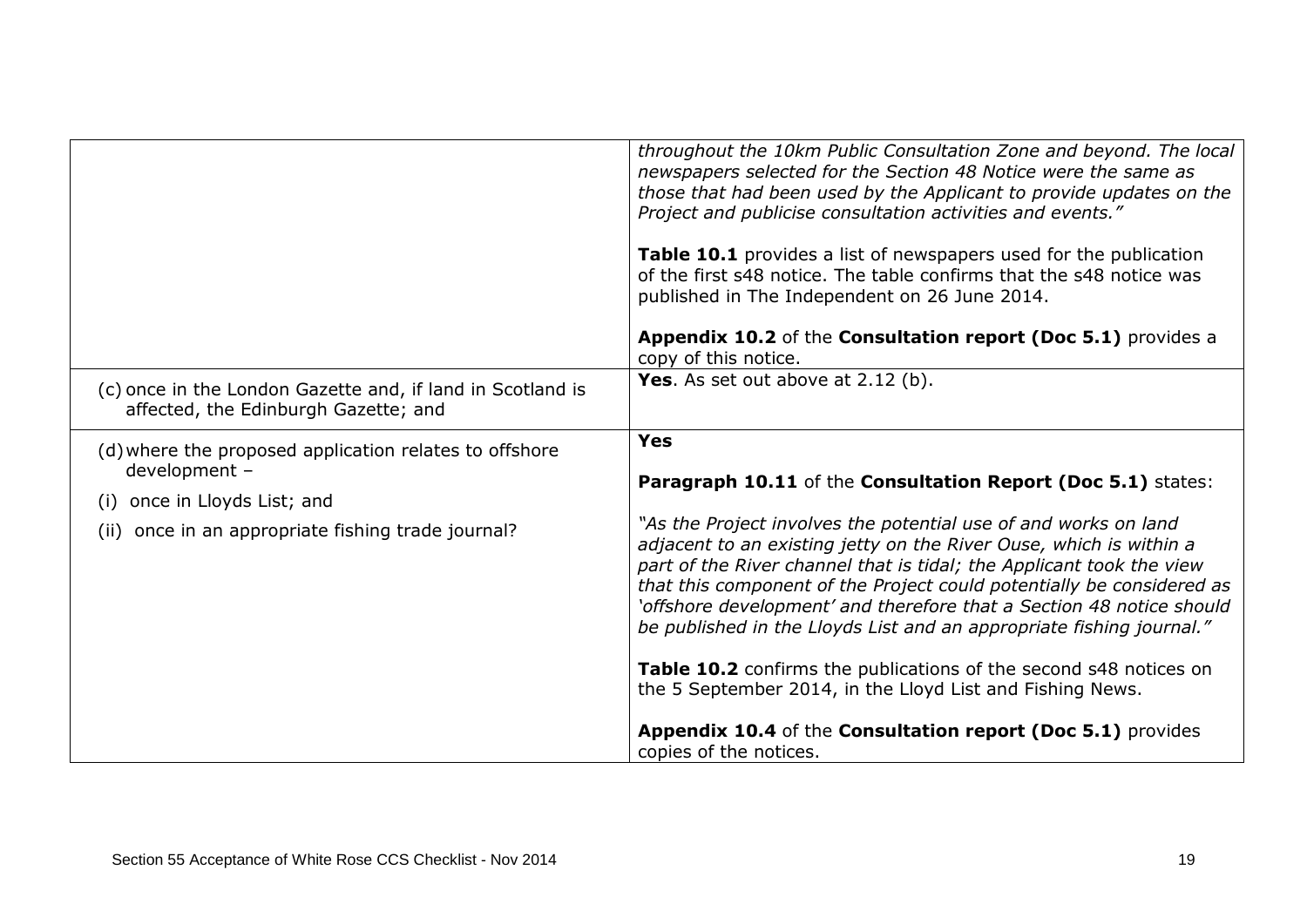|                                                                                                                                                                     | throughout the 10km Public Consultation Zone and beyond. The local<br>newspapers selected for the Section 48 Notice were the same as<br>those that had been used by the Applicant to provide updates on the<br>Project and publicise consultation activities and events."<br>Table 10.1 provides a list of newspapers used for the publication<br>of the first s48 notice. The table confirms that the s48 notice was<br>published in The Independent on 26 June 2014.<br>Appendix 10.2 of the Consultation report (Doc 5.1) provides a<br>copy of this notice.                                                                                                                                                                                 |
|---------------------------------------------------------------------------------------------------------------------------------------------------------------------|-------------------------------------------------------------------------------------------------------------------------------------------------------------------------------------------------------------------------------------------------------------------------------------------------------------------------------------------------------------------------------------------------------------------------------------------------------------------------------------------------------------------------------------------------------------------------------------------------------------------------------------------------------------------------------------------------------------------------------------------------|
| (c) once in the London Gazette and, if land in Scotland is<br>affected, the Edinburgh Gazette; and                                                                  | Yes. As set out above at 2.12 (b).                                                                                                                                                                                                                                                                                                                                                                                                                                                                                                                                                                                                                                                                                                              |
| (d) where the proposed application relates to offshore<br>development -<br>once in Lloyds List; and<br>(i)<br>once in an appropriate fishing trade journal?<br>(ii) | <b>Yes</b><br>Paragraph 10.11 of the Consultation Report (Doc 5.1) states:<br>"As the Project involves the potential use of and works on land<br>adjacent to an existing jetty on the River Ouse, which is within a<br>part of the River channel that is tidal; the Applicant took the view<br>that this component of the Project could potentially be considered as<br>'offshore development' and therefore that a Section 48 notice should<br>be published in the Lloyds List and an appropriate fishing journal."<br>Table 10.2 confirms the publications of the second s48 notices on<br>the 5 September 2014, in the Lloyd List and Fishing News.<br>Appendix 10.4 of the Consultation report (Doc 5.1) provides<br>copies of the notices. |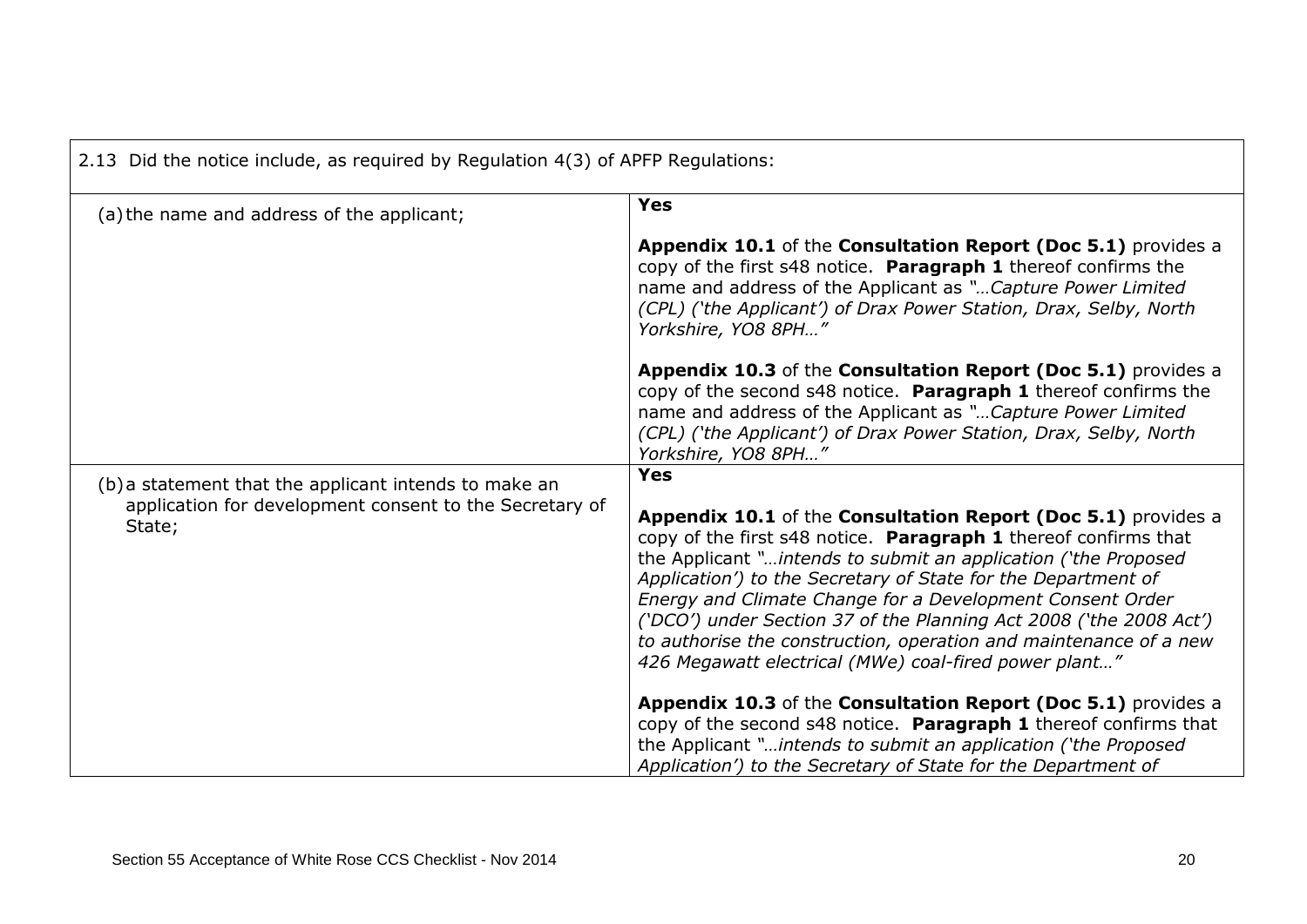| 2.13 Did the notice include, as required by Regulation 4(3) of APFP Regulations: |                                                                                                                                                                                                                                                                                                                                                                                                                                                                                                                                      |
|----------------------------------------------------------------------------------|--------------------------------------------------------------------------------------------------------------------------------------------------------------------------------------------------------------------------------------------------------------------------------------------------------------------------------------------------------------------------------------------------------------------------------------------------------------------------------------------------------------------------------------|
| (a) the name and address of the applicant;                                       | <b>Yes</b>                                                                                                                                                                                                                                                                                                                                                                                                                                                                                                                           |
|                                                                                  | Appendix 10.1 of the Consultation Report (Doc 5.1) provides a<br>copy of the first s48 notice. Paragraph 1 thereof confirms the<br>name and address of the Applicant as "Capture Power Limited<br>(CPL) ('the Applicant') of Drax Power Station, Drax, Selby, North<br>Yorkshire, YO8 8PH"                                                                                                                                                                                                                                           |
|                                                                                  | Appendix 10.3 of the Consultation Report (Doc 5.1) provides a<br>copy of the second s48 notice. Paragraph 1 thereof confirms the<br>name and address of the Applicant as " Capture Power Limited<br>(CPL) ('the Applicant') of Drax Power Station, Drax, Selby, North<br>Yorkshire, YO8 8PH"                                                                                                                                                                                                                                         |
| (b) a statement that the applicant intends to make an                            | <b>Yes</b>                                                                                                                                                                                                                                                                                                                                                                                                                                                                                                                           |
| application for development consent to the Secretary of<br>State;                | Appendix 10.1 of the Consultation Report (Doc 5.1) provides a<br>copy of the first s48 notice. Paragraph 1 thereof confirms that<br>the Applicant "intends to submit an application ('the Proposed<br>Application') to the Secretary of State for the Department of<br>Energy and Climate Change for a Development Consent Order<br>('DCO') under Section 37 of the Planning Act 2008 ('the 2008 Act')<br>to authorise the construction, operation and maintenance of a new<br>426 Megawatt electrical (MWe) coal-fired power plant" |
|                                                                                  | Appendix 10.3 of the Consultation Report (Doc 5.1) provides a<br>copy of the second s48 notice. Paragraph 1 thereof confirms that<br>the Applicant "intends to submit an application ('the Proposed<br>Application') to the Secretary of State for the Department of                                                                                                                                                                                                                                                                 |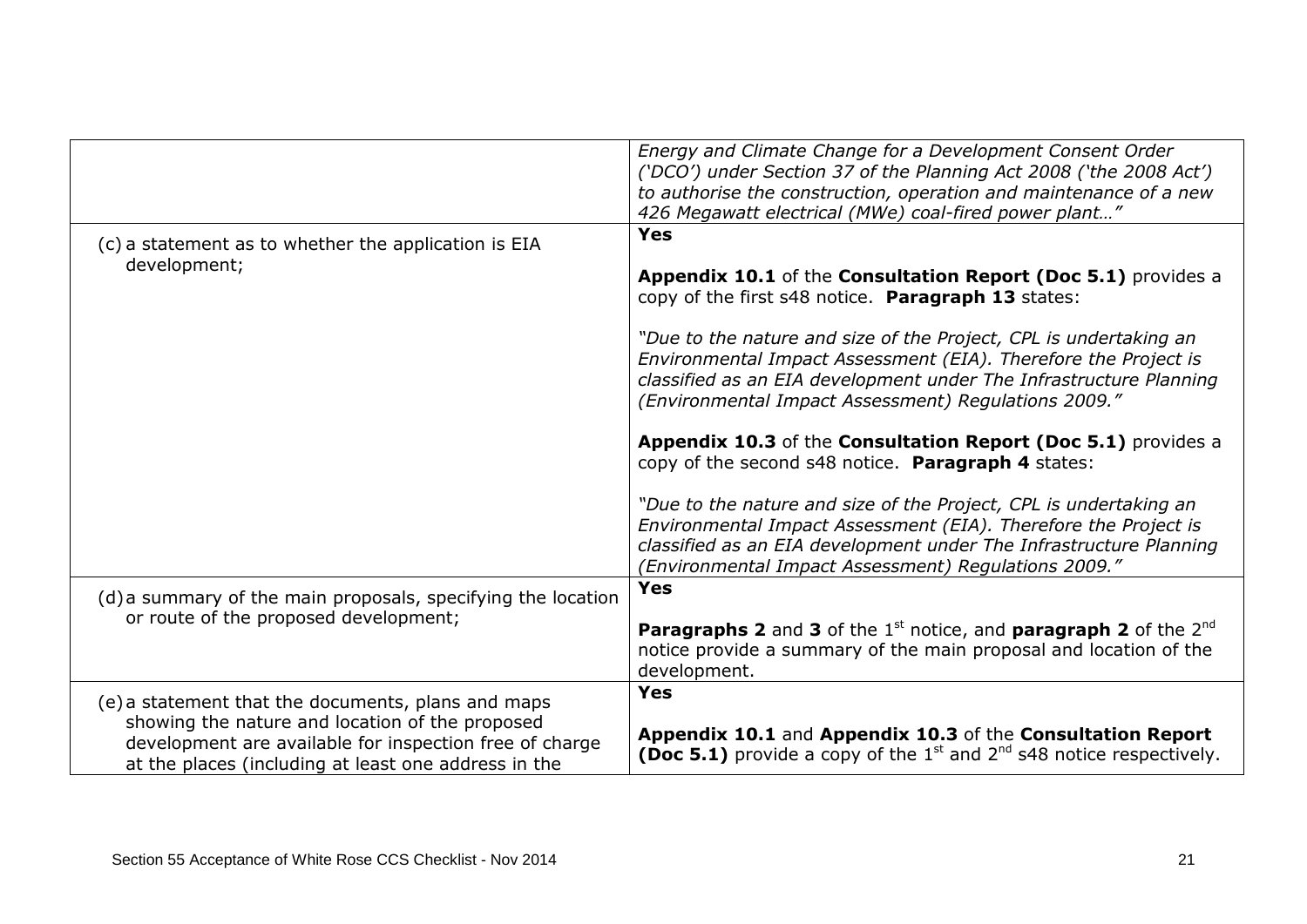|                                                                                                                                                                                                                          | Energy and Climate Change for a Development Consent Order<br>('DCO') under Section 37 of the Planning Act 2008 ('the 2008 Act')<br>to authorise the construction, operation and maintenance of a new<br>426 Megawatt electrical (MWe) coal-fired power plant"      |
|--------------------------------------------------------------------------------------------------------------------------------------------------------------------------------------------------------------------------|--------------------------------------------------------------------------------------------------------------------------------------------------------------------------------------------------------------------------------------------------------------------|
| (c) a statement as to whether the application is EIA                                                                                                                                                                     | <b>Yes</b>                                                                                                                                                                                                                                                         |
| development;                                                                                                                                                                                                             | Appendix 10.1 of the Consultation Report (Doc 5.1) provides a<br>copy of the first s48 notice. Paragraph 13 states:                                                                                                                                                |
|                                                                                                                                                                                                                          | "Due to the nature and size of the Project, CPL is undertaking an<br>Environmental Impact Assessment (EIA). Therefore the Project is<br>classified as an EIA development under The Infrastructure Planning<br>(Environmental Impact Assessment) Regulations 2009." |
|                                                                                                                                                                                                                          | Appendix 10.3 of the Consultation Report (Doc 5.1) provides a<br>copy of the second s48 notice. Paragraph 4 states:                                                                                                                                                |
|                                                                                                                                                                                                                          | "Due to the nature and size of the Project, CPL is undertaking an<br>Environmental Impact Assessment (EIA). Therefore the Project is<br>classified as an EIA development under The Infrastructure Planning<br>(Environmental Impact Assessment) Regulations 2009." |
| (d) a summary of the main proposals, specifying the location                                                                                                                                                             | <b>Yes</b>                                                                                                                                                                                                                                                         |
| or route of the proposed development;                                                                                                                                                                                    | <b>Paragraphs 2</b> and 3 of the $1st$ notice, and <b>paragraph 2</b> of the $2nd$<br>notice provide a summary of the main proposal and location of the<br>development.                                                                                            |
| (e) a statement that the documents, plans and maps<br>showing the nature and location of the proposed<br>development are available for inspection free of charge<br>at the places (including at least one address in the | Yes<br>Appendix 10.1 and Appendix 10.3 of the Consultation Report<br><b>(Doc 5.1)</b> provide a copy of the $1st$ and $2nd$ s48 notice respectively.                                                                                                               |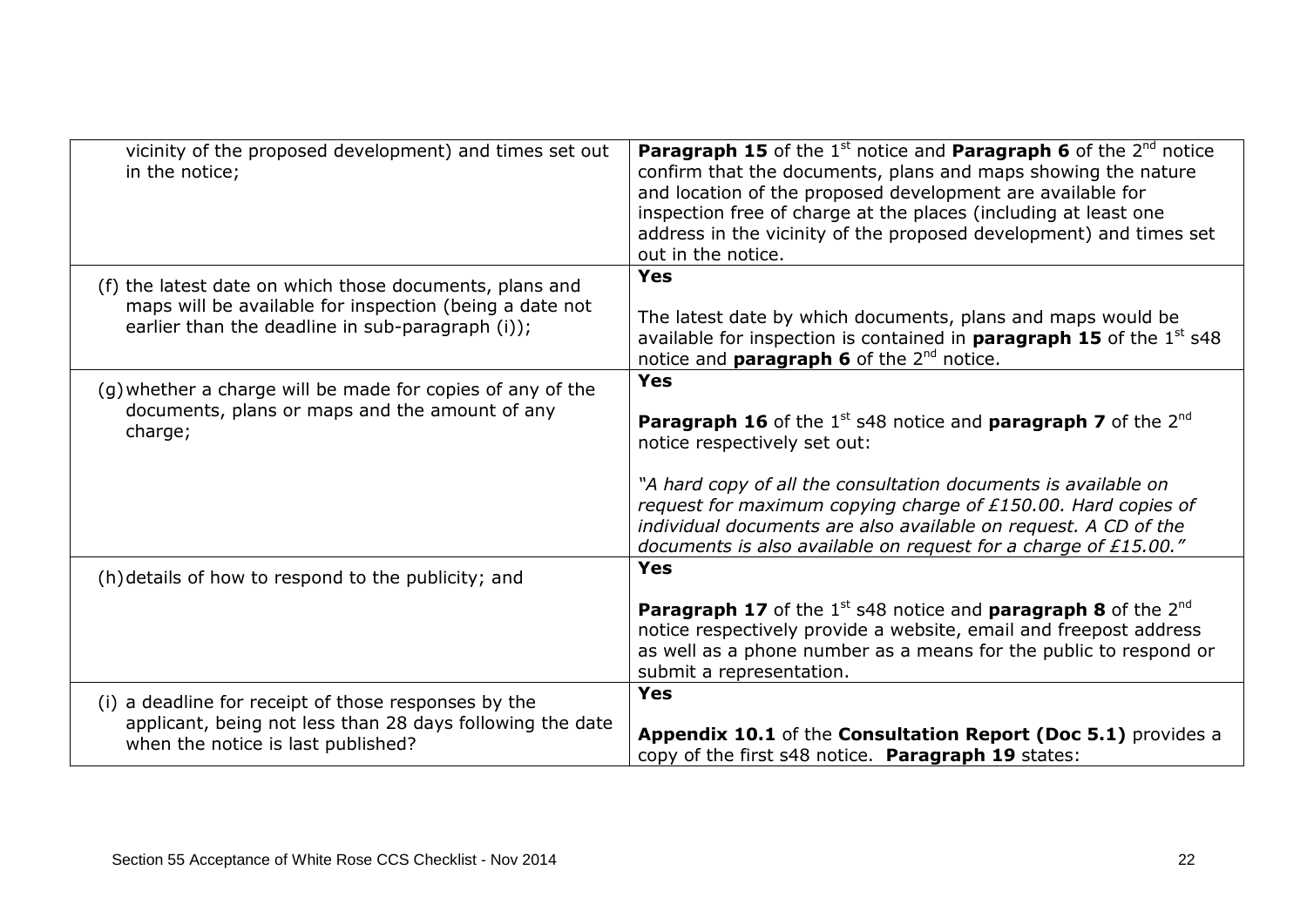| vicinity of the proposed development) and times set out<br>in the notice;                                                                                              | <b>Paragraph 15</b> of the $1^{\text{st}}$ notice and <b>Paragraph 6</b> of the $2^{\text{nd}}$ notice<br>confirm that the documents, plans and maps showing the nature<br>and location of the proposed development are available for<br>inspection free of charge at the places (including at least one<br>address in the vicinity of the proposed development) and times set<br>out in the notice.         |
|------------------------------------------------------------------------------------------------------------------------------------------------------------------------|--------------------------------------------------------------------------------------------------------------------------------------------------------------------------------------------------------------------------------------------------------------------------------------------------------------------------------------------------------------------------------------------------------------|
| (f) the latest date on which those documents, plans and<br>maps will be available for inspection (being a date not<br>earlier than the deadline in sub-paragraph (i)); | <b>Yes</b><br>The latest date by which documents, plans and maps would be<br>available for inspection is contained in <b>paragraph 15</b> of the $1st$ s48<br>notice and <b>paragraph 6</b> of the 2 <sup>nd</sup> notice.                                                                                                                                                                                   |
| (g) whether a charge will be made for copies of any of the<br>documents, plans or maps and the amount of any<br>charge;                                                | <b>Yes</b><br><b>Paragraph 16</b> of the $1^{st}$ s48 notice and <b>paragraph 7</b> of the $2^{nd}$<br>notice respectively set out:<br>"A hard copy of all the consultation documents is available on<br>request for maximum copying charge of £150.00. Hard copies of<br>individual documents are also available on request. A CD of the<br>documents is also available on request for a charge of £15.00." |
| (h) details of how to respond to the publicity; and                                                                                                                    | <b>Yes</b><br><b>Paragraph 17</b> of the $1^{st}$ s48 notice and <b>paragraph 8</b> of the $2^{nd}$<br>notice respectively provide a website, email and freepost address<br>as well as a phone number as a means for the public to respond or<br>submit a representation.                                                                                                                                    |
| (i) a deadline for receipt of those responses by the<br>applicant, being not less than 28 days following the date<br>when the notice is last published?                | <b>Yes</b><br>Appendix 10.1 of the Consultation Report (Doc 5.1) provides a<br>copy of the first s48 notice. Paragraph 19 states:                                                                                                                                                                                                                                                                            |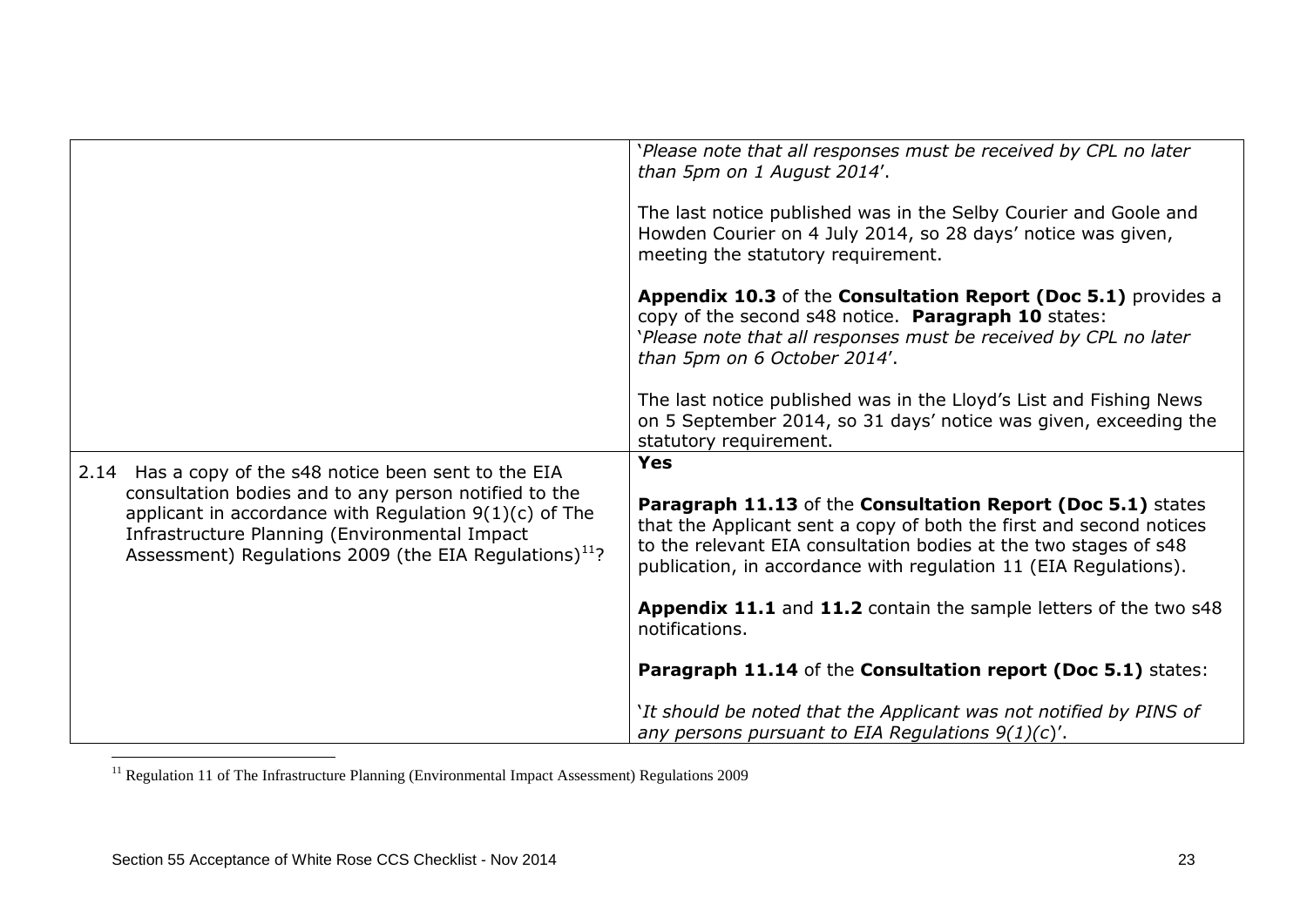|                                                                                                                                                                                                                                          | 'Please note that all responses must be received by CPL no later<br>than 5pm on 1 August 2014'.                                                                                                                                                                            |
|------------------------------------------------------------------------------------------------------------------------------------------------------------------------------------------------------------------------------------------|----------------------------------------------------------------------------------------------------------------------------------------------------------------------------------------------------------------------------------------------------------------------------|
|                                                                                                                                                                                                                                          | The last notice published was in the Selby Courier and Goole and<br>Howden Courier on 4 July 2014, so 28 days' notice was given,<br>meeting the statutory requirement.                                                                                                     |
|                                                                                                                                                                                                                                          | Appendix 10.3 of the Consultation Report (Doc 5.1) provides a<br>copy of the second s48 notice. Paragraph 10 states:<br>'Please note that all responses must be received by CPL no later<br>than 5pm on 6 October 2014'.                                                   |
|                                                                                                                                                                                                                                          | The last notice published was in the Lloyd's List and Fishing News<br>on 5 September 2014, so 31 days' notice was given, exceeding the<br>statutory requirement.                                                                                                           |
|                                                                                                                                                                                                                                          | <b>Yes</b>                                                                                                                                                                                                                                                                 |
| 2.14 Has a copy of the s48 notice been sent to the EIA                                                                                                                                                                                   |                                                                                                                                                                                                                                                                            |
| consultation bodies and to any person notified to the<br>applicant in accordance with Regulation $9(1)(c)$ of The<br>Infrastructure Planning (Environmental Impact<br>Assessment) Regulations 2009 (the EIA Regulations) <sup>11</sup> ? | Paragraph 11.13 of the Consultation Report (Doc 5.1) states<br>that the Applicant sent a copy of both the first and second notices<br>to the relevant EIA consultation bodies at the two stages of s48<br>publication, in accordance with regulation 11 (EIA Regulations). |
|                                                                                                                                                                                                                                          | Appendix 11.1 and 11.2 contain the sample letters of the two s48<br>notifications.                                                                                                                                                                                         |
|                                                                                                                                                                                                                                          | Paragraph 11.14 of the Consultation report (Doc 5.1) states:                                                                                                                                                                                                               |
|                                                                                                                                                                                                                                          | `It should be noted that the Applicant was not notified by PINS of<br>any persons pursuant to EIA Regulations $9(1)(c)'$ .                                                                                                                                                 |

<sup>&</sup>lt;sup>11</sup> Regulation 11 of The Infrastructure Planning (Environmental Impact Assessment) Regulations 2009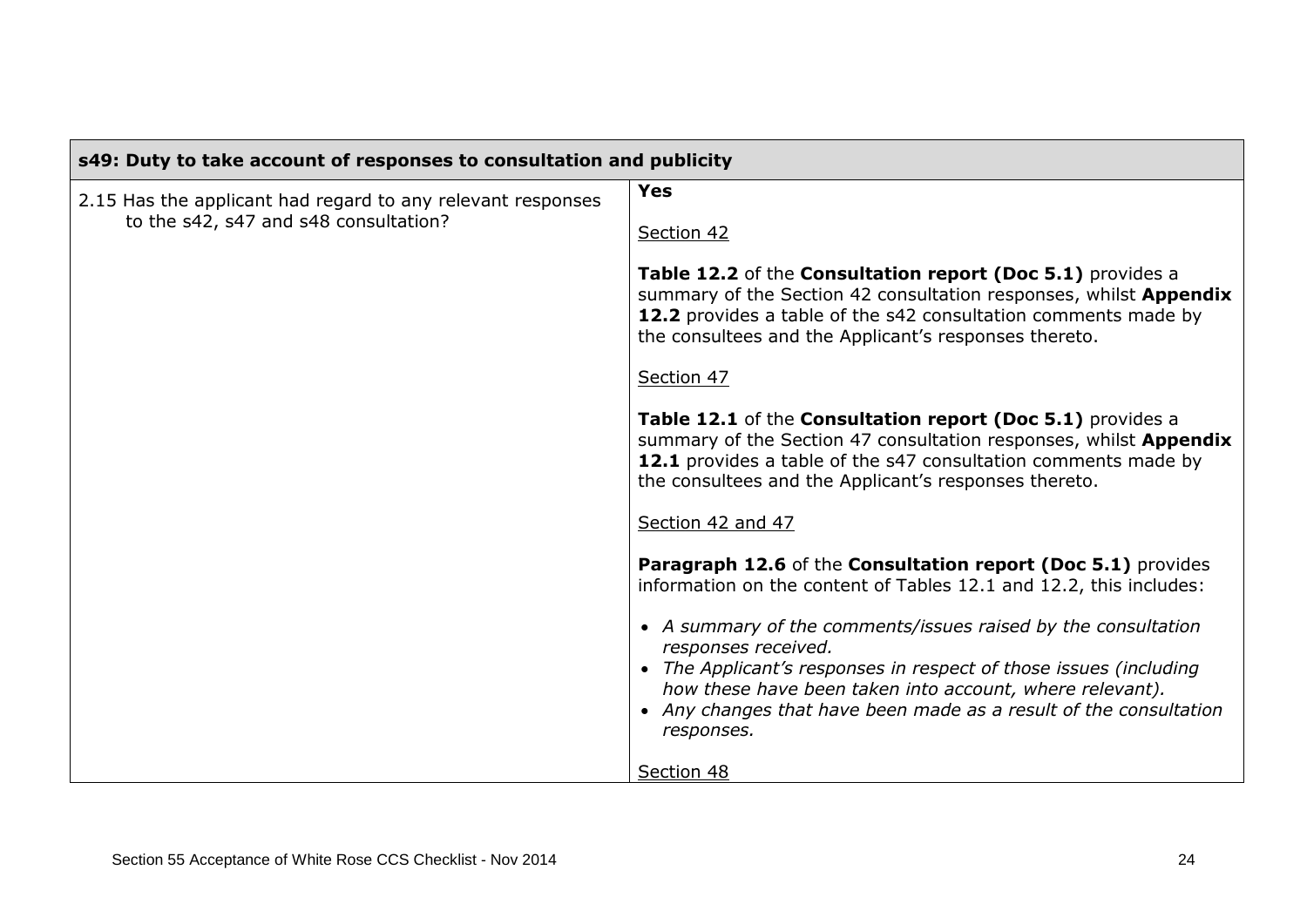| s49: Duty to take account of responses to consultation and publicity                                 |                                                                                                                                                                                                                                                                                                                                                                                                                                                                                                                              |
|------------------------------------------------------------------------------------------------------|------------------------------------------------------------------------------------------------------------------------------------------------------------------------------------------------------------------------------------------------------------------------------------------------------------------------------------------------------------------------------------------------------------------------------------------------------------------------------------------------------------------------------|
| 2.15 Has the applicant had regard to any relevant responses<br>to the s42, s47 and s48 consultation? | <b>Yes</b><br>Section 42<br>Table 12.2 of the Consultation report (Doc 5.1) provides a<br>summary of the Section 42 consultation responses, whilst Appendix<br>12.2 provides a table of the s42 consultation comments made by<br>the consultees and the Applicant's responses thereto.<br>Section 47<br>Table 12.1 of the Consultation report (Doc 5.1) provides a<br>summary of the Section 47 consultation responses, whilst Appendix<br>12.1 provides a table of the s47 consultation comments made by                    |
|                                                                                                      | the consultees and the Applicant's responses thereto.<br>Section 42 and 47<br>Paragraph 12.6 of the Consultation report (Doc 5.1) provides<br>information on the content of Tables 12.1 and 12.2, this includes:<br>• A summary of the comments/issues raised by the consultation<br>responses received.<br>• The Applicant's responses in respect of those issues (including<br>how these have been taken into account, where relevant).<br>• Any changes that have been made as a result of the consultation<br>responses. |
|                                                                                                      | Section 48                                                                                                                                                                                                                                                                                                                                                                                                                                                                                                                   |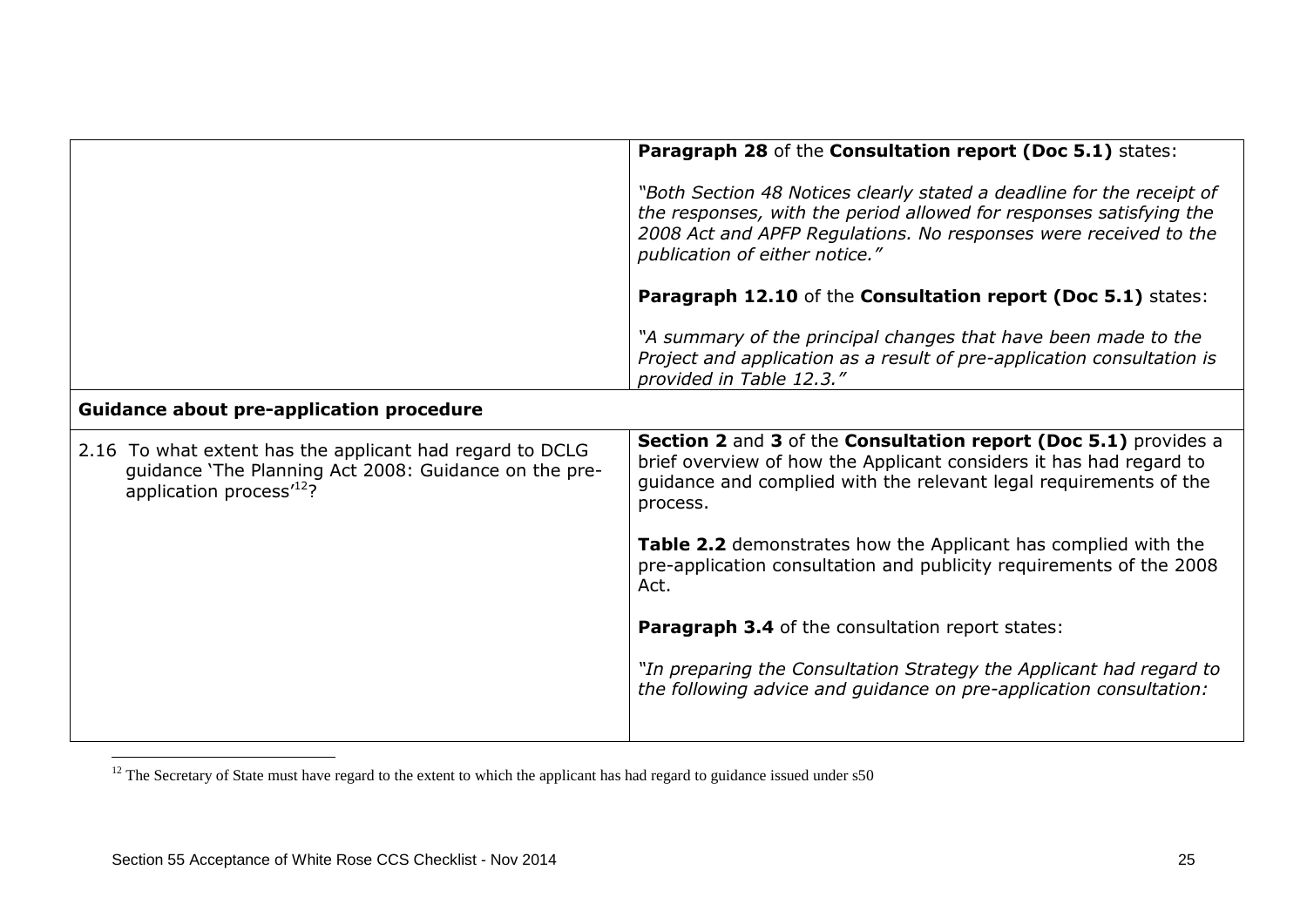|                                                                                                                                                          | Paragraph 28 of the Consultation report (Doc 5.1) states:                                                                                                                                                                                          |
|----------------------------------------------------------------------------------------------------------------------------------------------------------|----------------------------------------------------------------------------------------------------------------------------------------------------------------------------------------------------------------------------------------------------|
|                                                                                                                                                          | "Both Section 48 Notices clearly stated a deadline for the receipt of<br>the responses, with the period allowed for responses satisfying the<br>2008 Act and APFP Regulations. No responses were received to the<br>publication of either notice." |
|                                                                                                                                                          | Paragraph 12.10 of the Consultation report (Doc 5.1) states:                                                                                                                                                                                       |
|                                                                                                                                                          | "A summary of the principal changes that have been made to the<br>Project and application as a result of pre-application consultation is<br>provided in Table 12.3."                                                                               |
| <b>Guidance about pre-application procedure</b>                                                                                                          |                                                                                                                                                                                                                                                    |
| 2.16 To what extent has the applicant had regard to DCLG<br>guidance 'The Planning Act 2008: Guidance on the pre-<br>application process <sup>12</sup> ? | Section 2 and 3 of the Consultation report (Doc 5.1) provides a<br>brief overview of how the Applicant considers it has had regard to<br>guidance and complied with the relevant legal requirements of the<br>process.                             |
|                                                                                                                                                          | Table 2.2 demonstrates how the Applicant has complied with the<br>pre-application consultation and publicity requirements of the 2008<br>Act.                                                                                                      |
|                                                                                                                                                          | Paragraph 3.4 of the consultation report states:                                                                                                                                                                                                   |
|                                                                                                                                                          | "In preparing the Consultation Strategy the Applicant had regard to<br>the following advice and guidance on pre-application consultation:                                                                                                          |
|                                                                                                                                                          |                                                                                                                                                                                                                                                    |

 $12$  The Secretary of State must have regard to the extent to which the applicant has had regard to guidance issued under  $s50$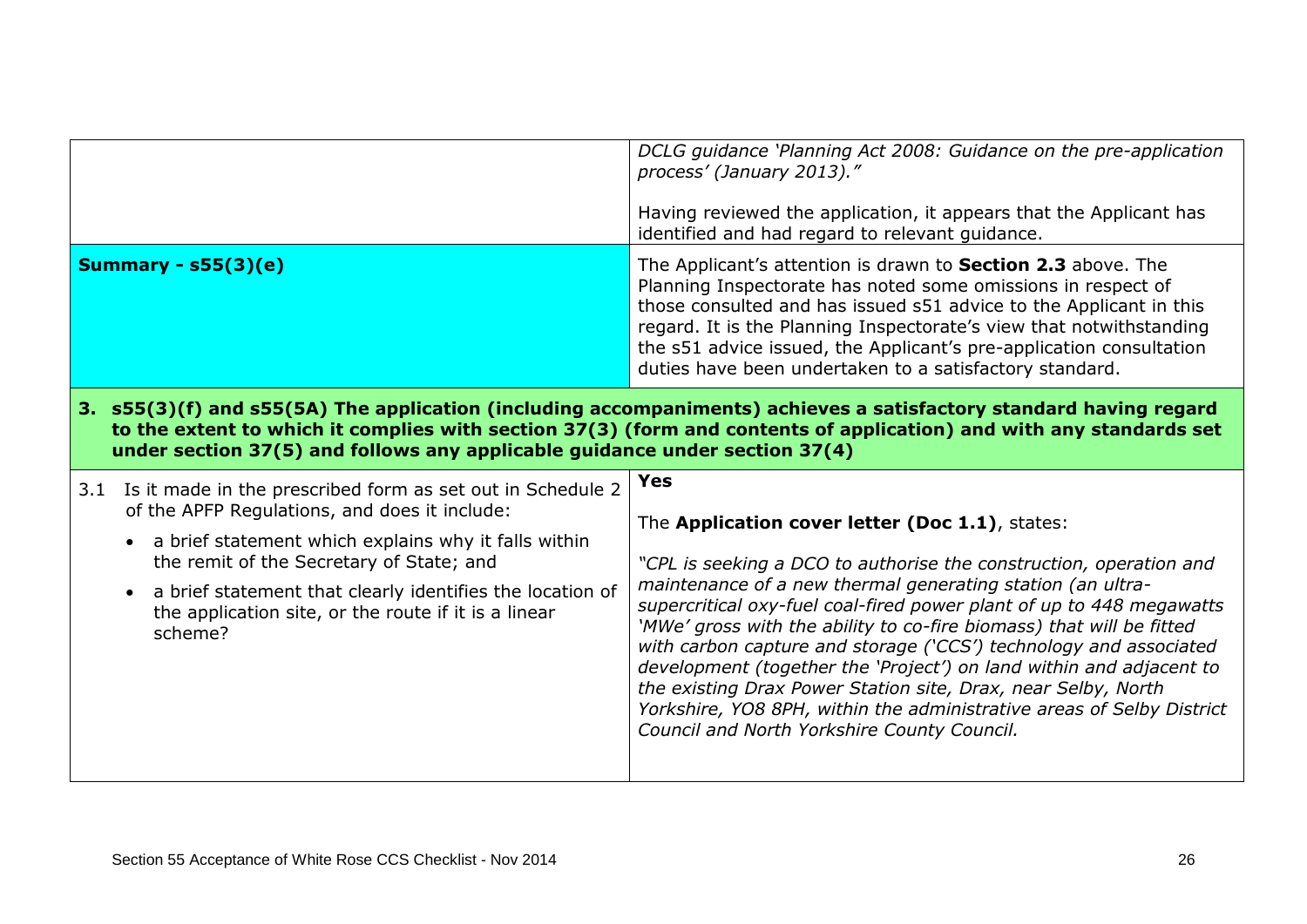|                                                                                                                                                                                                                                                                                                                          | DCLG guidance 'Planning Act 2008: Guidance on the pre-application<br>process' (January 2013)."<br>Having reviewed the application, it appears that the Applicant has<br>identified and had regard to relevant guidance.                                                                                                                                                                                            |  |
|--------------------------------------------------------------------------------------------------------------------------------------------------------------------------------------------------------------------------------------------------------------------------------------------------------------------------|--------------------------------------------------------------------------------------------------------------------------------------------------------------------------------------------------------------------------------------------------------------------------------------------------------------------------------------------------------------------------------------------------------------------|--|
| Summary - $s55(3)(e)$                                                                                                                                                                                                                                                                                                    | The Applicant's attention is drawn to <b>Section 2.3</b> above. The<br>Planning Inspectorate has noted some omissions in respect of<br>those consulted and has issued s51 advice to the Applicant in this<br>regard. It is the Planning Inspectorate's view that notwithstanding<br>the s51 advice issued, the Applicant's pre-application consultation<br>duties have been undertaken to a satisfactory standard. |  |
| 3. s55(3)(f) and s55(5A) The application (including accompaniments) achieves a satisfactory standard having regard<br>to the extent to which it complies with section 37(3) (form and contents of application) and with any standards set<br>under section 37(5) and follows any applicable guidance under section 37(4) |                                                                                                                                                                                                                                                                                                                                                                                                                    |  |
|                                                                                                                                                                                                                                                                                                                          |                                                                                                                                                                                                                                                                                                                                                                                                                    |  |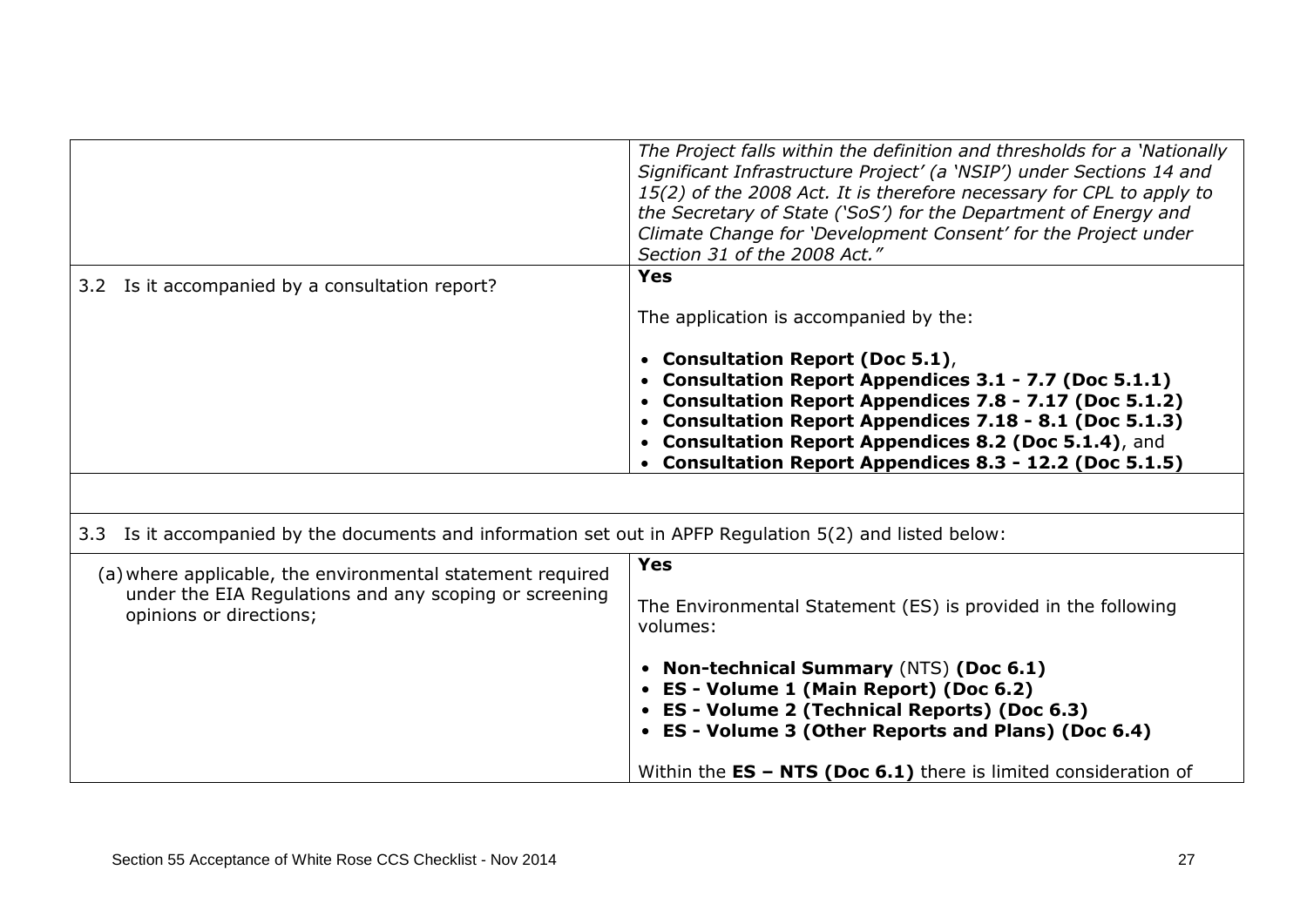|                                                                                                          | The Project falls within the definition and thresholds for a 'Nationally<br>Significant Infrastructure Project' (a 'NSIP') under Sections 14 and<br>15(2) of the 2008 Act. It is therefore necessary for CPL to apply to<br>the Secretary of State ('SoS') for the Department of Energy and<br>Climate Change for 'Development Consent' for the Project under<br>Section 31 of the 2008 Act." |
|----------------------------------------------------------------------------------------------------------|-----------------------------------------------------------------------------------------------------------------------------------------------------------------------------------------------------------------------------------------------------------------------------------------------------------------------------------------------------------------------------------------------|
| 3.2 Is it accompanied by a consultation report?                                                          | <b>Yes</b>                                                                                                                                                                                                                                                                                                                                                                                    |
|                                                                                                          | The application is accompanied by the:                                                                                                                                                                                                                                                                                                                                                        |
|                                                                                                          | • Consultation Report (Doc 5.1),<br>• Consultation Report Appendices 3.1 - 7.7 (Doc 5.1.1)<br>• Consultation Report Appendices 7.8 - 7.17 (Doc 5.1.2)<br>• Consultation Report Appendices 7.18 - 8.1 (Doc 5.1.3)<br>• Consultation Report Appendices 8.2 (Doc 5.1.4), and<br>Consultation Report Appendices 8.3 - 12.2 (Doc 5.1.5)                                                            |
|                                                                                                          |                                                                                                                                                                                                                                                                                                                                                                                               |
| 3.3 Is it accompanied by the documents and information set out in APFP Regulation 5(2) and listed below: |                                                                                                                                                                                                                                                                                                                                                                                               |
| (a) where applicable, the environmental statement required                                               | <b>Yes</b>                                                                                                                                                                                                                                                                                                                                                                                    |
| under the EIA Regulations and any scoping or screening<br>opinions or directions;                        | The Environmental Statement (ES) is provided in the following<br>volumes:                                                                                                                                                                                                                                                                                                                     |
|                                                                                                          | • Non-technical Summary (NTS) (Doc 6.1)<br>• ES - Volume 1 (Main Report) (Doc 6.2)<br>• ES - Volume 2 (Technical Reports) (Doc 6.3)<br>• ES - Volume 3 (Other Reports and Plans) (Doc 6.4)                                                                                                                                                                                                    |
|                                                                                                          | Within the $ES - NTS$ (Doc 6.1) there is limited consideration of                                                                                                                                                                                                                                                                                                                             |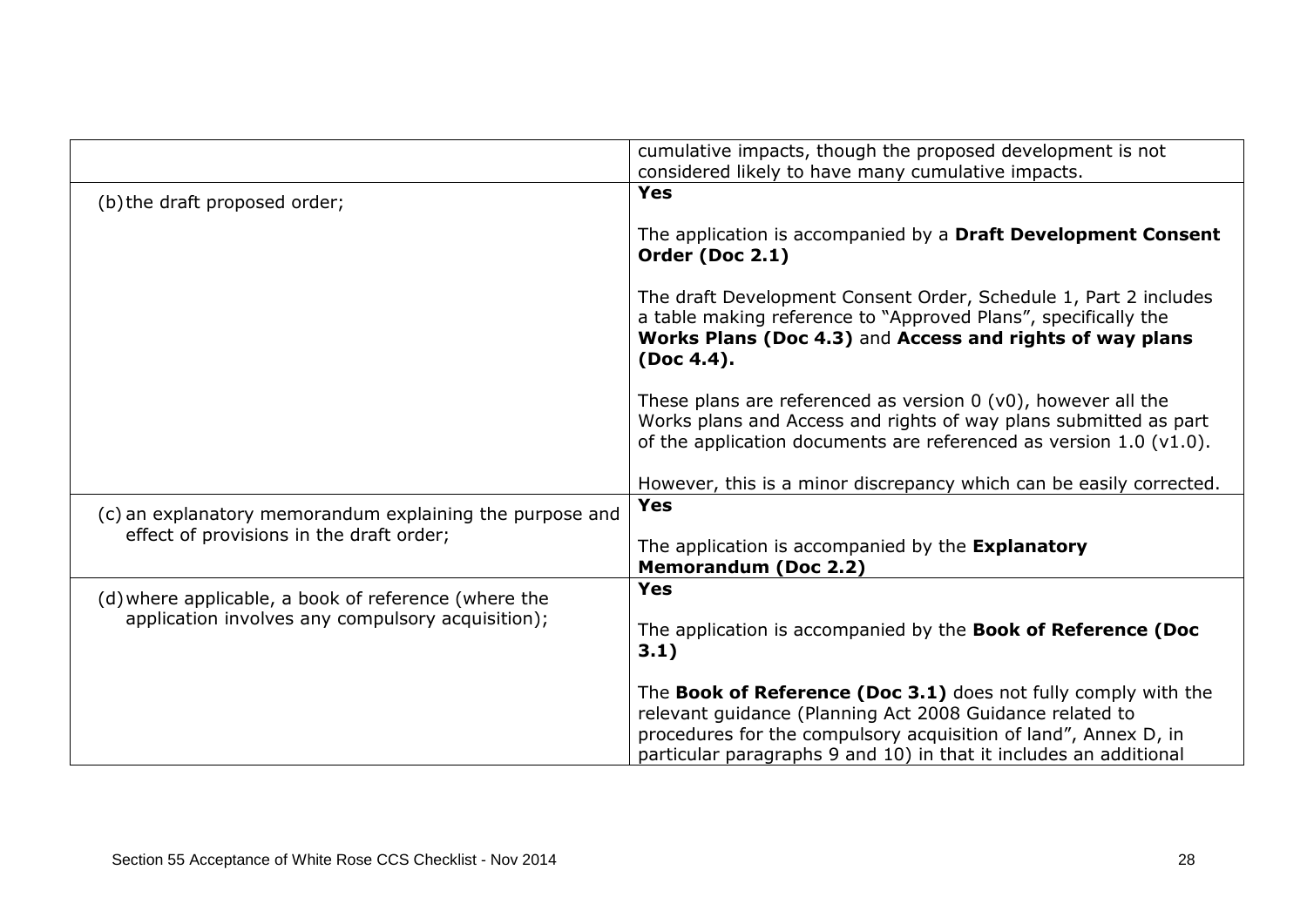|                                                          | cumulative impacts, though the proposed development is not<br>considered likely to have many cumulative impacts.                                                                                                |
|----------------------------------------------------------|-----------------------------------------------------------------------------------------------------------------------------------------------------------------------------------------------------------------|
| (b) the draft proposed order;                            | <b>Yes</b>                                                                                                                                                                                                      |
|                                                          | The application is accompanied by a Draft Development Consent<br>Order (Doc 2.1)                                                                                                                                |
|                                                          | The draft Development Consent Order, Schedule 1, Part 2 includes<br>a table making reference to "Approved Plans", specifically the<br>Works Plans (Doc 4.3) and Access and rights of way plans<br>(Doc 4.4).    |
|                                                          | These plans are referenced as version $0$ ( $v0$ ), however all the<br>Works plans and Access and rights of way plans submitted as part<br>of the application documents are referenced as version $1.0$ (v1.0). |
|                                                          | However, this is a minor discrepancy which can be easily corrected.                                                                                                                                             |
| (c) an explanatory memorandum explaining the purpose and | <b>Yes</b>                                                                                                                                                                                                      |
| effect of provisions in the draft order;                 | The application is accompanied by the Explanatory<br><b>Memorandum (Doc 2.2)</b>                                                                                                                                |
| (d) where applicable, a book of reference (where the     | <b>Yes</b>                                                                                                                                                                                                      |
| application involves any compulsory acquisition);        | The application is accompanied by the Book of Reference (Doc<br>3.1)                                                                                                                                            |
|                                                          | The Book of Reference (Doc 3.1) does not fully comply with the<br>relevant guidance (Planning Act 2008 Guidance related to                                                                                      |
|                                                          | procedures for the compulsory acquisition of land", Annex D, in<br>particular paragraphs 9 and 10) in that it includes an additional                                                                            |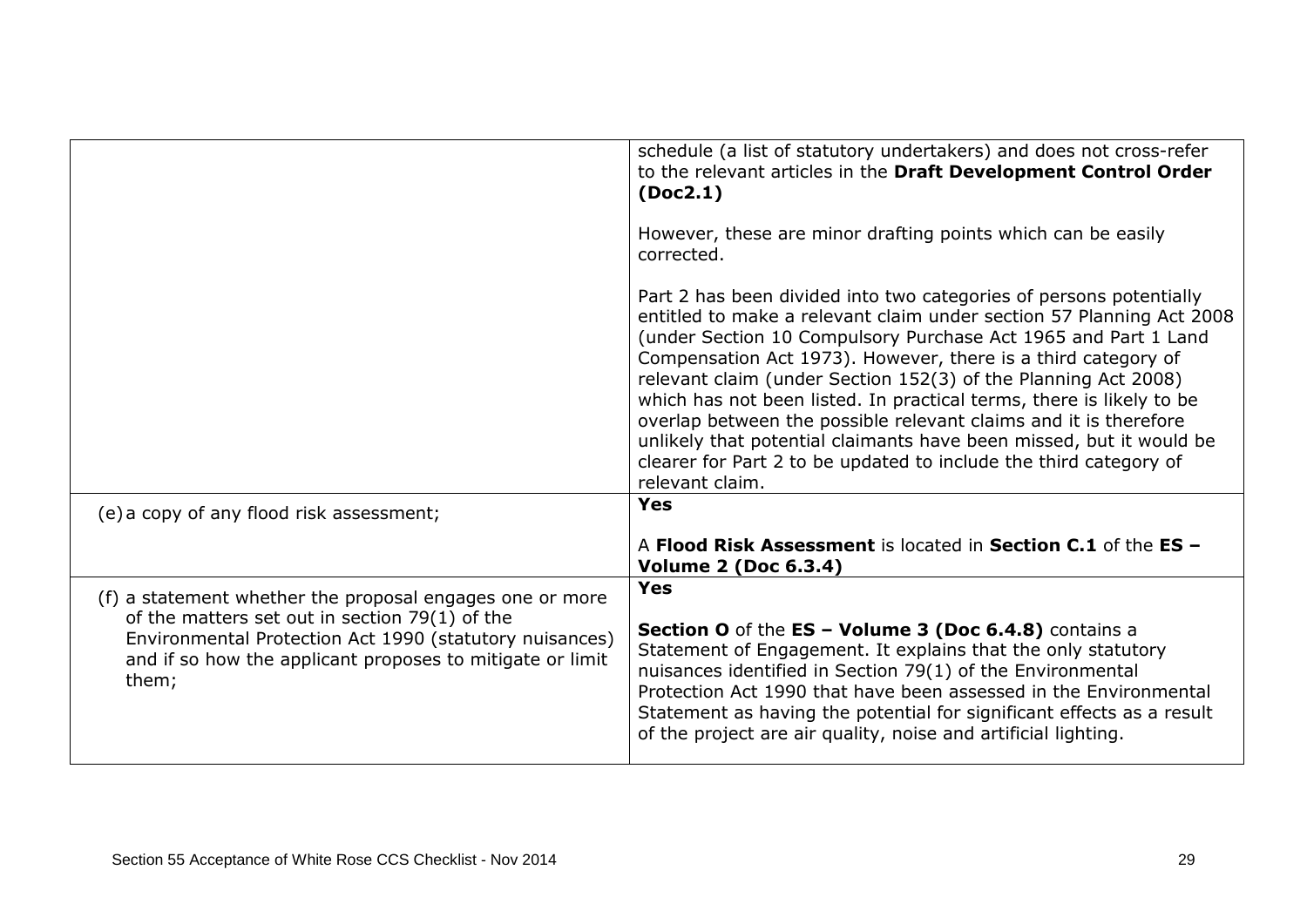|                                                                                                                                                                                                                                               | schedule (a list of statutory undertakers) and does not cross-refer<br>to the relevant articles in the Draft Development Control Order<br>(Doc2.1)<br>However, these are minor drafting points which can be easily<br>corrected.<br>Part 2 has been divided into two categories of persons potentially<br>entitled to make a relevant claim under section 57 Planning Act 2008<br>(under Section 10 Compulsory Purchase Act 1965 and Part 1 Land<br>Compensation Act 1973). However, there is a third category of<br>relevant claim (under Section 152(3) of the Planning Act 2008)<br>which has not been listed. In practical terms, there is likely to be<br>overlap between the possible relevant claims and it is therefore |
|-----------------------------------------------------------------------------------------------------------------------------------------------------------------------------------------------------------------------------------------------|---------------------------------------------------------------------------------------------------------------------------------------------------------------------------------------------------------------------------------------------------------------------------------------------------------------------------------------------------------------------------------------------------------------------------------------------------------------------------------------------------------------------------------------------------------------------------------------------------------------------------------------------------------------------------------------------------------------------------------|
|                                                                                                                                                                                                                                               | unlikely that potential claimants have been missed, but it would be<br>clearer for Part 2 to be updated to include the third category of<br>relevant claim.                                                                                                                                                                                                                                                                                                                                                                                                                                                                                                                                                                     |
| (e) a copy of any flood risk assessment;                                                                                                                                                                                                      | <b>Yes</b>                                                                                                                                                                                                                                                                                                                                                                                                                                                                                                                                                                                                                                                                                                                      |
|                                                                                                                                                                                                                                               | A Flood Risk Assessment is located in Section C.1 of the ES -<br><b>Volume 2 (Doc 6.3.4)</b>                                                                                                                                                                                                                                                                                                                                                                                                                                                                                                                                                                                                                                    |
| (f) a statement whether the proposal engages one or more<br>of the matters set out in section $79(1)$ of the<br>Environmental Protection Act 1990 (statutory nuisances)<br>and if so how the applicant proposes to mitigate or limit<br>them; | <b>Yes</b><br>Section O of the ES - Volume 3 (Doc 6.4.8) contains a<br>Statement of Engagement. It explains that the only statutory<br>nuisances identified in Section 79(1) of the Environmental<br>Protection Act 1990 that have been assessed in the Environmental<br>Statement as having the potential for significant effects as a result<br>of the project are air quality, noise and artificial lighting.                                                                                                                                                                                                                                                                                                                |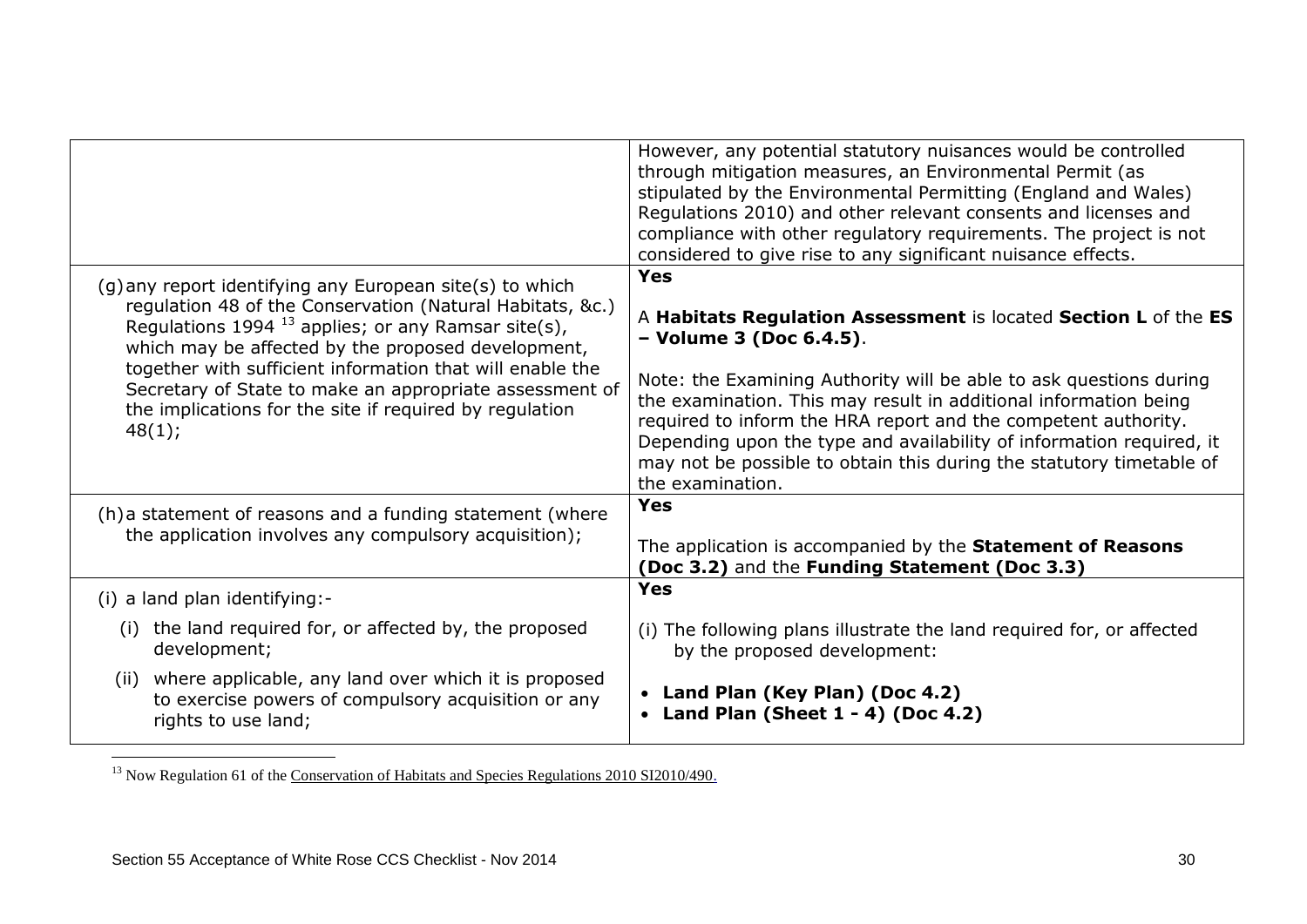|                                                                                                                                                                                                                                                                                                                                                                                                                                      | However, any potential statutory nuisances would be controlled<br>through mitigation measures, an Environmental Permit (as<br>stipulated by the Environmental Permitting (England and Wales)<br>Regulations 2010) and other relevant consents and licenses and<br>compliance with other regulatory requirements. The project is not<br>considered to give rise to any significant nuisance effects.                                                                                      |
|--------------------------------------------------------------------------------------------------------------------------------------------------------------------------------------------------------------------------------------------------------------------------------------------------------------------------------------------------------------------------------------------------------------------------------------|------------------------------------------------------------------------------------------------------------------------------------------------------------------------------------------------------------------------------------------------------------------------------------------------------------------------------------------------------------------------------------------------------------------------------------------------------------------------------------------|
| (g) any report identifying any European site(s) to which<br>regulation 48 of the Conservation (Natural Habitats, &c.)<br>Regulations 1994 $^{13}$ applies; or any Ramsar site(s),<br>which may be affected by the proposed development,<br>together with sufficient information that will enable the<br>Secretary of State to make an appropriate assessment of<br>the implications for the site if required by regulation<br>48(1); | <b>Yes</b><br>A Habitats Regulation Assessment is located Section L of the ES<br>- Volume 3 (Doc 6.4.5).<br>Note: the Examining Authority will be able to ask questions during<br>the examination. This may result in additional information being<br>required to inform the HRA report and the competent authority.<br>Depending upon the type and availability of information required, it<br>may not be possible to obtain this during the statutory timetable of<br>the examination. |
| (h) a statement of reasons and a funding statement (where<br>the application involves any compulsory acquisition);                                                                                                                                                                                                                                                                                                                   | Yes<br>The application is accompanied by the Statement of Reasons<br>(Doc 3.2) and the Funding Statement (Doc 3.3)                                                                                                                                                                                                                                                                                                                                                                       |
| (i) a land plan identifying:-                                                                                                                                                                                                                                                                                                                                                                                                        | <b>Yes</b>                                                                                                                                                                                                                                                                                                                                                                                                                                                                               |
| (i) the land required for, or affected by, the proposed<br>development;<br>(ii) where applicable, any land over which it is proposed<br>to exercise powers of compulsory acquisition or any<br>rights to use land;                                                                                                                                                                                                                   | (i) The following plans illustrate the land required for, or affected<br>by the proposed development:<br>• Land Plan (Key Plan) (Doc 4.2)<br>Land Plan (Sheet $1 - 4$ ) (Doc $4.2$ )                                                                                                                                                                                                                                                                                                     |

1 <sup>13</sup> Now Regulation 61 of the [Conservation of Habitats and Species Regulations 2010 SI2010/490.](http://www.legislation.gov.uk/uksi/2010/490/pdfs/uksi_20100490_en.pdf)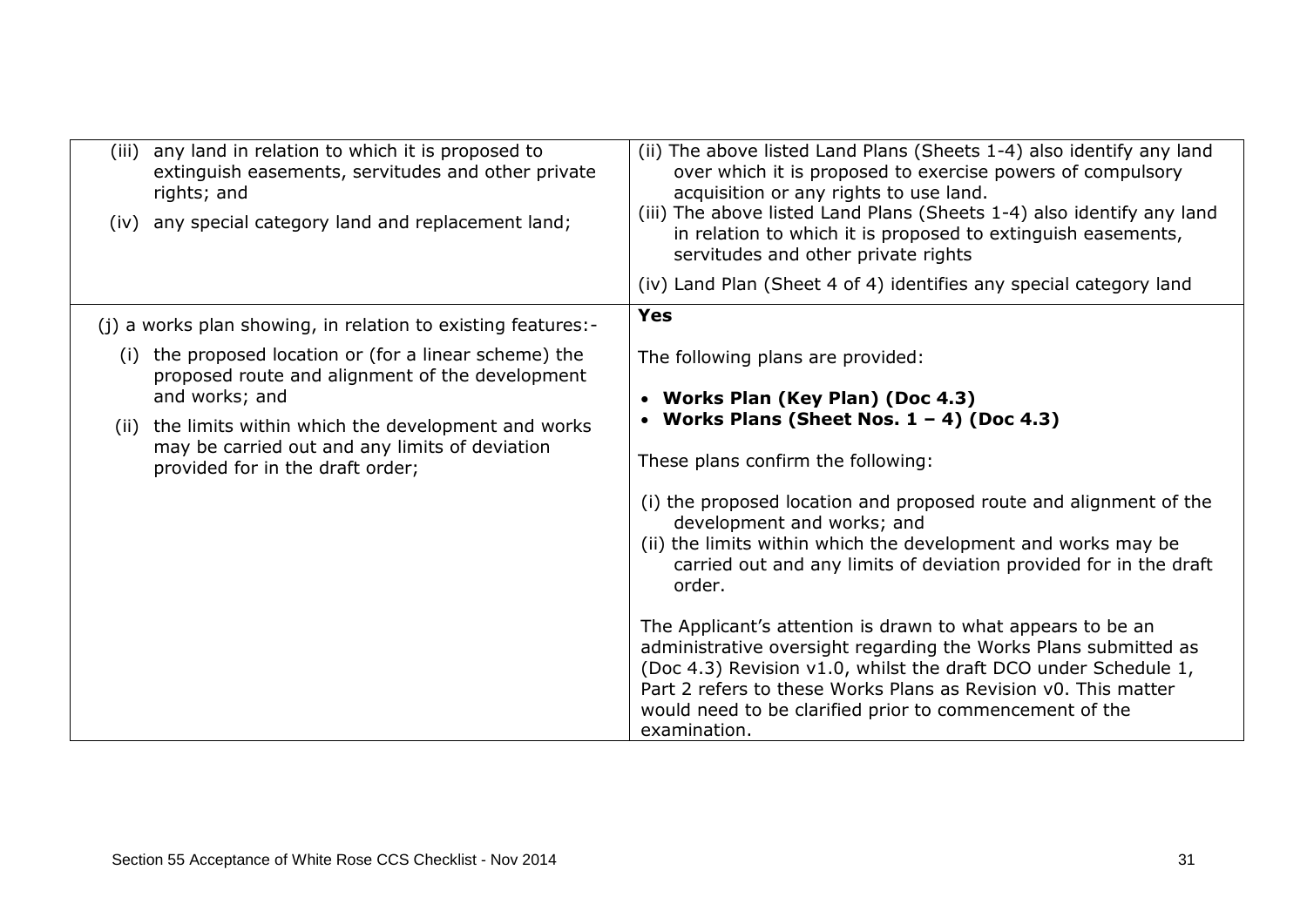| (iv) | (iii) any land in relation to which it is proposed to<br>extinguish easements, servitudes and other private<br>rights; and<br>any special category land and replacement land; | (ii) The above listed Land Plans (Sheets 1-4) also identify any land<br>over which it is proposed to exercise powers of compulsory<br>acquisition or any rights to use land.<br>(iii) The above listed Land Plans (Sheets 1-4) also identify any land<br>in relation to which it is proposed to extinguish easements,<br>servitudes and other private rights |
|------|-------------------------------------------------------------------------------------------------------------------------------------------------------------------------------|--------------------------------------------------------------------------------------------------------------------------------------------------------------------------------------------------------------------------------------------------------------------------------------------------------------------------------------------------------------|
|      |                                                                                                                                                                               | (iv) Land Plan (Sheet 4 of 4) identifies any special category land                                                                                                                                                                                                                                                                                           |
|      | (j) a works plan showing, in relation to existing features:-                                                                                                                  | <b>Yes</b>                                                                                                                                                                                                                                                                                                                                                   |
|      | (i) the proposed location or (for a linear scheme) the<br>proposed route and alignment of the development<br>and works; and                                                   | The following plans are provided:<br>• Works Plan (Key Plan) (Doc 4.3)                                                                                                                                                                                                                                                                                       |
| (ii) | the limits within which the development and works<br>may be carried out and any limits of deviation<br>provided for in the draft order;                                       | • Works Plans (Sheet Nos. $1 - 4$ ) (Doc 4.3)<br>These plans confirm the following:<br>(i) the proposed location and proposed route and alignment of the<br>development and works; and<br>(ii) the limits within which the development and works may be<br>carried out and any limits of deviation provided for in the draft<br>order.                       |
|      |                                                                                                                                                                               | The Applicant's attention is drawn to what appears to be an<br>administrative oversight regarding the Works Plans submitted as<br>(Doc 4.3) Revision v1.0, whilst the draft DCO under Schedule 1,<br>Part 2 refers to these Works Plans as Revision v0. This matter<br>would need to be clarified prior to commencement of the<br>examination.               |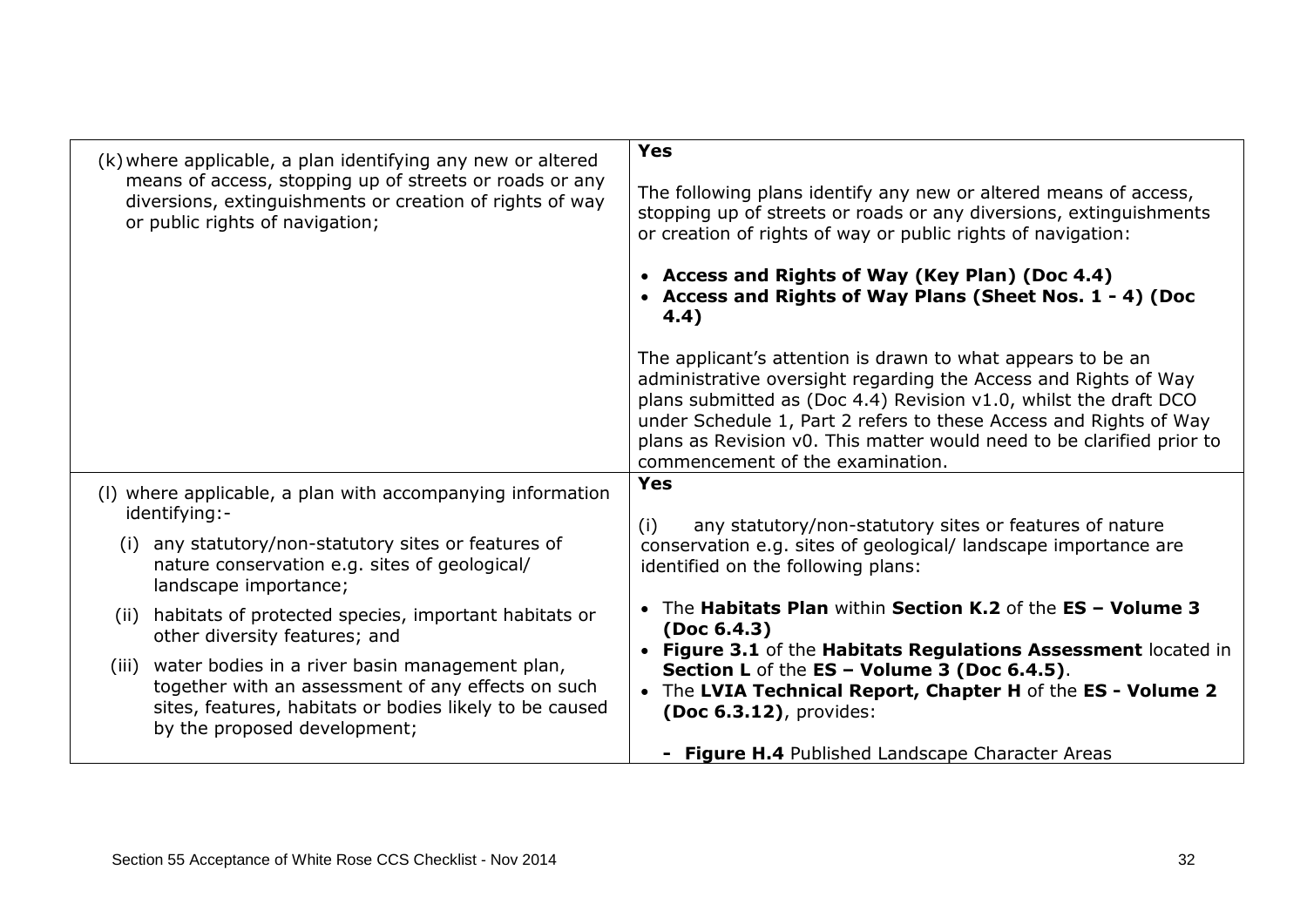| (k) where applicable, a plan identifying any new or altered<br>means of access, stopping up of streets or roads or any                                                                                   | <b>Yes</b>                                                                                                                                                                                                                                                                                                                                                                           |
|----------------------------------------------------------------------------------------------------------------------------------------------------------------------------------------------------------|--------------------------------------------------------------------------------------------------------------------------------------------------------------------------------------------------------------------------------------------------------------------------------------------------------------------------------------------------------------------------------------|
| diversions, extinguishments or creation of rights of way<br>or public rights of navigation;                                                                                                              | The following plans identify any new or altered means of access,<br>stopping up of streets or roads or any diversions, extinguishments<br>or creation of rights of way or public rights of navigation:                                                                                                                                                                               |
|                                                                                                                                                                                                          | • Access and Rights of Way (Key Plan) (Doc 4.4)<br>• Access and Rights of Way Plans (Sheet Nos. 1 - 4) (Doc<br>4.4)                                                                                                                                                                                                                                                                  |
|                                                                                                                                                                                                          | The applicant's attention is drawn to what appears to be an<br>administrative oversight regarding the Access and Rights of Way<br>plans submitted as (Doc 4.4) Revision v1.0, whilst the draft DCO<br>under Schedule 1, Part 2 refers to these Access and Rights of Way<br>plans as Revision v0. This matter would need to be clarified prior to<br>commencement of the examination. |
| (I) where applicable, a plan with accompanying information<br>identifying:-                                                                                                                              | <b>Yes</b><br>any statutory/non-statutory sites or features of nature<br>(i)                                                                                                                                                                                                                                                                                                         |
| any statutory/non-statutory sites or features of<br>(i)<br>nature conservation e.g. sites of geological/<br>landscape importance;                                                                        | conservation e.g. sites of geological/landscape importance are<br>identified on the following plans:                                                                                                                                                                                                                                                                                 |
| habitats of protected species, important habitats or<br>(ii)<br>other diversity features; and                                                                                                            | The Habitats Plan within Section K.2 of the ES - Volume 3<br>(Doc 6.4.3)<br>Figure 3.1 of the Habitats Regulations Assessment located in                                                                                                                                                                                                                                             |
| water bodies in a river basin management plan,<br>(iii)<br>together with an assessment of any effects on such<br>sites, features, habitats or bodies likely to be caused<br>by the proposed development; | Section L of the ES - Volume 3 (Doc 6.4.5).<br>• The LVIA Technical Report, Chapter H of the ES - Volume 2<br>(Doc 6.3.12), provides:                                                                                                                                                                                                                                                |
|                                                                                                                                                                                                          | Figure H.4 Published Landscape Character Areas                                                                                                                                                                                                                                                                                                                                       |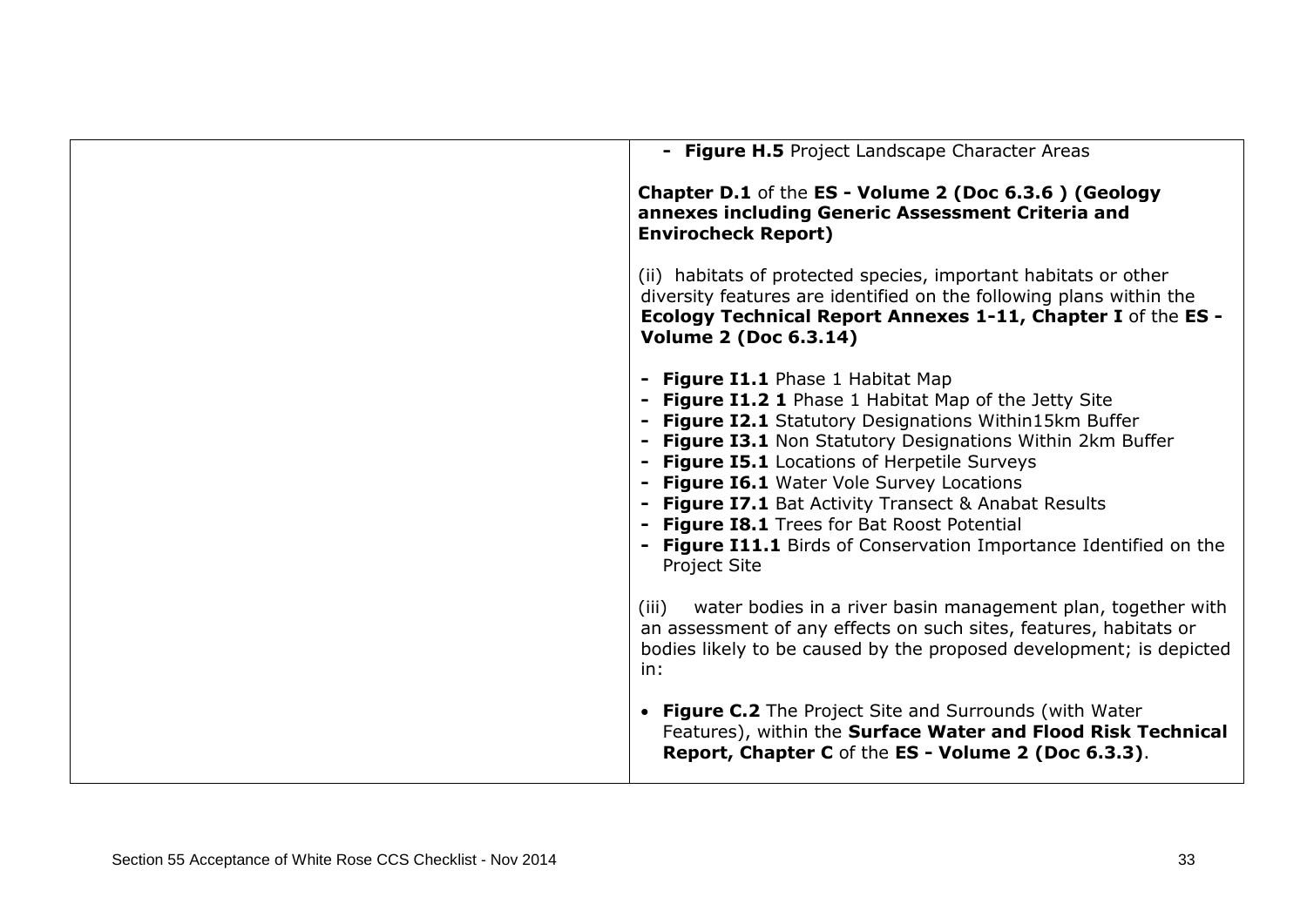| - Figure H.5 Project Landscape Character Areas                                                                                                                                                                                                                                                                                                                                                                                                                                                                     |
|--------------------------------------------------------------------------------------------------------------------------------------------------------------------------------------------------------------------------------------------------------------------------------------------------------------------------------------------------------------------------------------------------------------------------------------------------------------------------------------------------------------------|
| Chapter D.1 of the ES - Volume 2 (Doc 6.3.6) (Geology<br>annexes including Generic Assessment Criteria and<br><b>Envirocheck Report)</b>                                                                                                                                                                                                                                                                                                                                                                           |
| (ii) habitats of protected species, important habitats or other<br>diversity features are identified on the following plans within the<br>Ecology Technical Report Annexes 1-11, Chapter I of the ES -<br><b>Volume 2 (Doc 6.3.14)</b>                                                                                                                                                                                                                                                                             |
| - Figure I1.1 Phase 1 Habitat Map<br>- Figure I1.2 1 Phase 1 Habitat Map of the Jetty Site<br>- Figure I2.1 Statutory Designations Within15km Buffer<br>- Figure I3.1 Non Statutory Designations Within 2km Buffer<br>- Figure I5.1 Locations of Herpetile Surveys<br>- Figure I6.1 Water Vole Survey Locations<br>- Figure I7.1 Bat Activity Transect & Anabat Results<br>- Figure I8.1 Trees for Bat Roost Potential<br>- Figure I11.1 Birds of Conservation Importance Identified on the<br><b>Project Site</b> |
| water bodies in a river basin management plan, together with<br>(iii)<br>an assessment of any effects on such sites, features, habitats or<br>bodies likely to be caused by the proposed development; is depicted<br>in:                                                                                                                                                                                                                                                                                           |
| • Figure C.2 The Project Site and Surrounds (with Water<br>Features), within the Surface Water and Flood Risk Technical<br>Report, Chapter C of the ES - Volume 2 (Doc 6.3.3).                                                                                                                                                                                                                                                                                                                                     |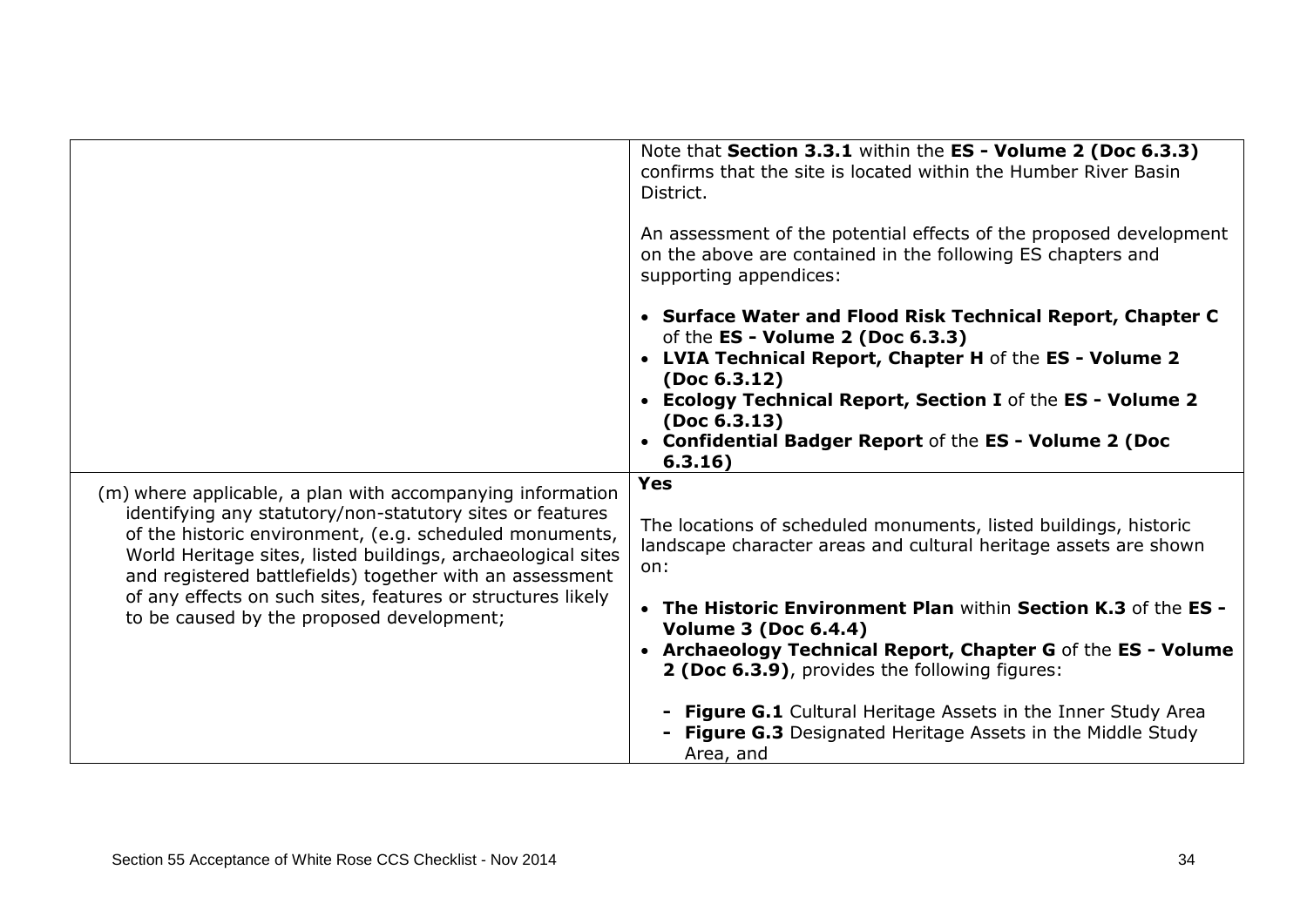|                                                                                                                                                                                                                                                                                                                                                                                                                            | Note that Section 3.3.1 within the ES - Volume 2 (Doc 6.3.3)<br>confirms that the site is located within the Humber River Basin<br>District.<br>An assessment of the potential effects of the proposed development<br>on the above are contained in the following ES chapters and<br>supporting appendices:<br>• Surface Water and Flood Risk Technical Report, Chapter C<br>of the ES - Volume 2 (Doc 6.3.3)<br>• LVIA Technical Report, Chapter H of the ES - Volume 2<br>(Doc 6.3.12) |
|----------------------------------------------------------------------------------------------------------------------------------------------------------------------------------------------------------------------------------------------------------------------------------------------------------------------------------------------------------------------------------------------------------------------------|------------------------------------------------------------------------------------------------------------------------------------------------------------------------------------------------------------------------------------------------------------------------------------------------------------------------------------------------------------------------------------------------------------------------------------------------------------------------------------------|
|                                                                                                                                                                                                                                                                                                                                                                                                                            | <b>Ecology Technical Report, Section I of the ES - Volume 2</b><br>$\bullet$<br>(Doc 6.3.13)<br>• Confidential Badger Report of the ES - Volume 2 (Doc<br>6.3.16)                                                                                                                                                                                                                                                                                                                        |
| (m) where applicable, a plan with accompanying information<br>identifying any statutory/non-statutory sites or features<br>of the historic environment, (e.g. scheduled monuments,<br>World Heritage sites, listed buildings, archaeological sites<br>and registered battlefields) together with an assessment<br>of any effects on such sites, features or structures likely<br>to be caused by the proposed development; | <b>Yes</b><br>The locations of scheduled monuments, listed buildings, historic<br>landscape character areas and cultural heritage assets are shown<br>on:                                                                                                                                                                                                                                                                                                                                |
|                                                                                                                                                                                                                                                                                                                                                                                                                            | • The Historic Environment Plan within Section K.3 of the ES -<br><b>Volume 3 (Doc 6.4.4)</b><br>• Archaeology Technical Report, Chapter G of the ES - Volume<br>2 (Doc 6.3.9), provides the following figures:                                                                                                                                                                                                                                                                          |
|                                                                                                                                                                                                                                                                                                                                                                                                                            | <b>Figure G.1</b> Cultural Heritage Assets in the Inner Study Area<br><b>Figure G.3</b> Designated Heritage Assets in the Middle Study<br>Area, and                                                                                                                                                                                                                                                                                                                                      |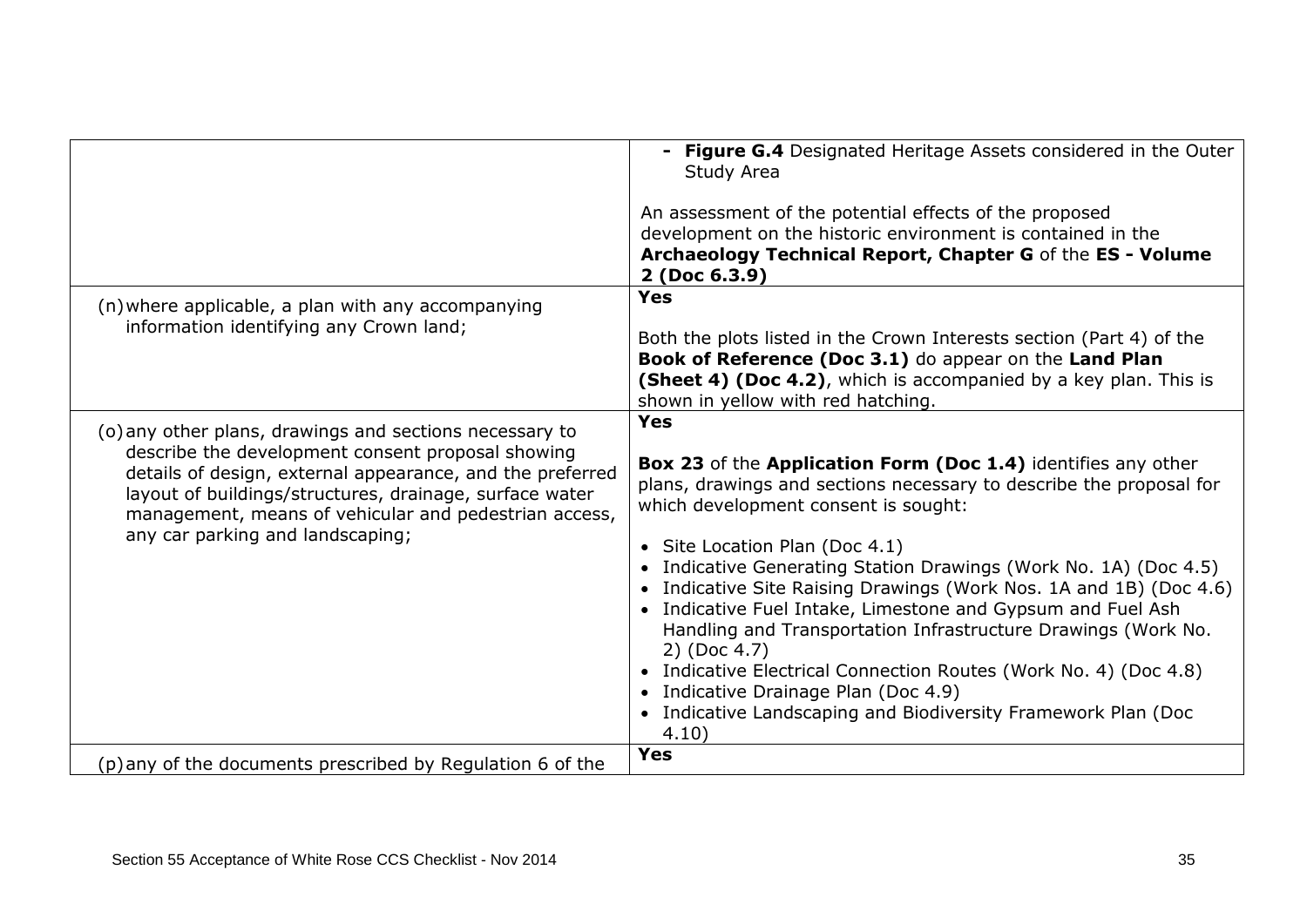|                                                                                                                                                                                                                                                                                                                                   | <b>Figure G.4</b> Designated Heritage Assets considered in the Outer<br>Study Area<br>An assessment of the potential effects of the proposed<br>development on the historic environment is contained in the<br>Archaeology Technical Report, Chapter G of the ES - Volume<br>2 (Doc 6.3.9)                                                                                                                                                                                                                                                                                                                                                                                                                   |
|-----------------------------------------------------------------------------------------------------------------------------------------------------------------------------------------------------------------------------------------------------------------------------------------------------------------------------------|--------------------------------------------------------------------------------------------------------------------------------------------------------------------------------------------------------------------------------------------------------------------------------------------------------------------------------------------------------------------------------------------------------------------------------------------------------------------------------------------------------------------------------------------------------------------------------------------------------------------------------------------------------------------------------------------------------------|
| (n) where applicable, a plan with any accompanying<br>information identifying any Crown land;                                                                                                                                                                                                                                     | <b>Yes</b><br>Both the plots listed in the Crown Interests section (Part 4) of the<br>Book of Reference (Doc 3.1) do appear on the Land Plan<br>(Sheet 4) (Doc 4.2), which is accompanied by a key plan. This is<br>shown in yellow with red hatching.                                                                                                                                                                                                                                                                                                                                                                                                                                                       |
| (o) any other plans, drawings and sections necessary to<br>describe the development consent proposal showing<br>details of design, external appearance, and the preferred<br>layout of buildings/structures, drainage, surface water<br>management, means of vehicular and pedestrian access,<br>any car parking and landscaping; | <b>Yes</b><br>Box 23 of the Application Form (Doc 1.4) identifies any other<br>plans, drawings and sections necessary to describe the proposal for<br>which development consent is sought:<br>• Site Location Plan (Doc 4.1)<br>• Indicative Generating Station Drawings (Work No. 1A) (Doc 4.5)<br>• Indicative Site Raising Drawings (Work Nos. 1A and 1B) (Doc 4.6)<br>• Indicative Fuel Intake, Limestone and Gypsum and Fuel Ash<br>Handling and Transportation Infrastructure Drawings (Work No.<br>2) (Doc 4.7)<br>• Indicative Electrical Connection Routes (Work No. 4) (Doc 4.8)<br>• Indicative Drainage Plan (Doc 4.9)<br>• Indicative Landscaping and Biodiversity Framework Plan (Doc<br>4.10) |
| (p) any of the documents prescribed by Regulation 6 of the                                                                                                                                                                                                                                                                        | <b>Yes</b>                                                                                                                                                                                                                                                                                                                                                                                                                                                                                                                                                                                                                                                                                                   |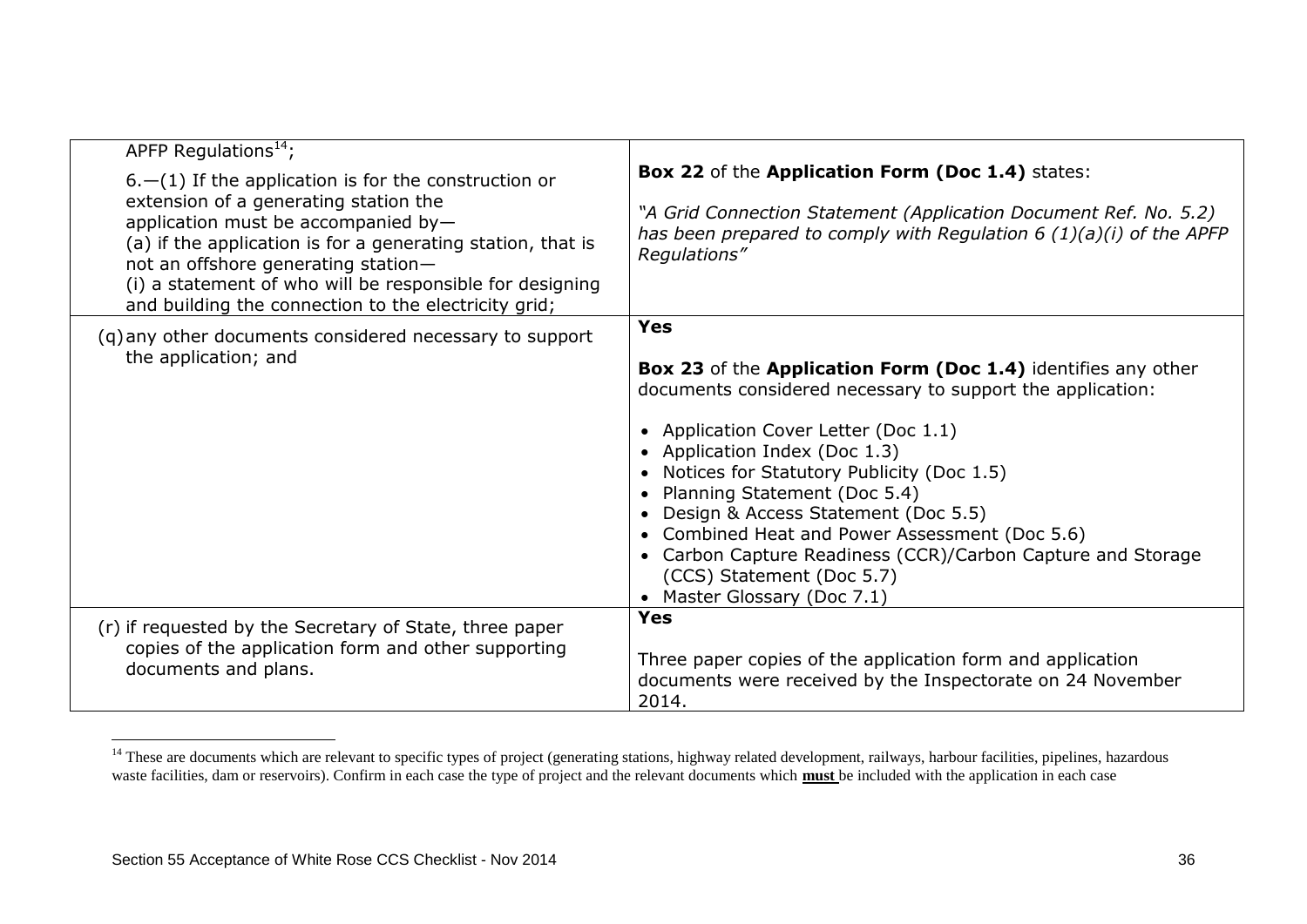| APFP Regulations <sup>14</sup> ;                                                                                                                                                                                                                                                                       |                                                                                                                                                                                                                                                                                                                                                                                                                                                                                                             |
|--------------------------------------------------------------------------------------------------------------------------------------------------------------------------------------------------------------------------------------------------------------------------------------------------------|-------------------------------------------------------------------------------------------------------------------------------------------------------------------------------------------------------------------------------------------------------------------------------------------------------------------------------------------------------------------------------------------------------------------------------------------------------------------------------------------------------------|
| $6.$ - (1) If the application is for the construction or                                                                                                                                                                                                                                               | Box 22 of the Application Form (Doc 1.4) states:                                                                                                                                                                                                                                                                                                                                                                                                                                                            |
| extension of a generating station the<br>application must be accompanied by-<br>(a) if the application is for a generating station, that is<br>not an offshore generating station-<br>(i) a statement of who will be responsible for designing<br>and building the connection to the electricity grid; | "A Grid Connection Statement (Application Document Ref. No. 5.2)<br>has been prepared to comply with Regulation 6 $(1)(a)(i)$ of the APFP<br>Regulations"                                                                                                                                                                                                                                                                                                                                                   |
| (q) any other documents considered necessary to support                                                                                                                                                                                                                                                | <b>Yes</b>                                                                                                                                                                                                                                                                                                                                                                                                                                                                                                  |
| the application; and                                                                                                                                                                                                                                                                                   | Box 23 of the Application Form (Doc 1.4) identifies any other<br>documents considered necessary to support the application:<br>• Application Cover Letter (Doc 1.1)<br>• Application Index (Doc 1.3)<br>• Notices for Statutory Publicity (Doc 1.5)<br>• Planning Statement (Doc 5.4)<br>• Design & Access Statement (Doc 5.5)<br>• Combined Heat and Power Assessment (Doc 5.6)<br>• Carbon Capture Readiness (CCR)/Carbon Capture and Storage<br>(CCS) Statement (Doc 5.7)<br>• Master Glossary (Doc 7.1) |
| (r) if requested by the Secretary of State, three paper                                                                                                                                                                                                                                                | <b>Yes</b>                                                                                                                                                                                                                                                                                                                                                                                                                                                                                                  |
| copies of the application form and other supporting<br>documents and plans.                                                                                                                                                                                                                            | Three paper copies of the application form and application<br>documents were received by the Inspectorate on 24 November<br>2014.                                                                                                                                                                                                                                                                                                                                                                           |

<sup>&</sup>lt;sup>14</sup> These are documents which are relevant to specific types of project (generating stations, highway related development, railways, harbour facilities, pipelines, hazardous waste facilities, dam or reservoirs). Confirm in each case the type of project and the relevant documents which **must** be included with the application in each case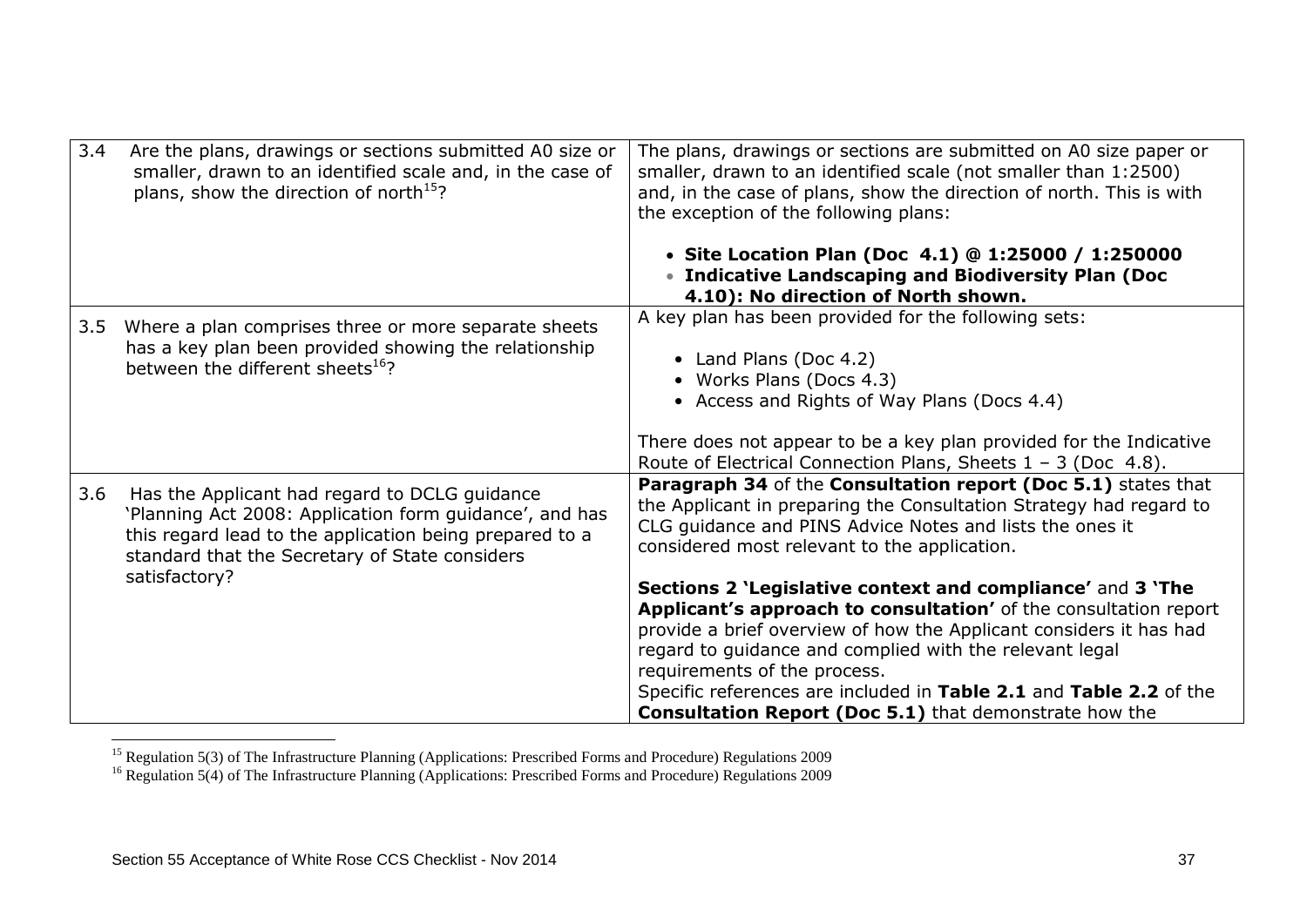| 3.4 | Are the plans, drawings or sections submitted A0 size or<br>smaller, drawn to an identified scale and, in the case of<br>plans, show the direction of north <sup>15</sup> ? | The plans, drawings or sections are submitted on A0 size paper or<br>smaller, drawn to an identified scale (not smaller than 1:2500)<br>and, in the case of plans, show the direction of north. This is with<br>the exception of the following plans:                                                                                                                                                                                  |
|-----|-----------------------------------------------------------------------------------------------------------------------------------------------------------------------------|----------------------------------------------------------------------------------------------------------------------------------------------------------------------------------------------------------------------------------------------------------------------------------------------------------------------------------------------------------------------------------------------------------------------------------------|
|     |                                                                                                                                                                             | • Site Location Plan (Doc 4.1) @ 1:25000 / 1:250000<br>• Indicative Landscaping and Biodiversity Plan (Doc<br>4.10): No direction of North shown.                                                                                                                                                                                                                                                                                      |
| 3.5 | Where a plan comprises three or more separate sheets<br>has a key plan been provided showing the relationship<br>between the different sheets <sup>16</sup> ?               | A key plan has been provided for the following sets:<br>• Land Plans (Doc 4.2)<br>• Works Plans (Docs 4.3)<br>• Access and Rights of Way Plans (Docs 4.4)<br>There does not appear to be a key plan provided for the Indicative                                                                                                                                                                                                        |
| 3.6 | Has the Applicant had regard to DCLG guidance                                                                                                                               | Route of Electrical Connection Plans, Sheets $1 - 3$ (Doc 4.8).<br>Paragraph 34 of the Consultation report (Doc 5.1) states that                                                                                                                                                                                                                                                                                                       |
|     | 'Planning Act 2008: Application form guidance', and has<br>this regard lead to the application being prepared to a<br>standard that the Secretary of State considers        | the Applicant in preparing the Consultation Strategy had regard to<br>CLG guidance and PINS Advice Notes and lists the ones it<br>considered most relevant to the application.                                                                                                                                                                                                                                                         |
|     | satisfactory?                                                                                                                                                               | Sections 2 'Legislative context and compliance' and 3 'The<br>Applicant's approach to consultation' of the consultation report<br>provide a brief overview of how the Applicant considers it has had<br>regard to guidance and complied with the relevant legal<br>requirements of the process.<br>Specific references are included in Table 2.1 and Table 2.2 of the<br><b>Consultation Report (Doc 5.1)</b> that demonstrate how the |

<sup>&</sup>lt;sup>15</sup> Regulation 5(3) of The Infrastructure Planning (Applications: Prescribed Forms and Procedure) Regulations 2009

<sup>&</sup>lt;sup>16</sup> Regulation 5(4) of The Infrastructure Planning (Applications: Prescribed Forms and Procedure) Regulations 2009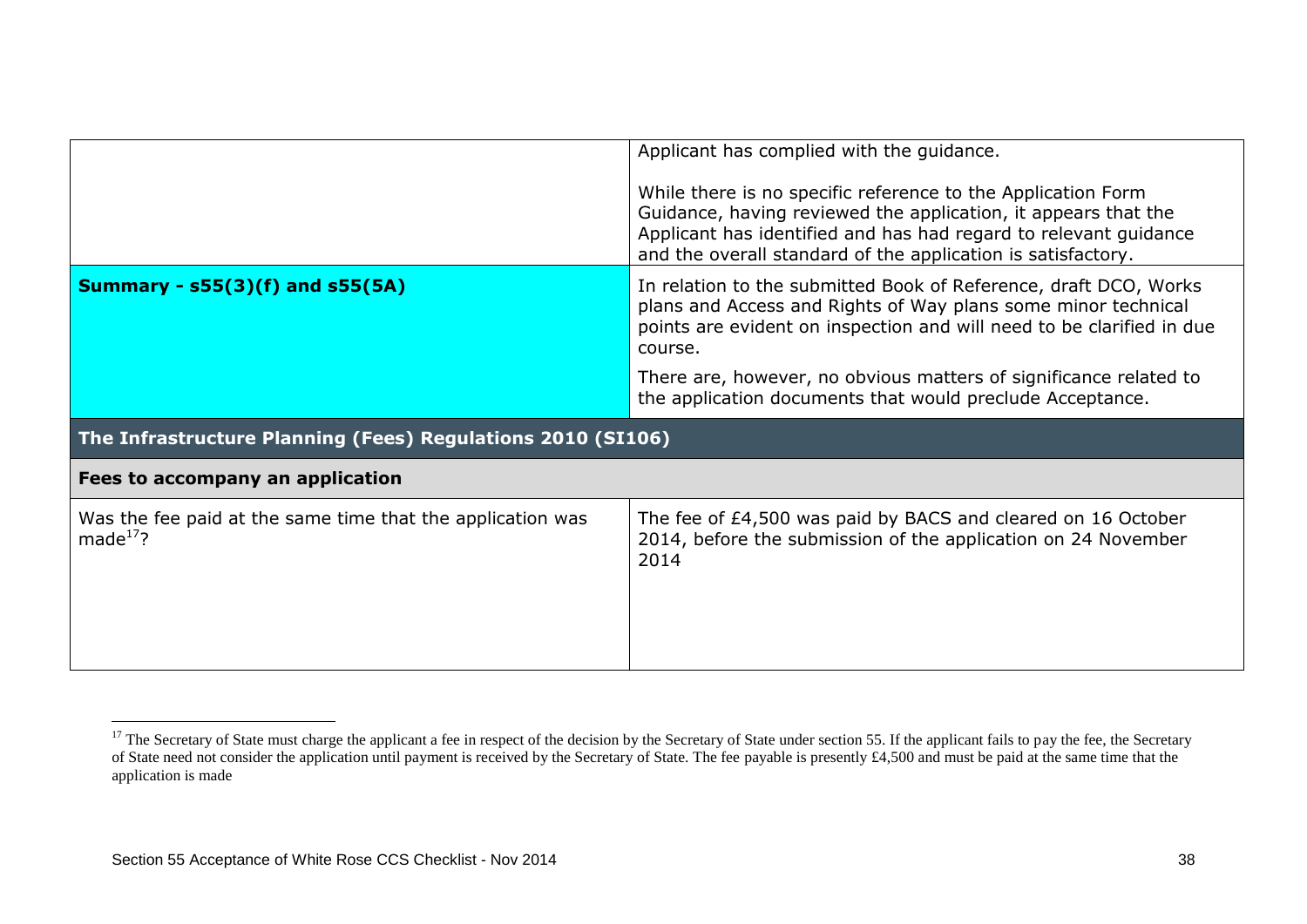|                                                                              | Applicant has complied with the guidance.                                                                                                                                                                                                                          |  |  |  |
|------------------------------------------------------------------------------|--------------------------------------------------------------------------------------------------------------------------------------------------------------------------------------------------------------------------------------------------------------------|--|--|--|
|                                                                              | While there is no specific reference to the Application Form<br>Guidance, having reviewed the application, it appears that the<br>Applicant has identified and has had regard to relevant guidance<br>and the overall standard of the application is satisfactory. |  |  |  |
| <b>Summary - s55(3)(f) and s55(5A)</b>                                       | In relation to the submitted Book of Reference, draft DCO, Works<br>plans and Access and Rights of Way plans some minor technical<br>points are evident on inspection and will need to be clarified in due<br>course.                                              |  |  |  |
|                                                                              | There are, however, no obvious matters of significance related to<br>the application documents that would preclude Acceptance.                                                                                                                                     |  |  |  |
| The Infrastructure Planning (Fees) Regulations 2010 (SI106)                  |                                                                                                                                                                                                                                                                    |  |  |  |
| Fees to accompany an application                                             |                                                                                                                                                                                                                                                                    |  |  |  |
| Was the fee paid at the same time that the application was<br>made $^{17}$ ? | The fee of £4,500 was paid by BACS and cleared on 16 October<br>2014, before the submission of the application on 24 November<br>2014                                                                                                                              |  |  |  |

<u>.</u>

 $17$  The Secretary of State must charge the applicant a fee in respect of the decision by the Secretary of State under section 55. If the applicant fails to pay the fee, the Secretary of State need not consider the application until payment is received by the Secretary of State. The fee payable is presently £4,500 and must be paid at the same time that the application is made